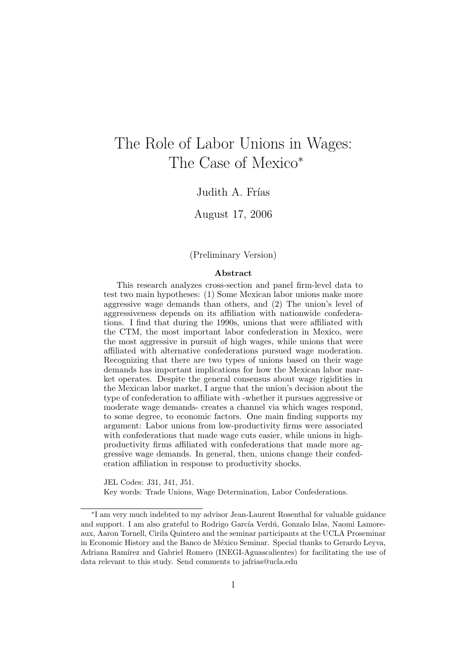# The Role of Labor Unions in Wages: The Case of Mexico<sup>∗</sup>

Judith A. Frías

August 17, 2006

(Preliminary Version)

#### Abstract

This research analyzes cross-section and panel firm-level data to test two main hypotheses: (1) Some Mexican labor unions make more aggressive wage demands than others, and (2) The union's level of aggressiveness depends on its affiliation with nationwide confederations. I find that during the 1990s, unions that were affiliated with the CTM, the most important labor confederation in Mexico, were the most aggressive in pursuit of high wages, while unions that were affiliated with alternative confederations pursued wage moderation. Recognizing that there are two types of unions based on their wage demands has important implications for how the Mexican labor market operates. Despite the general consensus about wage rigidities in the Mexican labor market, I argue that the union's decision about the type of confederation to affiliate with -whether it pursues aggressive or moderate wage demands- creates a channel via which wages respond, to some degree, to economic factors. One main finding supports my argument: Labor unions from low-productivity firms were associated with confederations that made wage cuts easier, while unions in highproductivity firms affiliated with confederations that made more aggressive wage demands. In general, then, unions change their confederation affiliation in response to productivity shocks.

JEL Codes: J31, J41, J51.

Key words: Trade Unions, Wage Determination, Labor Confederations.

<sup>∗</sup> I am very much indebted to my advisor Jean-Laurent Rosenthal for valuable guidance and support. I am also grateful to Rodrigo García Verdú, Gonzalo Islas, Naomi Lamoreaux, Aaron Tornell, Cirila Quintero and the seminar participants at the UCLA Proseminar in Economic History and the Banco de México Seminar. Special thanks to Gerardo Leyva, Adriana Ramírez and Gabriel Romero (INEGI-Aguascalientes) for facilitating the use of data relevant to this study. Send comments to jafrias@ucla.edu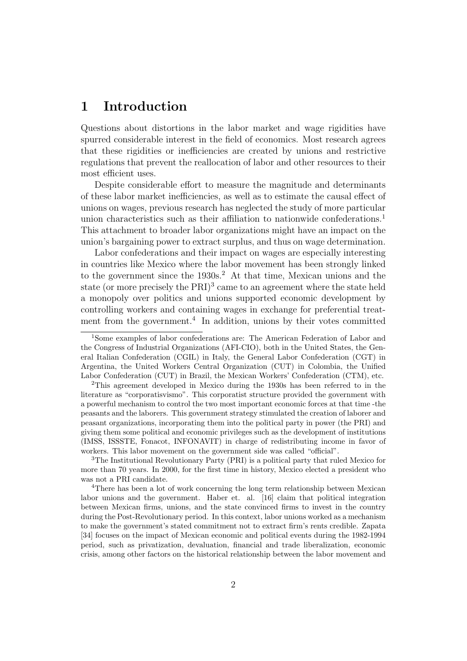# 1 Introduction

Questions about distortions in the labor market and wage rigidities have spurred considerable interest in the field of economics. Most research agrees that these rigidities or inefficiencies are created by unions and restrictive regulations that prevent the reallocation of labor and other resources to their most efficient uses.

Despite considerable effort to measure the magnitude and determinants of these labor market inefficiencies, as well as to estimate the causal effect of unions on wages, previous research has neglected the study of more particular union characteristics such as their affiliation to nationwide confederations.<sup>1</sup> This attachment to broader labor organizations might have an impact on the union's bargaining power to extract surplus, and thus on wage determination.

Labor confederations and their impact on wages are especially interesting in countries like Mexico where the labor movement has been strongly linked to the government since the  $1930s<sup>2</sup>$ . At that time, Mexican unions and the state (or more precisely the  $\text{PRI}$ )<sup>3</sup> came to an agreement where the state held a monopoly over politics and unions supported economic development by controlling workers and containing wages in exchange for preferential treatment from the government.<sup>4</sup> In addition, unions by their votes committed

<sup>1</sup>Some examples of labor confederations are: The American Federation of Labor and the Congress of Industrial Organizations (AFI-CIO), both in the United States, the General Italian Confederation (CGIL) in Italy, the General Labor Confederation (CGT) in Argentina, the United Workers Central Organization (CUT) in Colombia, the Unified Labor Confederation (CUT) in Brazil, the Mexican Workers' Confederation (CTM), etc.

<sup>2</sup>This agreement developed in Mexico during the 1930s has been referred to in the literature as "corporatisvismo". This corporatist structure provided the government with a powerful mechanism to control the two most important economic forces at that time -the peasants and the laborers. This government strategy stimulated the creation of laborer and peasant organizations, incorporating them into the political party in power (the PRI) and giving them some political and economic privileges such as the development of institutions (IMSS, ISSSTE, Fonacot, INFONAVIT) in charge of redistributing income in favor of workers. This labor movement on the government side was called "official".

<sup>3</sup>The Institutional Revolutionary Party (PRI) is a political party that ruled Mexico for more than 70 years. In 2000, for the first time in history, Mexico elected a president who was not a PRI candidate.

<sup>&</sup>lt;sup>4</sup>There has been a lot of work concerning the long term relationship between Mexican labor unions and the government. Haber et. al. [16] claim that political integration between Mexican firms, unions, and the state convinced firms to invest in the country during the Post-Revolutionary period. In this context, labor unions worked as a mechanism to make the government's stated commitment not to extract firm's rents credible. Zapata [34] focuses on the impact of Mexican economic and political events during the 1982-1994 period, such as privatization, devaluation, financial and trade liberalization, economic crisis, among other factors on the historical relationship between the labor movement and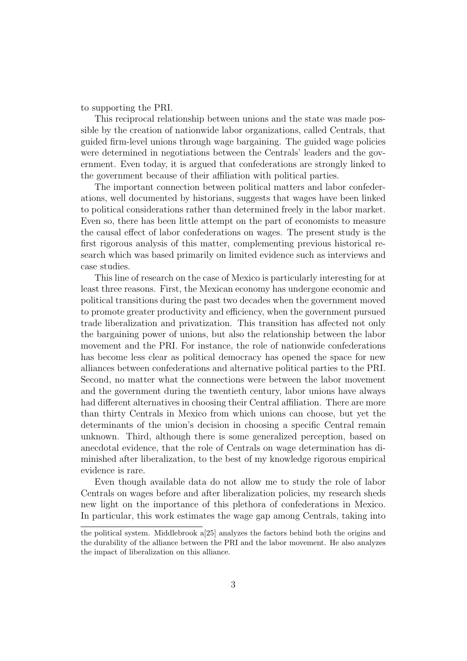to supporting the PRI.

This reciprocal relationship between unions and the state was made possible by the creation of nationwide labor organizations, called Centrals, that guided firm-level unions through wage bargaining. The guided wage policies were determined in negotiations between the Centrals' leaders and the government. Even today, it is argued that confederations are strongly linked to the government because of their affiliation with political parties.

The important connection between political matters and labor confederations, well documented by historians, suggests that wages have been linked to political considerations rather than determined freely in the labor market. Even so, there has been little attempt on the part of economists to measure the causal effect of labor confederations on wages. The present study is the first rigorous analysis of this matter, complementing previous historical research which was based primarily on limited evidence such as interviews and case studies.

This line of research on the case of Mexico is particularly interesting for at least three reasons. First, the Mexican economy has undergone economic and political transitions during the past two decades when the government moved to promote greater productivity and efficiency, when the government pursued trade liberalization and privatization. This transition has affected not only the bargaining power of unions, but also the relationship between the labor movement and the PRI. For instance, the role of nationwide confederations has become less clear as political democracy has opened the space for new alliances between confederations and alternative political parties to the PRI. Second, no matter what the connections were between the labor movement and the government during the twentieth century, labor unions have always had different alternatives in choosing their Central affiliation. There are more than thirty Centrals in Mexico from which unions can choose, but yet the determinants of the union's decision in choosing a specific Central remain unknown. Third, although there is some generalized perception, based on anecdotal evidence, that the role of Centrals on wage determination has diminished after liberalization, to the best of my knowledge rigorous empirical evidence is rare.

Even though available data do not allow me to study the role of labor Centrals on wages before and after liberalization policies, my research sheds new light on the importance of this plethora of confederations in Mexico. In particular, this work estimates the wage gap among Centrals, taking into

the political system. Middlebrook a[25] analyzes the factors behind both the origins and the durability of the alliance between the PRI and the labor movement. He also analyzes the impact of liberalization on this alliance.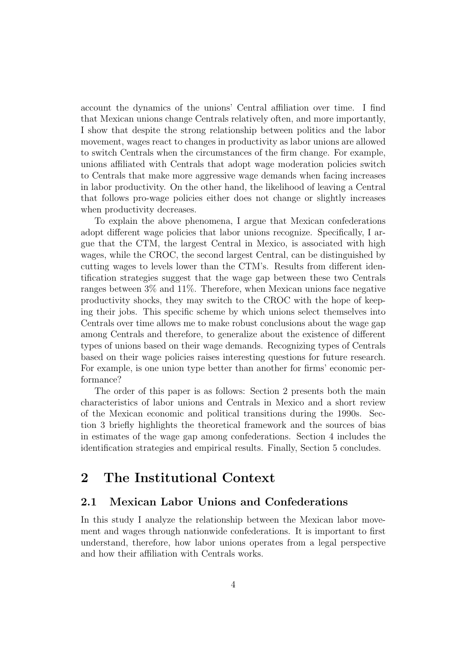account the dynamics of the unions' Central affiliation over time. I find that Mexican unions change Centrals relatively often, and more importantly, I show that despite the strong relationship between politics and the labor movement, wages react to changes in productivity as labor unions are allowed to switch Centrals when the circumstances of the firm change. For example, unions affiliated with Centrals that adopt wage moderation policies switch to Centrals that make more aggressive wage demands when facing increases in labor productivity. On the other hand, the likelihood of leaving a Central that follows pro-wage policies either does not change or slightly increases when productivity decreases.

To explain the above phenomena, I argue that Mexican confederations adopt different wage policies that labor unions recognize. Specifically, I argue that the CTM, the largest Central in Mexico, is associated with high wages, while the CROC, the second largest Central, can be distinguished by cutting wages to levels lower than the CTM's. Results from different identification strategies suggest that the wage gap between these two Centrals ranges between 3% and 11%. Therefore, when Mexican unions face negative productivity shocks, they may switch to the CROC with the hope of keeping their jobs. This specific scheme by which unions select themselves into Centrals over time allows me to make robust conclusions about the wage gap among Centrals and therefore, to generalize about the existence of different types of unions based on their wage demands. Recognizing types of Centrals based on their wage policies raises interesting questions for future research. For example, is one union type better than another for firms' economic performance?

The order of this paper is as follows: Section 2 presents both the main characteristics of labor unions and Centrals in Mexico and a short review of the Mexican economic and political transitions during the 1990s. Section 3 briefly highlights the theoretical framework and the sources of bias in estimates of the wage gap among confederations. Section 4 includes the identification strategies and empirical results. Finally, Section 5 concludes.

# 2 The Institutional Context

## 2.1 Mexican Labor Unions and Confederations

In this study I analyze the relationship between the Mexican labor movement and wages through nationwide confederations. It is important to first understand, therefore, how labor unions operates from a legal perspective and how their affiliation with Centrals works.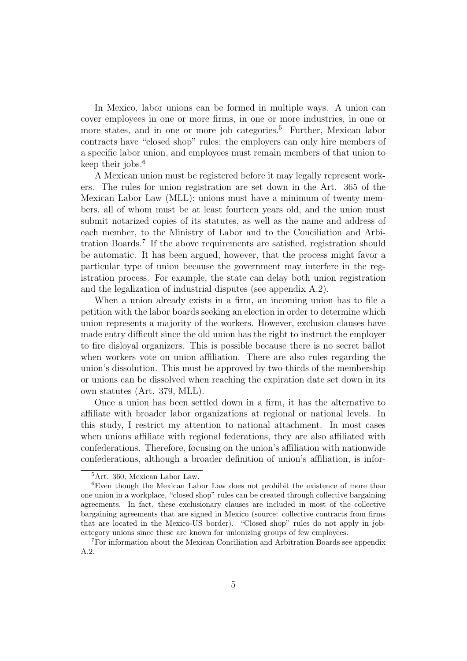In Mexico, labor unions can be formed in multiple ways. A union can cover employees in one or more firms, in one or more industries, in one or more states, and in one or more job categories.<sup>5</sup> Further, Mexican labor contracts have "closed shop" rules: the employers can only hire members of a specific labor union, and employees must remain members of that union to keep their jobs. $6$ 

A Mexican union must be registered before it may legally represent workers. The rules for union registration are set down in the Art. 365 of the Mexican Labor Law (MLL): unions must have a minimum of twenty members, all of whom must be at least fourteen years old, and the union must submit notarized copies of its statutes, as well as the name and address of each member, to the Ministry of Labor and to the Conciliation and Arbitration Boards.<sup>7</sup> If the above requirements are satisfied, registration should be automatic. It has been argued, however, that the process might favor a particular type of union because the government may interfere in the registration process. For example, the state can delay both union registration and the legalization of industrial disputes (see appendix A.2).

When a union already exists in a firm, an incoming union has to file a petition with the labor boards seeking an election in order to determine which union represents a majority of the workers. However, exclusion clauses have made entry difficult since the old union has the right to instruct the employer to fire disloyal organizers. This is possible because there is no secret ballot when workers vote on union affiliation. There are also rules regarding the union's dissolution. This must be approved by two-thirds of the membership or unions can be dissolved when reaching the expiration date set down in its own statutes (Art. 379, MLL).

Once a union has been settled down in a firm, it has the alternative to affiliate with broader labor organizations at regional or national levels. In this study, I restrict my attention to national attachment. In most cases when unions affiliate with regional federations, they are also affiliated with confederations. Therefore, focusing on the union's affiliation with nationwide confederations, although a broader definition of union's affiliation, is infor-

<sup>5</sup>Art. 360, Mexican Labor Law.

<sup>6</sup>Even though the Mexican Labor Law does not prohibit the existence of more than one union in a workplace, "closed shop" rules can be created through collective bargaining agreements. In fact, these exclusionary clauses are included in most of the collective bargaining agreements that are signed in Mexico (source: collective contracts from firms that are located in the Mexico-US border). "Closed shop" rules do not apply in jobcategory unions since these are known for unionizing groups of few employees.

<sup>7</sup>For information about the Mexican Conciliation and Arbitration Boards see appendix A.2.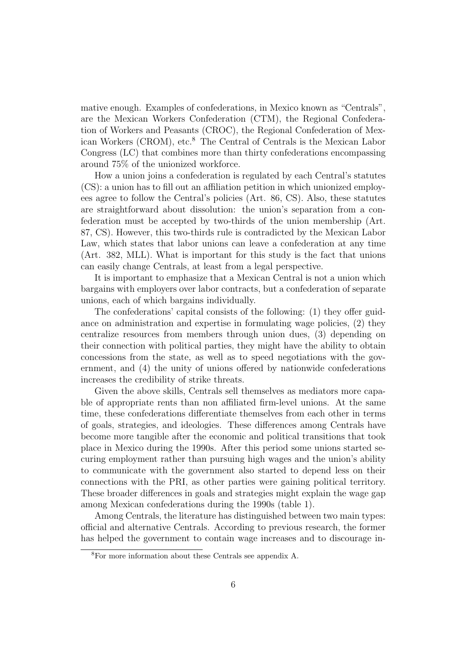mative enough. Examples of confederations, in Mexico known as "Centrals", are the Mexican Workers Confederation (CTM), the Regional Confederation of Workers and Peasants (CROC), the Regional Confederation of Mexican Workers (CROM), etc.<sup>8</sup> The Central of Centrals is the Mexican Labor Congress (LC) that combines more than thirty confederations encompassing around 75% of the unionized workforce.

How a union joins a confederation is regulated by each Central's statutes (CS): a union has to fill out an affiliation petition in which unionized employees agree to follow the Central's policies (Art. 86, CS). Also, these statutes are straightforward about dissolution: the union's separation from a confederation must be accepted by two-thirds of the union membership (Art. 87, CS). However, this two-thirds rule is contradicted by the Mexican Labor Law, which states that labor unions can leave a confederation at any time (Art. 382, MLL). What is important for this study is the fact that unions can easily change Centrals, at least from a legal perspective.

It is important to emphasize that a Mexican Central is not a union which bargains with employers over labor contracts, but a confederation of separate unions, each of which bargains individually.

The confederations' capital consists of the following: (1) they offer guidance on administration and expertise in formulating wage policies, (2) they centralize resources from members through union dues, (3) depending on their connection with political parties, they might have the ability to obtain concessions from the state, as well as to speed negotiations with the government, and (4) the unity of unions offered by nationwide confederations increases the credibility of strike threats.

Given the above skills, Centrals sell themselves as mediators more capable of appropriate rents than non affiliated firm-level unions. At the same time, these confederations differentiate themselves from each other in terms of goals, strategies, and ideologies. These differences among Centrals have become more tangible after the economic and political transitions that took place in Mexico during the 1990s. After this period some unions started securing employment rather than pursuing high wages and the union's ability to communicate with the government also started to depend less on their connections with the PRI, as other parties were gaining political territory. These broader differences in goals and strategies might explain the wage gap among Mexican confederations during the 1990s (table 1).

Among Centrals, the literature has distinguished between two main types: official and alternative Centrals. According to previous research, the former has helped the government to contain wage increases and to discourage in-

<sup>8</sup>For more information about these Centrals see appendix A.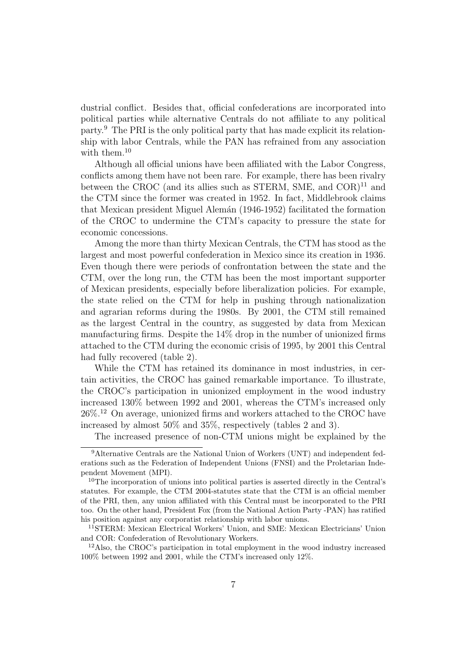dustrial conflict. Besides that, official confederations are incorporated into political parties while alternative Centrals do not affiliate to any political party.<sup>9</sup> The PRI is the only political party that has made explicit its relationship with labor Centrals, while the PAN has refrained from any association with them.<sup>10</sup>

Although all official unions have been affiliated with the Labor Congress, conflicts among them have not been rare. For example, there has been rivalry between the CROC (and its allies such as STERM, SME, and  $COR$ <sup> $11$ </sup> and the CTM since the former was created in 1952. In fact, Middlebrook claims that Mexican president Miguel Alemán (1946-1952) facilitated the formation of the CROC to undermine the CTM's capacity to pressure the state for economic concessions.

Among the more than thirty Mexican Centrals, the CTM has stood as the largest and most powerful confederation in Mexico since its creation in 1936. Even though there were periods of confrontation between the state and the CTM, over the long run, the CTM has been the most important supporter of Mexican presidents, especially before liberalization policies. For example, the state relied on the CTM for help in pushing through nationalization and agrarian reforms during the 1980s. By 2001, the CTM still remained as the largest Central in the country, as suggested by data from Mexican manufacturing firms. Despite the 14% drop in the number of unionized firms attached to the CTM during the economic crisis of 1995, by 2001 this Central had fully recovered (table 2).

While the CTM has retained its dominance in most industries, in certain activities, the CROC has gained remarkable importance. To illustrate, the CROC's participation in unionized employment in the wood industry increased 130% between 1992 and 2001, whereas the CTM's increased only 26%.<sup>12</sup> On average, unionized firms and workers attached to the CROC have increased by almost 50% and 35%, respectively (tables 2 and 3).

The increased presence of non-CTM unions might be explained by the

<sup>&</sup>lt;sup>9</sup>Alternative Centrals are the National Union of Workers (UNT) and independent federations such as the Federation of Independent Unions (FNSI) and the Proletarian Independent Movement (MPI).

<sup>10</sup>The incorporation of unions into political parties is asserted directly in the Central's statutes. For example, the CTM 2004-statutes state that the CTM is an official member of the PRI, then, any union affiliated with this Central must be incorporated to the PRI too. On the other hand, President Fox (from the National Action Party -PAN) has ratified his position against any corporatist relationship with labor unions.

<sup>11</sup>STERM: Mexican Electrical Workers' Union, and SME: Mexican Electricians' Union and COR: Confederation of Revolutionary Workers.

<sup>12</sup>Also, the CROC's participation in total employment in the wood industry increased 100% between 1992 and 2001, while the CTM's increased only 12%.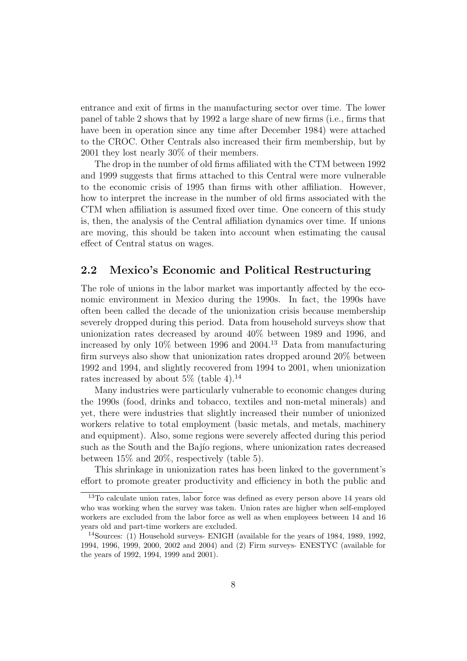entrance and exit of firms in the manufacturing sector over time. The lower panel of table 2 shows that by 1992 a large share of new firms (i.e., firms that have been in operation since any time after December 1984) were attached to the CROC. Other Centrals also increased their firm membership, but by 2001 they lost nearly 30% of their members.

The drop in the number of old firms affiliated with the CTM between 1992 and 1999 suggests that firms attached to this Central were more vulnerable to the economic crisis of 1995 than firms with other affiliation. However, how to interpret the increase in the number of old firms associated with the CTM when affiliation is assumed fixed over time. One concern of this study is, then, the analysis of the Central affiliation dynamics over time. If unions are moving, this should be taken into account when estimating the causal effect of Central status on wages.

### 2.2 Mexico's Economic and Political Restructuring

The role of unions in the labor market was importantly affected by the economic environment in Mexico during the 1990s. In fact, the 1990s have often been called the decade of the unionization crisis because membership severely dropped during this period. Data from household surveys show that unionization rates decreased by around 40% between 1989 and 1996, and increased by only  $10\%$  between 1996 and 2004.<sup>13</sup> Data from manufacturing firm surveys also show that unionization rates dropped around 20% between 1992 and 1994, and slightly recovered from 1994 to 2001, when unionization rates increased by about  $5\%$  (table 4).<sup>14</sup>

Many industries were particularly vulnerable to economic changes during the 1990s (food, drinks and tobacco, textiles and non-metal minerals) and yet, there were industries that slightly increased their number of unionized workers relative to total employment (basic metals, and metals, machinery and equipment). Also, some regions were severely affected during this period such as the South and the Bajio regions, where unionization rates decreased between 15% and 20%, respectively (table 5).

This shrinkage in unionization rates has been linked to the government's effort to promote greater productivity and efficiency in both the public and

<sup>13</sup>To calculate union rates, labor force was defined as every person above 14 years old who was working when the survey was taken. Union rates are higher when self-employed workers are excluded from the labor force as well as when employees between 14 and 16 years old and part-time workers are excluded.

<sup>14</sup>Sources: (1) Household surveys- ENIGH (available for the years of 1984, 1989, 1992, 1994, 1996, 1999, 2000, 2002 and 2004) and (2) Firm surveys- ENESTYC (available for the years of 1992, 1994, 1999 and 2001).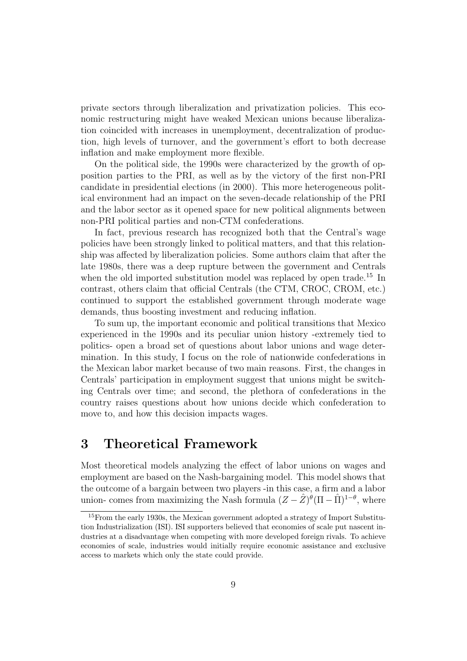private sectors through liberalization and privatization policies. This economic restructuring might have weaked Mexican unions because liberalization coincided with increases in unemployment, decentralization of production, high levels of turnover, and the government's effort to both decrease inflation and make employment more flexible.

On the political side, the 1990s were characterized by the growth of opposition parties to the PRI, as well as by the victory of the first non-PRI candidate in presidential elections (in 2000). This more heterogeneous political environment had an impact on the seven-decade relationship of the PRI and the labor sector as it opened space for new political alignments between non-PRI political parties and non-CTM confederations.

In fact, previous research has recognized both that the Central's wage policies have been strongly linked to political matters, and that this relationship was affected by liberalization policies. Some authors claim that after the late 1980s, there was a deep rupture between the government and Centrals when the old imported substitution model was replaced by open trade.<sup>15</sup> In contrast, others claim that official Centrals (the CTM, CROC, CROM, etc.) continued to support the established government through moderate wage demands, thus boosting investment and reducing inflation.

To sum up, the important economic and political transitions that Mexico experienced in the 1990s and its peculiar union history -extremely tied to politics- open a broad set of questions about labor unions and wage determination. In this study, I focus on the role of nationwide confederations in the Mexican labor market because of two main reasons. First, the changes in Centrals' participation in employment suggest that unions might be switching Centrals over time; and second, the plethora of confederations in the country raises questions about how unions decide which confederation to move to, and how this decision impacts wages.

## 3 Theoretical Framework

Most theoretical models analyzing the effect of labor unions on wages and employment are based on the Nash-bargaining model. This model shows that the outcome of a bargain between two players -in this case, a firm and a labor union- comes from maximizing the Nash formula  $(Z - \hat{Z})^{\hat{\theta}}(\Pi - \hat{\Pi})^{1-\theta}$ , where

<sup>15</sup>From the early 1930s, the Mexican government adopted a strategy of Import Substitution Industrialization (ISI). ISI supporters believed that economies of scale put nascent industries at a disadvantage when competing with more developed foreign rivals. To achieve economies of scale, industries would initially require economic assistance and exclusive access to markets which only the state could provide.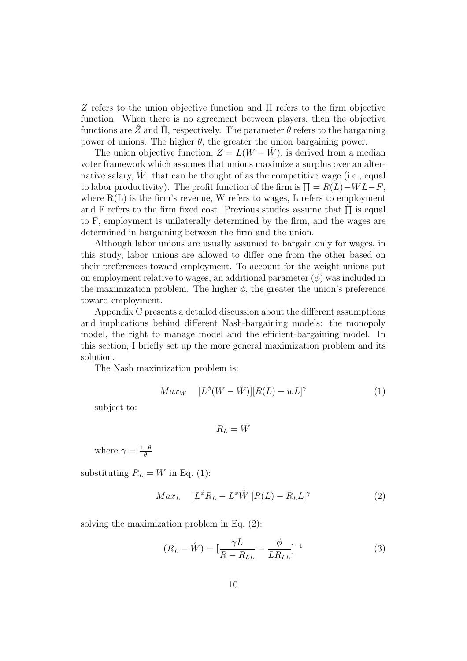Z refers to the union objective function and  $\Pi$  refers to the firm objective function. When there is no agreement between players, then the objective functions are  $\ddot{Z}$  and  $\ddot{\Pi}$ , respectively. The parameter  $\theta$  refers to the bargaining power of unions. The higher  $\theta$ , the greater the union bargaining power.

The union objective function,  $Z = L(W - \hat{W})$ , is derived from a median voter framework which assumes that unions maximize a surplus over an alternative salary,  $\hat{W}$ , that can be thought of as the competitive wage (i.e., equal to labor productivity). The profit function of the firm is  $\Pi = R(L) - WL - F$ , where  $R(L)$  is the firm's revenue, W refers to wages, L refers to employment and F refers to the firm fixed cost. Previous studies assume that  $\hat{\Pi}$  is equal to F, employment is unilaterally determined by the firm, and the wages are determined in bargaining between the firm and the union.

Although labor unions are usually assumed to bargain only for wages, in this study, labor unions are allowed to differ one from the other based on their preferences toward employment. To account for the weight unions put on employment relative to wages, an additional parameter  $(\phi)$  was included in the maximization problem. The higher  $\phi$ , the greater the union's preference toward employment.

Appendix C presents a detailed discussion about the different assumptions and implications behind different Nash-bargaining models: the monopoly model, the right to manage model and the efficient-bargaining model. In this section, I briefly set up the more general maximization problem and its solution.

The Nash maximization problem is:

$$
Max_W \quad [L^{\phi}(W - \hat{W})][R(L) - wL]^{\gamma} \tag{1}
$$

subject to:

$$
R_L = W
$$

where  $\gamma = \frac{1-\theta}{\theta}$ θ

substituting  $R_L = W$  in Eq. (1):

$$
Max_{L} \quad [L^{\phi}R_{L} - L^{\phi}\hat{W}][R(L) - R_{L}L]^{\gamma} \tag{2}
$$

solving the maximization problem in Eq. (2):

$$
(R_L - \hat{W}) = \left[\frac{\gamma L}{R - R_{LL}} - \frac{\phi}{LR_{LL}}\right]^{-1}
$$
(3)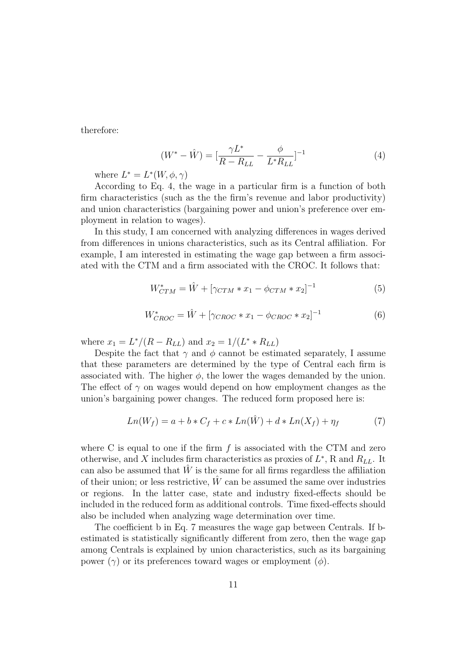therefore:

$$
(W^* - \hat{W}) = \left[\frac{\gamma L^*}{R - R_{LL}} - \frac{\phi}{L^* R_{LL}}\right]^{-1} \tag{4}
$$

where  $L^* = L^*(W, \phi, \gamma)$ 

According to Eq. 4, the wage in a particular firm is a function of both firm characteristics (such as the the firm's revenue and labor productivity) and union characteristics (bargaining power and union's preference over employment in relation to wages).

In this study, I am concerned with analyzing differences in wages derived from differences in unions characteristics, such as its Central affiliation. For example, I am interested in estimating the wage gap between a firm associated with the CTM and a firm associated with the CROC. It follows that:

$$
W_{CTM}^* = \hat{W} + [\gamma_{CTM} * x_1 - \phi_{CTM} * x_2]^{-1}
$$
\n(5)

$$
W_{CROC}^{*} = \hat{W} + [\gamma_{CROC} * x_1 - \phi_{CROC} * x_2]^{-1}
$$
 (6)

where  $x_1 = L^*/(R - R_{LL})$  and  $x_2 = 1/(L^* * R_{LL})$ 

Despite the fact that  $\gamma$  and  $\phi$  cannot be estimated separately, I assume that these parameters are determined by the type of Central each firm is associated with. The higher  $\phi$ , the lower the wages demanded by the union. The effect of  $\gamma$  on wages would depend on how employment changes as the union's bargaining power changes. The reduced form proposed here is:

$$
Ln(W_f) = a + b * C_f + c * Ln(\hat{W}) + d * Ln(X_f) + \eta_f
$$
 (7)

where C is equal to one if the firm  $f$  is associated with the CTM and zero otherwise, and X includes firm characteristics as proxies of  $L^*$ , R and  $R_{LL}$ . It can also be assumed that  $\hat{W}$  is the same for all firms regardless the affiliation of their union; or less restrictive,  $\hat{W}$  can be assumed the same over industries or regions. In the latter case, state and industry fixed-effects should be included in the reduced form as additional controls. Time fixed-effects should also be included when analyzing wage determination over time.

The coefficient b in Eq. 7 measures the wage gap between Centrals. If bestimated is statistically significantly different from zero, then the wage gap among Centrals is explained by union characteristics, such as its bargaining power  $(\gamma)$  or its preferences toward wages or employment  $(\phi)$ .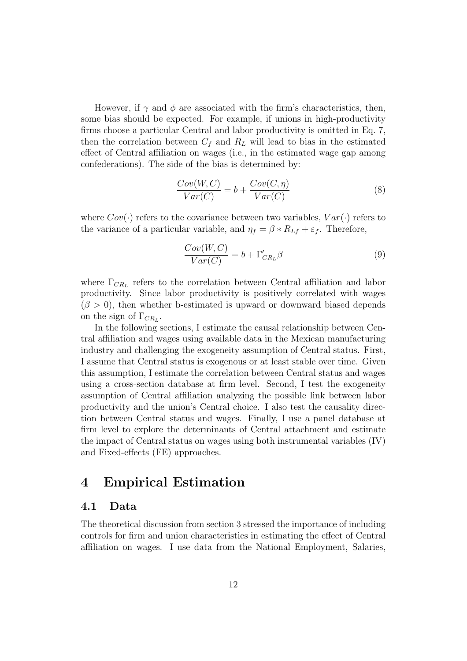However, if  $\gamma$  and  $\phi$  are associated with the firm's characteristics, then, some bias should be expected. For example, if unions in high-productivity firms choose a particular Central and labor productivity is omitted in Eq. 7, then the correlation between  $C_f$  and  $R_L$  will lead to bias in the estimated effect of Central affiliation on wages (i.e., in the estimated wage gap among confederations). The side of the bias is determined by:

$$
\frac{Cov(W, C)}{Var(C)} = b + \frac{Cov(C, \eta)}{Var(C)}
$$
(8)

where  $Cov(\cdot)$  refers to the covariance between two variables,  $Var(\cdot)$  refers to the variance of a particular variable, and  $\eta_f = \beta * R_{Lf} + \varepsilon_f$ . Therefore,

$$
\frac{Cov(W, C)}{Var(C)} = b + \Gamma'_{CR_L} \beta \tag{9}
$$

where  $\Gamma_{CR_L}$  refers to the correlation between Central affiliation and labor productivity. Since labor productivity is positively correlated with wages  $(\beta > 0)$ , then whether b-estimated is upward or downward biased depends on the sign of  $\Gamma_{CR_L}$ .

In the following sections, I estimate the causal relationship between Central affiliation and wages using available data in the Mexican manufacturing industry and challenging the exogeneity assumption of Central status. First, I assume that Central status is exogenous or at least stable over time. Given this assumption, I estimate the correlation between Central status and wages using a cross-section database at firm level. Second, I test the exogeneity assumption of Central affiliation analyzing the possible link between labor productivity and the union's Central choice. I also test the causality direction between Central status and wages. Finally, I use a panel database at firm level to explore the determinants of Central attachment and estimate the impact of Central status on wages using both instrumental variables (IV) and Fixed-effects (FE) approaches.

# 4 Empirical Estimation

### 4.1 Data

The theoretical discussion from section 3 stressed the importance of including controls for firm and union characteristics in estimating the effect of Central affiliation on wages. I use data from the National Employment, Salaries,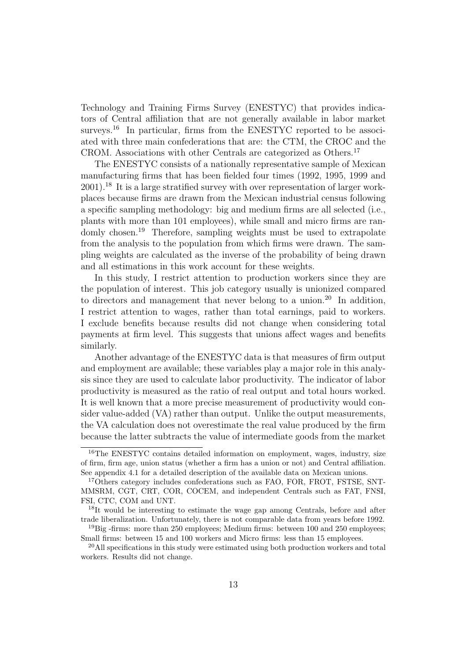Technology and Training Firms Survey (ENESTYC) that provides indicators of Central affiliation that are not generally available in labor market surveys.<sup>16</sup> In particular, firms from the ENESTYC reported to be associated with three main confederations that are: the CTM, the CROC and the CROM. Associations with other Centrals are categorized as Others.<sup>17</sup>

The ENESTYC consists of a nationally representative sample of Mexican manufacturing firms that has been fielded four times (1992, 1995, 1999 and  $2001$ <sup>18</sup> It is a large stratified survey with over representation of larger workplaces because firms are drawn from the Mexican industrial census following a specific sampling methodology: big and medium firms are all selected (i.e., plants with more than 101 employees), while small and micro firms are randomly chosen.<sup>19</sup> Therefore, sampling weights must be used to extrapolate from the analysis to the population from which firms were drawn. The sampling weights are calculated as the inverse of the probability of being drawn and all estimations in this work account for these weights.

In this study, I restrict attention to production workers since they are the population of interest. This job category usually is unionized compared to directors and management that never belong to a union.<sup>20</sup> In addition, I restrict attention to wages, rather than total earnings, paid to workers. I exclude benefits because results did not change when considering total payments at firm level. This suggests that unions affect wages and benefits similarly.

Another advantage of the ENESTYC data is that measures of firm output and employment are available; these variables play a major role in this analysis since they are used to calculate labor productivity. The indicator of labor productivity is measured as the ratio of real output and total hours worked. It is well known that a more precise measurement of productivity would consider value-added (VA) rather than output. Unlike the output measurements, the VA calculation does not overestimate the real value produced by the firm because the latter subtracts the value of intermediate goods from the market

<sup>16</sup>The ENESTYC contains detailed information on employment, wages, industry, size of firm, firm age, union status (whether a firm has a union or not) and Central affiliation. See appendix 4.1 for a detailed description of the available data on Mexican unions.

<sup>17</sup>Others category includes confederations such as FAO, FOR, FROT, FSTSE, SNT-MMSRM, CGT, CRT, COR, COCEM, and independent Centrals such as FAT, FNSI, FSI, CTC, COM and UNT.

<sup>18</sup>It would be interesting to estimate the wage gap among Centrals, before and after trade liberalization. Unfortunately, there is not comparable data from years before 1992.

<sup>&</sup>lt;sup>19</sup>Big -firms: more than 250 employees; Medium firms: between 100 and 250 employees; Small firms: between 15 and 100 workers and Micro firms: less than 15 employees.

 $^{20}$ All specifications in this study were estimated using both production workers and total workers. Results did not change.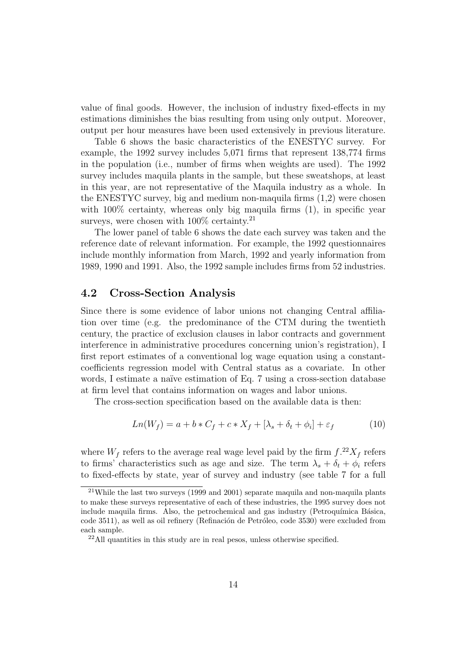value of final goods. However, the inclusion of industry fixed-effects in my estimations diminishes the bias resulting from using only output. Moreover, output per hour measures have been used extensively in previous literature.

Table 6 shows the basic characteristics of the ENESTYC survey. For example, the 1992 survey includes 5,071 firms that represent 138,774 firms in the population (i.e., number of firms when weights are used). The 1992 survey includes maquila plants in the sample, but these sweatshops, at least in this year, are not representative of the Maquila industry as a whole. In the ENESTYC survey, big and medium non-maquila firms (1,2) were chosen with  $100\%$  certainty, whereas only big maquila firms  $(1)$ , in specific year surveys, were chosen with  $100\%$  certainty.<sup>21</sup>

The lower panel of table 6 shows the date each survey was taken and the reference date of relevant information. For example, the 1992 questionnaires include monthly information from March, 1992 and yearly information from 1989, 1990 and 1991. Also, the 1992 sample includes firms from 52 industries.

### 4.2 Cross-Section Analysis

Since there is some evidence of labor unions not changing Central affiliation over time (e.g. the predominance of the CTM during the twentieth century, the practice of exclusion clauses in labor contracts and government interference in administrative procedures concerning union's registration), I first report estimates of a conventional log wage equation using a constantcoefficients regression model with Central status as a covariate. In other words, I estimate a naïve estimation of Eq. 7 using a cross-section database at firm level that contains information on wages and labor unions.

The cross-section specification based on the available data is then:

$$
Ln(W_f) = a + b * C_f + c * X_f + [\lambda_s + \delta_t + \phi_i] + \varepsilon_f \tag{10}
$$

where  $W_f$  refers to the average real wage level paid by the firm  $f^{22}X_f$  refers to firms' characteristics such as age and size. The term  $\lambda_s + \delta_t + \phi_i$  refers to fixed-effects by state, year of survey and industry (see table 7 for a full

<sup>21</sup>While the last two surveys (1999 and 2001) separate maquila and non-maquila plants to make these surveys representative of each of these industries, the 1995 survey does not include maquila firms. Also, the petrochemical and gas industry (Petroquímica Básica, code 3511), as well as oil refinery (Refinación de Petróleo, code 3530) were excluded from each sample.

<sup>22</sup>All quantities in this study are in real pesos, unless otherwise specified.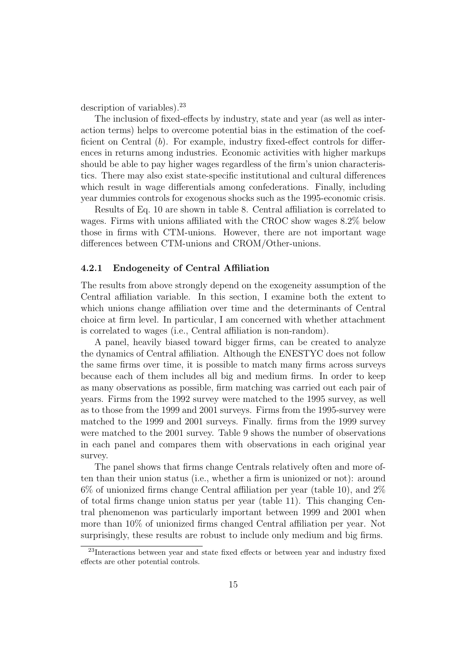description of variables).  $23$ 

The inclusion of fixed-effects by industry, state and year (as well as interaction terms) helps to overcome potential bias in the estimation of the coefficient on Central (b). For example, industry fixed-effect controls for differences in returns among industries. Economic activities with higher markups should be able to pay higher wages regardless of the firm's union characteristics. There may also exist state-specific institutional and cultural differences which result in wage differentials among confederations. Finally, including year dummies controls for exogenous shocks such as the 1995-economic crisis.

Results of Eq. 10 are shown in table 8. Central affiliation is correlated to wages. Firms with unions affiliated with the CROC show wages 8.2% below those in firms with CTM-unions. However, there are not important wage differences between CTM-unions and CROM/Other-unions.

#### 4.2.1 Endogeneity of Central Affiliation

The results from above strongly depend on the exogeneity assumption of the Central affiliation variable. In this section, I examine both the extent to which unions change affiliation over time and the determinants of Central choice at firm level. In particular, I am concerned with whether attachment is correlated to wages (i.e., Central affiliation is non-random).

A panel, heavily biased toward bigger firms, can be created to analyze the dynamics of Central affiliation. Although the ENESTYC does not follow the same firms over time, it is possible to match many firms across surveys because each of them includes all big and medium firms. In order to keep as many observations as possible, firm matching was carried out each pair of years. Firms from the 1992 survey were matched to the 1995 survey, as well as to those from the 1999 and 2001 surveys. Firms from the 1995-survey were matched to the 1999 and 2001 surveys. Finally. firms from the 1999 survey were matched to the 2001 survey. Table 9 shows the number of observations in each panel and compares them with observations in each original year survey.

The panel shows that firms change Centrals relatively often and more often than their union status (i.e., whether a firm is unionized or not): around 6% of unionized firms change Central affiliation per year (table 10), and 2% of total firms change union status per year (table 11). This changing Central phenomenon was particularly important between 1999 and 2001 when more than 10% of unionized firms changed Central affiliation per year. Not surprisingly, these results are robust to include only medium and big firms.

<sup>23</sup>Interactions between year and state fixed effects or between year and industry fixed effects are other potential controls.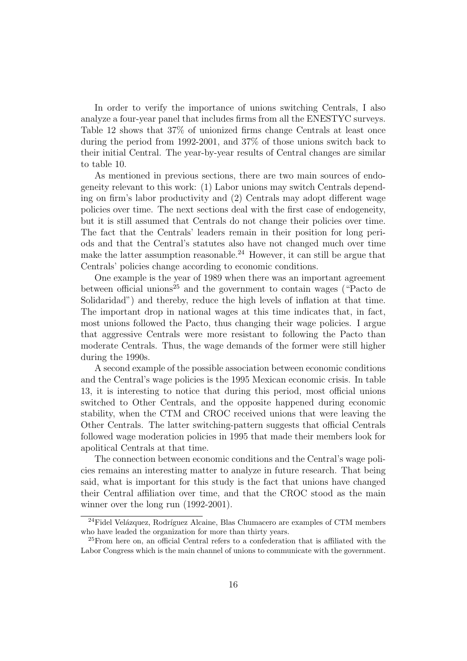In order to verify the importance of unions switching Centrals, I also analyze a four-year panel that includes firms from all the ENESTYC surveys. Table 12 shows that 37% of unionized firms change Centrals at least once during the period from 1992-2001, and 37% of those unions switch back to their initial Central. The year-by-year results of Central changes are similar to table 10.

As mentioned in previous sections, there are two main sources of endogeneity relevant to this work: (1) Labor unions may switch Centrals depending on firm's labor productivity and (2) Centrals may adopt different wage policies over time. The next sections deal with the first case of endogeneity, but it is still assumed that Centrals do not change their policies over time. The fact that the Centrals' leaders remain in their position for long periods and that the Central's statutes also have not changed much over time make the latter assumption reasonable.<sup>24</sup> However, it can still be argue that Centrals' policies change according to economic conditions.

One example is the year of 1989 when there was an important agreement between official unions<sup>25</sup> and the government to contain wages ("Pacto de Solidaridad") and thereby, reduce the high levels of inflation at that time. The important drop in national wages at this time indicates that, in fact, most unions followed the Pacto, thus changing their wage policies. I argue that aggressive Centrals were more resistant to following the Pacto than moderate Centrals. Thus, the wage demands of the former were still higher during the 1990s.

A second example of the possible association between economic conditions and the Central's wage policies is the 1995 Mexican economic crisis. In table 13, it is interesting to notice that during this period, most official unions switched to Other Centrals, and the opposite happened during economic stability, when the CTM and CROC received unions that were leaving the Other Centrals. The latter switching-pattern suggests that official Centrals followed wage moderation policies in 1995 that made their members look for apolitical Centrals at that time.

The connection between economic conditions and the Central's wage policies remains an interesting matter to analyze in future research. That being said, what is important for this study is the fact that unions have changed their Central affiliation over time, and that the CROC stood as the main winner over the long run (1992-2001).

<sup>&</sup>lt;sup>24</sup>Fidel Velázquez, Rodríguez Alcaine, Blas Chumacero are examples of CTM members who have leaded the organization for more than thirty years.

<sup>25</sup>From here on, an official Central refers to a confederation that is affiliated with the Labor Congress which is the main channel of unions to communicate with the government.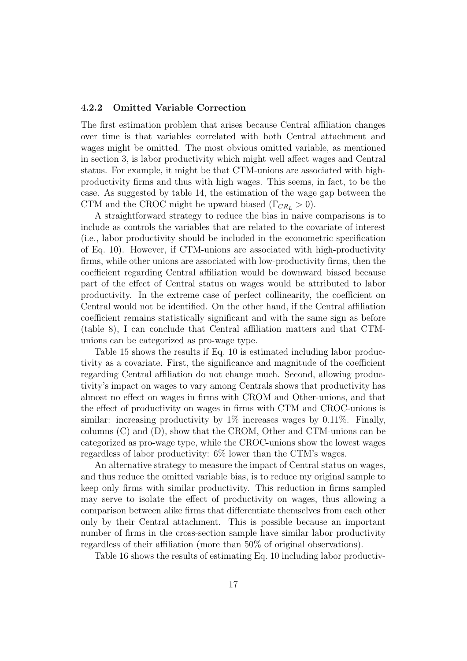#### 4.2.2 Omitted Variable Correction

The first estimation problem that arises because Central affiliation changes over time is that variables correlated with both Central attachment and wages might be omitted. The most obvious omitted variable, as mentioned in section 3, is labor productivity which might well affect wages and Central status. For example, it might be that CTM-unions are associated with highproductivity firms and thus with high wages. This seems, in fact, to be the case. As suggested by table 14, the estimation of the wage gap between the CTM and the CROC might be upward biased ( $\Gamma_{CR_L} > 0$ ).

A straightforward strategy to reduce the bias in naive comparisons is to include as controls the variables that are related to the covariate of interest (i.e., labor productivity should be included in the econometric specification of Eq. 10). However, if CTM-unions are associated with high-productivity firms, while other unions are associated with low-productivity firms, then the coefficient regarding Central affiliation would be downward biased because part of the effect of Central status on wages would be attributed to labor productivity. In the extreme case of perfect collinearity, the coefficient on Central would not be identified. On the other hand, if the Central affiliation coefficient remains statistically significant and with the same sign as before (table 8), I can conclude that Central affiliation matters and that CTMunions can be categorized as pro-wage type.

Table 15 shows the results if Eq. 10 is estimated including labor productivity as a covariate. First, the significance and magnitude of the coefficient regarding Central affiliation do not change much. Second, allowing productivity's impact on wages to vary among Centrals shows that productivity has almost no effect on wages in firms with CROM and Other-unions, and that the effect of productivity on wages in firms with CTM and CROC-unions is similar: increasing productivity by  $1\%$  increases wages by 0.11%. Finally, columns (C) and (D), show that the CROM, Other and CTM-unions can be categorized as pro-wage type, while the CROC-unions show the lowest wages regardless of labor productivity: 6% lower than the CTM's wages.

An alternative strategy to measure the impact of Central status on wages, and thus reduce the omitted variable bias, is to reduce my original sample to keep only firms with similar productivity. This reduction in firms sampled may serve to isolate the effect of productivity on wages, thus allowing a comparison between alike firms that differentiate themselves from each other only by their Central attachment. This is possible because an important number of firms in the cross-section sample have similar labor productivity regardless of their affiliation (more than 50% of original observations).

Table 16 shows the results of estimating Eq. 10 including labor productiv-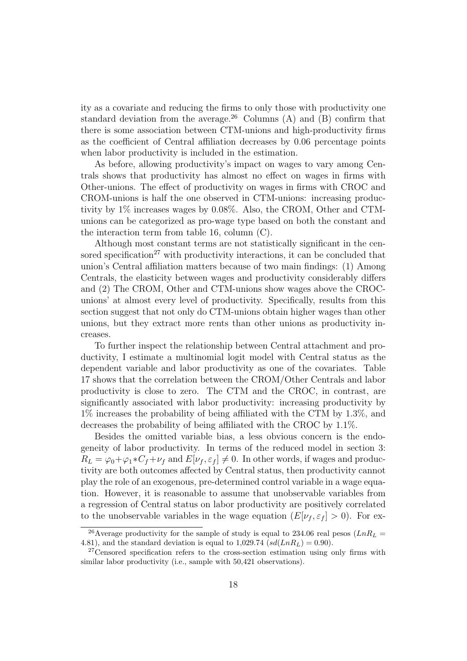ity as a covariate and reducing the firms to only those with productivity one standard deviation from the average.<sup>26</sup> Columns (A) and (B) confirm that there is some association between CTM-unions and high-productivity firms as the coefficient of Central affiliation decreases by 0.06 percentage points when labor productivity is included in the estimation.

As before, allowing productivity's impact on wages to vary among Centrals shows that productivity has almost no effect on wages in firms with Other-unions. The effect of productivity on wages in firms with CROC and CROM-unions is half the one observed in CTM-unions: increasing productivity by 1% increases wages by 0.08%. Also, the CROM, Other and CTMunions can be categorized as pro-wage type based on both the constant and the interaction term from table 16, column (C).

Although most constant terms are not statistically significant in the censored specification<sup>27</sup> with productivity interactions, it can be concluded that union's Central affiliation matters because of two main findings: (1) Among Centrals, the elasticity between wages and productivity considerably differs and (2) The CROM, Other and CTM-unions show wages above the CROCunions' at almost every level of productivity. Specifically, results from this section suggest that not only do CTM-unions obtain higher wages than other unions, but they extract more rents than other unions as productivity increases.

To further inspect the relationship between Central attachment and productivity, I estimate a multinomial logit model with Central status as the dependent variable and labor productivity as one of the covariates. Table 17 shows that the correlation between the CROM/Other Centrals and labor productivity is close to zero. The CTM and the CROC, in contrast, are significantly associated with labor productivity: increasing productivity by 1% increases the probability of being affiliated with the CTM by 1.3%, and decreases the probability of being affiliated with the CROC by 1.1%.

Besides the omitted variable bias, a less obvious concern is the endogeneity of labor productivity. In terms of the reduced model in section 3:  $R_L = \varphi_0 + \varphi_1 * C_f + \nu_f$  and  $E[\nu_f, \varepsilon_f] \neq 0$ . In other words, if wages and productivity are both outcomes affected by Central status, then productivity cannot play the role of an exogenous, pre-determined control variable in a wage equation. However, it is reasonable to assume that unobservable variables from a regression of Central status on labor productivity are positively correlated to the unobservable variables in the wage equation  $(E[\nu_f, \varepsilon_f] > 0)$ . For ex-

<sup>&</sup>lt;sup>26</sup>Average productivity for the sample of study is equal to 234.06 real pesos ( $LnR_L$  = 4.81), and the standard deviation is equal to 1,029.74  $\left(sd(LnR_L) = 0.90\right)$ .

<sup>&</sup>lt;sup>27</sup>Censored specification refers to the cross-section estimation using only firms with similar labor productivity (i.e., sample with 50,421 observations).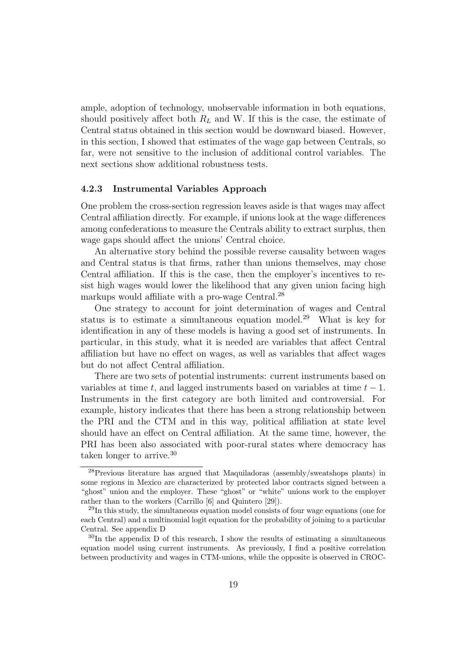ample, adoption of technology, unobservable information in both equations, should positively affect both  $R<sub>L</sub>$  and W. If this is the case, the estimate of Central status obtained in this section would be downward biased. However, in this section, I showed that estimates of the wage gap between Centrals, so far, were not sensitive to the inclusion of additional control variables. The next sections show additional robustness tests.

#### 4.2.3 Instrumental Variables Approach

One problem the cross-section regression leaves aside is that wages may affect Central affiliation directly. For example, if unions look at the wage differences among confederations to measure the Centrals ability to extract surplus, then wage gaps should affect the unions' Central choice.

An alternative story behind the possible reverse causality between wages and Central status is that firms, rather than unions themselves, may chose Central affiliation. If this is the case, then the employer's incentives to resist high wages would lower the likelihood that any given union facing high markups would affiliate with a pro-wage Central.<sup>28</sup>

One strategy to account for joint determination of wages and Central status is to estimate a simultaneous equation model.<sup>29</sup> What is key for identification in any of these models is having a good set of instruments. In particular, in this study, what it is needed are variables that affect Central affiliation but have no effect on wages, as well as variables that affect wages but do not affect Central affiliation.

There are two sets of potential instruments: current instruments based on variables at time t, and lagged instruments based on variables at time  $t - 1$ . Instruments in the first category are both limited and controversial. For example, history indicates that there has been a strong relationship between the PRI and the CTM and in this way, political affiliation at state level should have an effect on Central affiliation. At the same time, however, the PRI has been also associated with poor-rural states where democracy has taken longer to arrive.<sup>30</sup>

<sup>28</sup>Previous literature has argued that Maquiladoras (assembly/sweatshops plants) in some regions in Mexico are characterized by protected labor contracts signed between a "ghost" union and the employer. These "ghost" or "white" unions work to the employer rather than to the workers (Carrillo [6] and Quintero [29]).

<sup>29</sup>In this study, the simultaneous equation model consists of four wage equations (one for each Central) and a multinomial logit equation for the probability of joining to a particular Central. See appendix D

<sup>&</sup>lt;sup>30</sup>In the appendix D of this research, I show the results of estimating a simultaneous equation model using current instruments. As previously, I find a positive correlation between productivity and wages in CTM-unions, while the opposite is observed in CROC-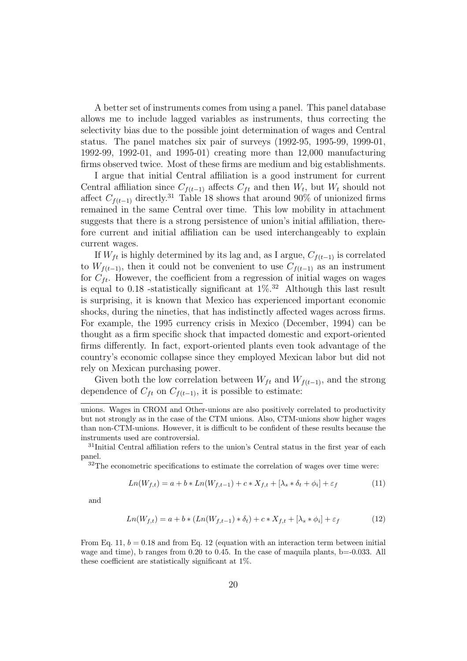A better set of instruments comes from using a panel. This panel database allows me to include lagged variables as instruments, thus correcting the selectivity bias due to the possible joint determination of wages and Central status. The panel matches six pair of surveys (1992-95, 1995-99, 1999-01, 1992-99, 1992-01, and 1995-01) creating more than 12,000 manufacturing firms observed twice. Most of these firms are medium and big establishments.

I argue that initial Central affiliation is a good instrument for current Central affiliation since  $C_{f(t-1)}$  affects  $C_{ft}$  and then  $W_t$ , but  $W_t$  should not affect  $C_{f(t-1)}$  directly.<sup>31</sup> Table 18 shows that around 90% of unionized firms remained in the same Central over time. This low mobility in attachment suggests that there is a strong persistence of union's initial affiliation, therefore current and initial affiliation can be used interchangeably to explain current wages.

If  $W_{ft}$  is highly determined by its lag and, as I argue,  $C_{f(t-1)}$  is correlated to  $W_{f(t-1)}$ , then it could not be convenient to use  $C_{f(t-1)}$  as an instrument for  $C_{ft}$ . However, the coefficient from a regression of initial wages on wages is equal to 0.18 -statistically significant at  $1\%$ .<sup>32</sup> Although this last result is surprising, it is known that Mexico has experienced important economic shocks, during the nineties, that has indistinctly affected wages across firms. For example, the 1995 currency crisis in Mexico (December, 1994) can be thought as a firm specific shock that impacted domestic and export-oriented firms differently. In fact, export-oriented plants even took advantage of the country's economic collapse since they employed Mexican labor but did not rely on Mexican purchasing power.

Given both the low correlation between  $W_{ft}$  and  $W_{f(t-1)}$ , and the strong dependence of  $C_{ft}$  on  $C_{f(t-1)}$ , it is possible to estimate:

<sup>32</sup>The econometric specifications to estimate the correlation of wages over time were:

$$
Ln(W_{f,t}) = a + b * Ln(W_{f,t-1}) + c * X_{f,t} + [\lambda_s * \delta_t + \phi_i] + \varepsilon_f
$$
\n(11)

and

$$
Ln(W_{f,t}) = a + b * (Ln(W_{f,t-1}) * \delta_t) + c * X_{f,t} + [\lambda_s * \phi_i] + \varepsilon_f
$$
\n(12)

From Eq. 11,  $b = 0.18$  and from Eq. 12 (equation with an interaction term between initial wage and time), b ranges from 0.20 to 0.45. In the case of maquila plants, b=-0.033. All these coefficient are statistically significant at 1%.

unions. Wages in CROM and Other-unions are also positively correlated to productivity but not strongly as in the case of the CTM unions. Also, CTM-unions show higher wages than non-CTM-unions. However, it is difficult to be confident of these results because the instruments used are controversial.

<sup>&</sup>lt;sup>31</sup>Initial Central affiliation refers to the union's Central status in the first year of each panel.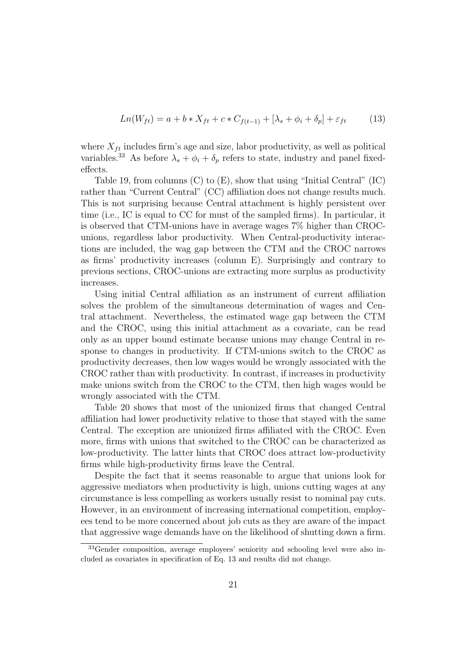$$
Ln(W_{ft}) = a + b * X_{ft} + c * C_{f(t-1)} + [\lambda_s + \phi_i + \delta_p] + \varepsilon_{ft}
$$
 (13)

where  $X_{ft}$  includes firm's age and size, labor productivity, as well as political variables.<sup>33</sup> As before  $\lambda_s + \phi_i + \delta_p$  refers to state, industry and panel fixedeffects.

Table 19, from columns (C) to (E), show that using "Initial Central" (IC) rather than "Current Central" (CC) affiliation does not change results much. This is not surprising because Central attachment is highly persistent over time (i.e., IC is equal to CC for must of the sampled firms). In particular, it is observed that CTM-unions have in average wages 7% higher than CROCunions, regardless labor productivity. When Central-productivity interactions are included, the wag gap between the CTM and the CROC narrows as firms' productivity increases (column E). Surprisingly and contrary to previous sections, CROC-unions are extracting more surplus as productivity increases.

Using initial Central affiliation as an instrument of current affiliation solves the problem of the simultaneous determination of wages and Central attachment. Nevertheless, the estimated wage gap between the CTM and the CROC, using this initial attachment as a covariate, can be read only as an upper bound estimate because unions may change Central in response to changes in productivity. If CTM-unions switch to the CROC as productivity decreases, then low wages would be wrongly associated with the CROC rather than with productivity. In contrast, if increases in productivity make unions switch from the CROC to the CTM, then high wages would be wrongly associated with the CTM.

Table 20 shows that most of the unionized firms that changed Central affiliation had lower productivity relative to those that stayed with the same Central. The exception are unionized firms affiliated with the CROC. Even more, firms with unions that switched to the CROC can be characterized as low-productivity. The latter hints that CROC does attract low-productivity firms while high-productivity firms leave the Central.

Despite the fact that it seems reasonable to argue that unions look for aggressive mediators when productivity is high, unions cutting wages at any circumstance is less compelling as workers usually resist to nominal pay cuts. However, in an environment of increasing international competition, employees tend to be more concerned about job cuts as they are aware of the impact that aggressive wage demands have on the likelihood of shutting down a firm.

<sup>33</sup>Gender composition, average employees' seniority and schooling level were also included as covariates in specification of Eq. 13 and results did not change.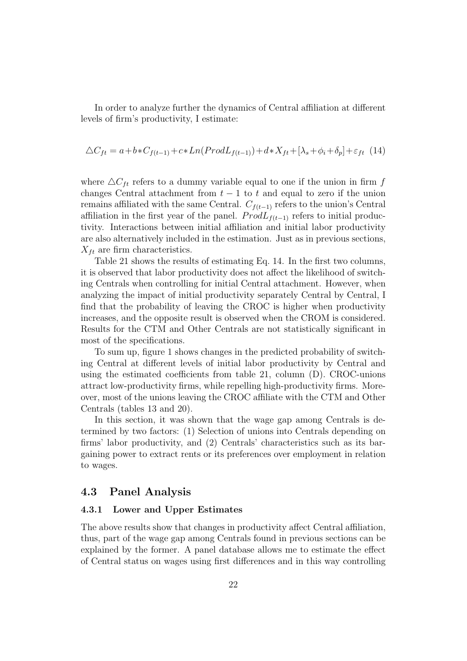In order to analyze further the dynamics of Central affiliation at different levels of firm's productivity, I estimate:

$$
\Delta C_{ft} = a + b * C_{f(t-1)} + c * Ln(Prod L_{f(t-1)}) + d * X_{ft} + [\lambda_s + \phi_i + \delta_p] + \varepsilon_{ft} (14)
$$

where  $\Delta C_{ft}$  refers to a dummy variable equal to one if the union in firm f changes Central attachment from  $t-1$  to t and equal to zero if the union remains affiliated with the same Central.  $C_{f(t-1)}$  refers to the union's Central affiliation in the first year of the panel.  $ProdL_{f(t-1)}$  refers to initial productivity. Interactions between initial affiliation and initial labor productivity are also alternatively included in the estimation. Just as in previous sections,  $X_{ft}$  are firm characteristics.

Table 21 shows the results of estimating Eq. 14. In the first two columns, it is observed that labor productivity does not affect the likelihood of switching Centrals when controlling for initial Central attachment. However, when analyzing the impact of initial productivity separately Central by Central, I find that the probability of leaving the CROC is higher when productivity increases, and the opposite result is observed when the CROM is considered. Results for the CTM and Other Centrals are not statistically significant in most of the specifications.

To sum up, figure 1 shows changes in the predicted probability of switching Central at different levels of initial labor productivity by Central and using the estimated coefficients from table 21, column (D). CROC-unions attract low-productivity firms, while repelling high-productivity firms. Moreover, most of the unions leaving the CROC affiliate with the CTM and Other Centrals (tables 13 and 20).

In this section, it was shown that the wage gap among Centrals is determined by two factors: (1) Selection of unions into Centrals depending on firms' labor productivity, and (2) Centrals' characteristics such as its bargaining power to extract rents or its preferences over employment in relation to wages.

#### 4.3 Panel Analysis

#### 4.3.1 Lower and Upper Estimates

The above results show that changes in productivity affect Central affiliation, thus, part of the wage gap among Centrals found in previous sections can be explained by the former. A panel database allows me to estimate the effect of Central status on wages using first differences and in this way controlling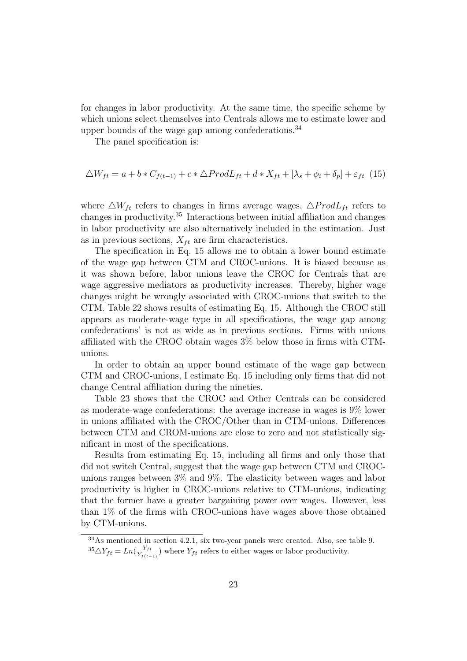for changes in labor productivity. At the same time, the specific scheme by which unions select themselves into Centrals allows me to estimate lower and upper bounds of the wage gap among confederations.  $34$ 

The panel specification is:

$$
\Delta W_{ft} = a + b * C_{f(t-1)} + c * \Delta \text{Prod} L_{ft} + d * X_{ft} + [\lambda_s + \phi_i + \delta_p] + \varepsilon_{ft} (15)
$$

where  $\triangle W_{ft}$  refers to changes in firms average wages,  $\triangle \text{Prod}L_{ft}$  refers to changes in productivity.<sup>35</sup> Interactions between initial affiliation and changes in labor productivity are also alternatively included in the estimation. Just as in previous sections,  $X_{ft}$  are firm characteristics.

The specification in Eq. 15 allows me to obtain a lower bound estimate of the wage gap between CTM and CROC-unions. It is biased because as it was shown before, labor unions leave the CROC for Centrals that are wage aggressive mediators as productivity increases. Thereby, higher wage changes might be wrongly associated with CROC-unions that switch to the CTM. Table 22 shows results of estimating Eq. 15. Although the CROC still appears as moderate-wage type in all specifications, the wage gap among confederations' is not as wide as in previous sections. Firms with unions affiliated with the CROC obtain wages 3% below those in firms with CTMunions.

In order to obtain an upper bound estimate of the wage gap between CTM and CROC-unions, I estimate Eq. 15 including only firms that did not change Central affiliation during the nineties.

Table 23 shows that the CROC and Other Centrals can be considered as moderate-wage confederations: the average increase in wages is 9% lower in unions affiliated with the CROC/Other than in CTM-unions. Differences between CTM and CROM-unions are close to zero and not statistically significant in most of the specifications.

Results from estimating Eq. 15, including all firms and only those that did not switch Central, suggest that the wage gap between CTM and CROCunions ranges between 3% and 9%. The elasticity between wages and labor productivity is higher in CROC-unions relative to CTM-unions, indicating that the former have a greater bargaining power over wages. However, less than 1% of the firms with CROC-unions have wages above those obtained by CTM-unions.

 $34$ As mentioned in section 4.2.1, six two-year panels were created. Also, see table 9.

 $^{35}\triangle Y_{ft} = Ln(\frac{Y_{ft}}{Y_{t/t}})$  $\frac{Y_{ft}}{Y_{f(t-1)}}$ ) where  $Y_{ft}$  refers to either wages or labor productivity.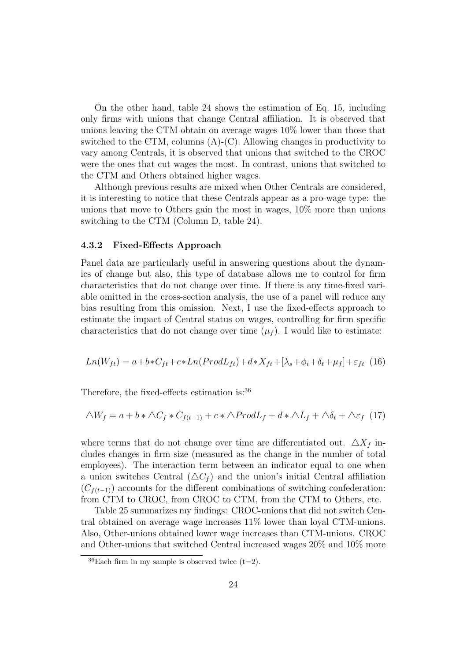On the other hand, table 24 shows the estimation of Eq. 15, including only firms with unions that change Central affiliation. It is observed that unions leaving the CTM obtain on average wages 10% lower than those that switched to the CTM, columns  $(A)$ - $(C)$ . Allowing changes in productivity to vary among Centrals, it is observed that unions that switched to the CROC were the ones that cut wages the most. In contrast, unions that switched to the CTM and Others obtained higher wages.

Although previous results are mixed when Other Centrals are considered, it is interesting to notice that these Centrals appear as a pro-wage type: the unions that move to Others gain the most in wages, 10% more than unions switching to the CTM (Column D, table 24).

#### 4.3.2 Fixed-Effects Approach

Panel data are particularly useful in answering questions about the dynamics of change but also, this type of database allows me to control for firm characteristics that do not change over time. If there is any time-fixed variable omitted in the cross-section analysis, the use of a panel will reduce any bias resulting from this omission. Next, I use the fixed-effects approach to estimate the impact of Central status on wages, controlling for firm specific characteristics that do not change over time  $(\mu_f)$ . I would like to estimate:

$$
Ln(W_{ft}) = a + b * C_{ft} + c * Ln(ProdL_{ft}) + d * X_{ft} + [\lambda_s + \phi_i + \delta_t + \mu_f] + \varepsilon_{ft} (16)
$$

Therefore, the fixed-effects estimation is:<sup>36</sup>

$$
\Delta W_f = a + b * \Delta C_f * C_{f(t-1)} + c * \Delta P {rod L_f} + d * \Delta L_f + \Delta \delta_t + \Delta \varepsilon_f
$$
 (17)

where terms that do not change over time are differentiated out.  $\Delta X_f$  includes changes in firm size (measured as the change in the number of total employees). The interaction term between an indicator equal to one when a union switches Central  $(\Delta C_f)$  and the union's initial Central affiliation  $(C_{f(t-1)})$  accounts for the different combinations of switching confederation: from CTM to CROC, from CROC to CTM, from the CTM to Others, etc.

Table 25 summarizes my findings: CROC-unions that did not switch Central obtained on average wage increases 11% lower than loyal CTM-unions. Also, Other-unions obtained lower wage increases than CTM-unions. CROC and Other-unions that switched Central increased wages 20% and 10% more

 $36$ Each firm in my sample is observed twice (t=2).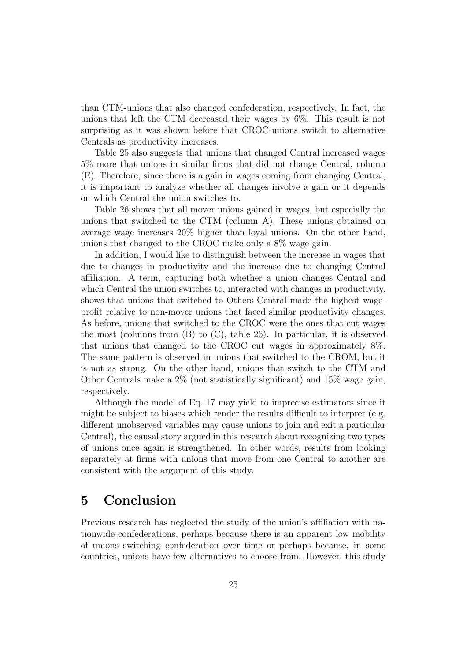than CTM-unions that also changed confederation, respectively. In fact, the unions that left the CTM decreased their wages by 6%. This result is not surprising as it was shown before that CROC-unions switch to alternative Centrals as productivity increases.

Table 25 also suggests that unions that changed Central increased wages 5% more that unions in similar firms that did not change Central, column (E). Therefore, since there is a gain in wages coming from changing Central, it is important to analyze whether all changes involve a gain or it depends on which Central the union switches to.

Table 26 shows that all mover unions gained in wages, but especially the unions that switched to the CTM (column A). These unions obtained on average wage increases 20% higher than loyal unions. On the other hand, unions that changed to the CROC make only a 8% wage gain.

In addition, I would like to distinguish between the increase in wages that due to changes in productivity and the increase due to changing Central affiliation. A term, capturing both whether a union changes Central and which Central the union switches to, interacted with changes in productivity, shows that unions that switched to Others Central made the highest wageprofit relative to non-mover unions that faced similar productivity changes. As before, unions that switched to the CROC were the ones that cut wages the most (columns from (B) to (C), table 26). In particular, it is observed that unions that changed to the CROC cut wages in approximately 8%. The same pattern is observed in unions that switched to the CROM, but it is not as strong. On the other hand, unions that switch to the CTM and Other Centrals make a 2% (not statistically significant) and 15% wage gain, respectively.

Although the model of Eq. 17 may yield to imprecise estimators since it might be subject to biases which render the results difficult to interpret (e.g. different unobserved variables may cause unions to join and exit a particular Central), the causal story argued in this research about recognizing two types of unions once again is strengthened. In other words, results from looking separately at firms with unions that move from one Central to another are consistent with the argument of this study.

## 5 Conclusion

Previous research has neglected the study of the union's affiliation with nationwide confederations, perhaps because there is an apparent low mobility of unions switching confederation over time or perhaps because, in some countries, unions have few alternatives to choose from. However, this study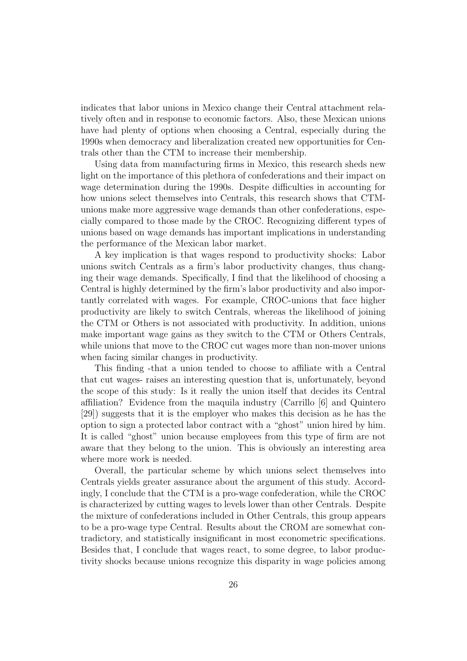indicates that labor unions in Mexico change their Central attachment relatively often and in response to economic factors. Also, these Mexican unions have had plenty of options when choosing a Central, especially during the 1990s when democracy and liberalization created new opportunities for Centrals other than the CTM to increase their membership.

Using data from manufacturing firms in Mexico, this research sheds new light on the importance of this plethora of confederations and their impact on wage determination during the 1990s. Despite difficulties in accounting for how unions select themselves into Centrals, this research shows that CTMunions make more aggressive wage demands than other confederations, especially compared to those made by the CROC. Recognizing different types of unions based on wage demands has important implications in understanding the performance of the Mexican labor market.

A key implication is that wages respond to productivity shocks: Labor unions switch Centrals as a firm's labor productivity changes, thus changing their wage demands. Specifically, I find that the likelihood of choosing a Central is highly determined by the firm's labor productivity and also importantly correlated with wages. For example, CROC-unions that face higher productivity are likely to switch Centrals, whereas the likelihood of joining the CTM or Others is not associated with productivity. In addition, unions make important wage gains as they switch to the CTM or Others Centrals, while unions that move to the CROC cut wages more than non-mover unions when facing similar changes in productivity.

This finding -that a union tended to choose to affiliate with a Central that cut wages- raises an interesting question that is, unfortunately, beyond the scope of this study: Is it really the union itself that decides its Central affiliation? Evidence from the maquila industry (Carrillo [6] and Quintero [29]) suggests that it is the employer who makes this decision as he has the option to sign a protected labor contract with a "ghost" union hired by him. It is called "ghost" union because employees from this type of firm are not aware that they belong to the union. This is obviously an interesting area where more work is needed.

Overall, the particular scheme by which unions select themselves into Centrals yields greater assurance about the argument of this study. Accordingly, I conclude that the CTM is a pro-wage confederation, while the CROC is characterized by cutting wages to levels lower than other Centrals. Despite the mixture of confederations included in Other Centrals, this group appears to be a pro-wage type Central. Results about the CROM are somewhat contradictory, and statistically insignificant in most econometric specifications. Besides that, I conclude that wages react, to some degree, to labor productivity shocks because unions recognize this disparity in wage policies among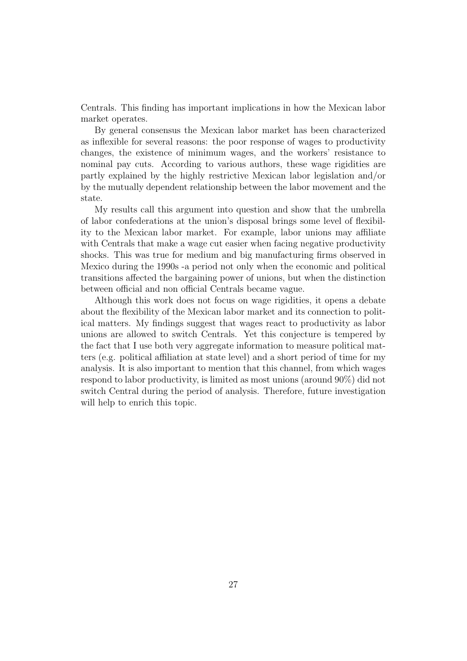Centrals. This finding has important implications in how the Mexican labor market operates.

By general consensus the Mexican labor market has been characterized as inflexible for several reasons: the poor response of wages to productivity changes, the existence of minimum wages, and the workers' resistance to nominal pay cuts. According to various authors, these wage rigidities are partly explained by the highly restrictive Mexican labor legislation and/or by the mutually dependent relationship between the labor movement and the state.

My results call this argument into question and show that the umbrella of labor confederations at the union's disposal brings some level of flexibility to the Mexican labor market. For example, labor unions may affiliate with Centrals that make a wage cut easier when facing negative productivity shocks. This was true for medium and big manufacturing firms observed in Mexico during the 1990s -a period not only when the economic and political transitions affected the bargaining power of unions, but when the distinction between official and non official Centrals became vague.

Although this work does not focus on wage rigidities, it opens a debate about the flexibility of the Mexican labor market and its connection to political matters. My findings suggest that wages react to productivity as labor unions are allowed to switch Centrals. Yet this conjecture is tempered by the fact that I use both very aggregate information to measure political matters (e.g. political affiliation at state level) and a short period of time for my analysis. It is also important to mention that this channel, from which wages respond to labor productivity, is limited as most unions (around 90%) did not switch Central during the period of analysis. Therefore, future investigation will help to enrich this topic.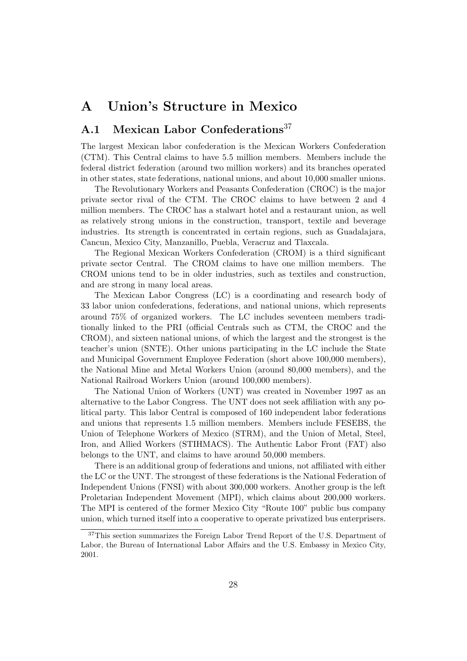# A Union's Structure in Mexico

## A.1 Mexican Labor Confederations<sup>37</sup>

The largest Mexican labor confederation is the Mexican Workers Confederation (CTM). This Central claims to have 5.5 million members. Members include the federal district federation (around two million workers) and its branches operated in other states, state federations, national unions, and about 10,000 smaller unions.

The Revolutionary Workers and Peasants Confederation (CROC) is the major private sector rival of the CTM. The CROC claims to have between 2 and 4 million members. The CROC has a stalwart hotel and a restaurant union, as well as relatively strong unions in the construction, transport, textile and beverage industries. Its strength is concentrated in certain regions, such as Guadalajara, Cancun, Mexico City, Manzanillo, Puebla, Veracruz and Tlaxcala.

The Regional Mexican Workers Confederation (CROM) is a third significant private sector Central. The CROM claims to have one million members. The CROM unions tend to be in older industries, such as textiles and construction, and are strong in many local areas.

The Mexican Labor Congress (LC) is a coordinating and research body of 33 labor union confederations, federations, and national unions, which represents around 75% of organized workers. The LC includes seventeen members traditionally linked to the PRI (official Centrals such as CTM, the CROC and the CROM), and sixteen national unions, of which the largest and the strongest is the teacher's union (SNTE). Other unions participating in the LC include the State and Municipal Government Employee Federation (short above 100,000 members), the National Mine and Metal Workers Union (around 80,000 members), and the National Railroad Workers Union (around 100,000 members).

The National Union of Workers (UNT) was created in November 1997 as an alternative to the Labor Congress. The UNT does not seek affiliation with any political party. This labor Central is composed of 160 independent labor federations and unions that represents 1.5 million members. Members include FESEBS, the Union of Telephone Workers of Mexico (STRM), and the Union of Metal, Steel, Iron, and Allied Workers (STIHMACS). The Authentic Labor Front (FAT) also belongs to the UNT, and claims to have around 50,000 members.

There is an additional group of federations and unions, not affiliated with either the LC or the UNT. The strongest of these federations is the National Federation of Independent Unions (FNSI) with about 300,000 workers. Another group is the left Proletarian Independent Movement (MPI), which claims about 200,000 workers. The MPI is centered of the former Mexico City "Route 100" public bus company union, which turned itself into a cooperative to operate privatized bus enterprisers.

<sup>37</sup>This section summarizes the Foreign Labor Trend Report of the U.S. Department of Labor, the Bureau of International Labor Affairs and the U.S. Embassy in Mexico City, 2001.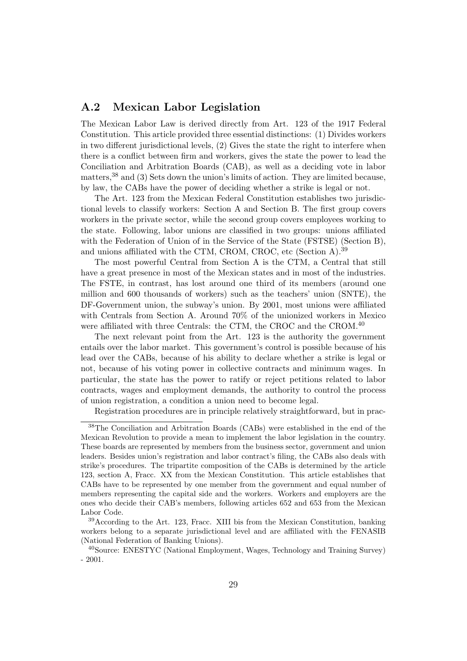## A.2 Mexican Labor Legislation

The Mexican Labor Law is derived directly from Art. 123 of the 1917 Federal Constitution. This article provided three essential distinctions: (1) Divides workers in two different jurisdictional levels, (2) Gives the state the right to interfere when there is a conflict between firm and workers, gives the state the power to lead the Conciliation and Arbitration Boards (CAB), as well as a deciding vote in labor matters,  $38$  and (3) Sets down the union's limits of action. They are limited because, by law, the CABs have the power of deciding whether a strike is legal or not.

The Art. 123 from the Mexican Federal Constitution establishes two jurisdictional levels to classify workers: Section A and Section B. The first group covers workers in the private sector, while the second group covers employees working to the state. Following, labor unions are classified in two groups: unions affiliated with the Federation of Union of in the Service of the State (FSTSE) (Section B), and unions affiliated with the CTM, CROM, CROC, etc (Section A).<sup>39</sup>

The most powerful Central from Section A is the CTM, a Central that still have a great presence in most of the Mexican states and in most of the industries. The FSTE, in contrast, has lost around one third of its members (around one million and 600 thousands of workers) such as the teachers' union (SNTE), the DF-Government union, the subway's union. By 2001, most unions were affiliated with Centrals from Section A. Around 70% of the unionized workers in Mexico were affiliated with three Centrals: the CTM, the CROC and the CROM.<sup>40</sup>

The next relevant point from the Art. 123 is the authority the government entails over the labor market. This government's control is possible because of his lead over the CABs, because of his ability to declare whether a strike is legal or not, because of his voting power in collective contracts and minimum wages. In particular, the state has the power to ratify or reject petitions related to labor contracts, wages and employment demands, the authority to control the process of union registration, a condition a union need to become legal.

Registration procedures are in principle relatively straightforward, but in prac-

<sup>38</sup>The Conciliation and Arbitration Boards (CABs) were established in the end of the Mexican Revolution to provide a mean to implement the labor legislation in the country. These boards are represented by members from the business sector, government and union leaders. Besides union's registration and labor contract's filing, the CABs also deals with strike's procedures. The tripartite composition of the CABs is determined by the article 123, section A, Fracc. XX from the Mexican Constitution. This article establishes that CABs have to be represented by one member from the government and equal number of members representing the capital side and the workers. Workers and employers are the ones who decide their CAB's members, following articles 652 and 653 from the Mexican Labor Code.

<sup>39</sup>According to the Art. 123, Fracc. XIII bis from the Mexican Constitution, banking workers belong to a separate jurisdictional level and are affiliated with the FENASIB (National Federation of Banking Unions).

<sup>40</sup>Source: ENESTYC (National Employment, Wages, Technology and Training Survey) - 2001.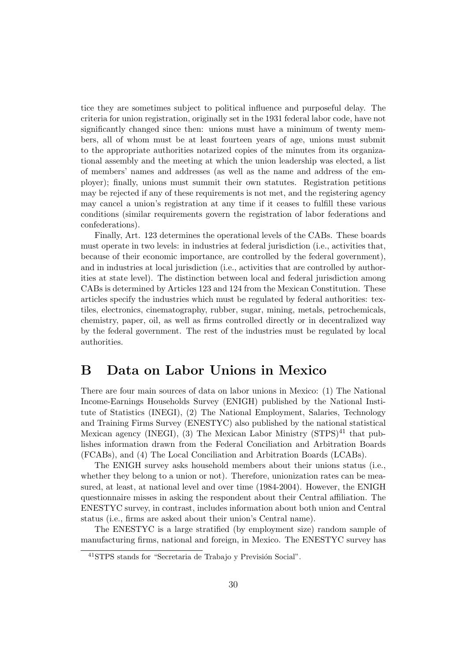tice they are sometimes subject to political influence and purposeful delay. The criteria for union registration, originally set in the 1931 federal labor code, have not significantly changed since then: unions must have a minimum of twenty members, all of whom must be at least fourteen years of age, unions must submit to the appropriate authorities notarized copies of the minutes from its organizational assembly and the meeting at which the union leadership was elected, a list of members' names and addresses (as well as the name and address of the employer); finally, unions must summit their own statutes. Registration petitions may be rejected if any of these requirements is not met, and the registering agency may cancel a union's registration at any time if it ceases to fulfill these various conditions (similar requirements govern the registration of labor federations and confederations).

Finally, Art. 123 determines the operational levels of the CABs. These boards must operate in two levels: in industries at federal jurisdiction (i.e., activities that, because of their economic importance, are controlled by the federal government), and in industries at local jurisdiction (i.e., activities that are controlled by authorities at state level). The distinction between local and federal jurisdiction among CABs is determined by Articles 123 and 124 from the Mexican Constitution. These articles specify the industries which must be regulated by federal authorities: textiles, electronics, cinematography, rubber, sugar, mining, metals, petrochemicals, chemistry, paper, oil, as well as firms controlled directly or in decentralized way by the federal government. The rest of the industries must be regulated by local authorities.

## B Data on Labor Unions in Mexico

There are four main sources of data on labor unions in Mexico: (1) The National Income-Earnings Households Survey (ENIGH) published by the National Institute of Statistics (INEGI), (2) The National Employment, Salaries, Technology and Training Firms Survey (ENESTYC) also published by the national statistical Mexican agency (INEGI), (3) The Mexican Labor Ministry  $(STPS)^{41}$  that publishes information drawn from the Federal Conciliation and Arbitration Boards (FCABs), and (4) The Local Conciliation and Arbitration Boards (LCABs).

The ENIGH survey asks household members about their unions status (i.e., whether they belong to a union or not). Therefore, unionization rates can be measured, at least, at national level and over time (1984-2004). However, the ENIGH questionnaire misses in asking the respondent about their Central affiliation. The ENESTYC survey, in contrast, includes information about both union and Central status (i.e., firms are asked about their union's Central name).

The ENESTYC is a large stratified (by employment size) random sample of manufacturing firms, national and foreign, in Mexico. The ENESTYC survey has

<sup>&</sup>lt;sup>41</sup>STPS stands for "Secretaria de Trabajo y Previsión Social".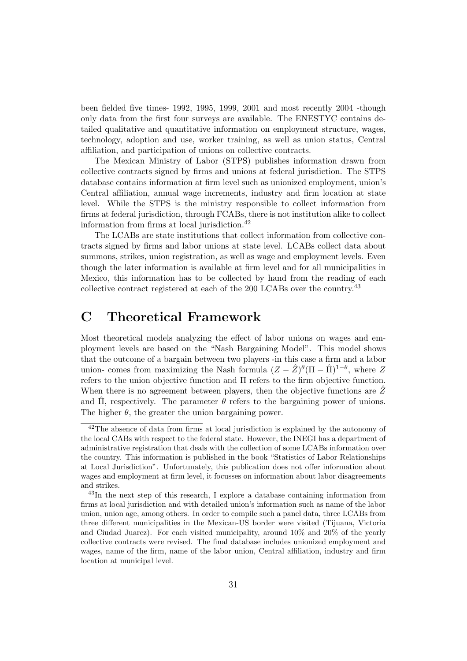been fielded five times- 1992, 1995, 1999, 2001 and most recently 2004 -though only data from the first four surveys are available. The ENESTYC contains detailed qualitative and quantitative information on employment structure, wages, technology, adoption and use, worker training, as well as union status, Central affiliation, and participation of unions on collective contracts.

The Mexican Ministry of Labor (STPS) publishes information drawn from collective contracts signed by firms and unions at federal jurisdiction. The STPS database contains information at firm level such as unionized employment, union's Central affiliation, annual wage increments, industry and firm location at state level. While the STPS is the ministry responsible to collect information from firms at federal jurisdiction, through FCABs, there is not institution alike to collect information from firms at local jurisdiction.<sup>42</sup>

The LCABs are state institutions that collect information from collective contracts signed by firms and labor unions at state level. LCABs collect data about summons, strikes, union registration, as well as wage and employment levels. Even though the later information is available at firm level and for all municipalities in Mexico, this information has to be collected by hand from the reading of each collective contract registered at each of the 200 LCABs over the country.<sup>43</sup>

# C Theoretical Framework

Most theoretical models analyzing the effect of labor unions on wages and employment levels are based on the "Nash Bargaining Model". This model shows that the outcome of a bargain between two players -in this case a firm and a labor union- comes from maximizing the Nash formula  $(Z - \hat{Z})^{\theta}(\Pi - \hat{\Pi})^{1-\theta}$ , where Z refers to the union objective function and Π refers to the firm objective function. When there is no agreement between players, then the objective functions are  $\hat{Z}$ and  $\hat{\Pi}$ , respectively. The parameter  $\theta$  refers to the bargaining power of unions. The higher  $\theta$ , the greater the union bargaining power.

<sup>42</sup>The absence of data from firms at local jurisdiction is explained by the autonomy of the local CABs with respect to the federal state. However, the INEGI has a department of administrative registration that deals with the collection of some LCABs information over the country. This information is published in the book "Statistics of Labor Relationships at Local Jurisdiction". Unfortunately, this publication does not offer information about wages and employment at firm level, it focusses on information about labor disagreements and strikes.

<sup>43</sup>In the next step of this research, I explore a database containing information from firms at local jurisdiction and with detailed union's information such as name of the labor union, union age, among others. In order to compile such a panel data, three LCABs from three different municipalities in the Mexican-US border were visited (Tijuana, Victoria and Ciudad Juarez). For each visited municipality, around 10% and 20% of the yearly collective contracts were revised. The final database includes unionized employment and wages, name of the firm, name of the labor union, Central affiliation, industry and firm location at municipal level.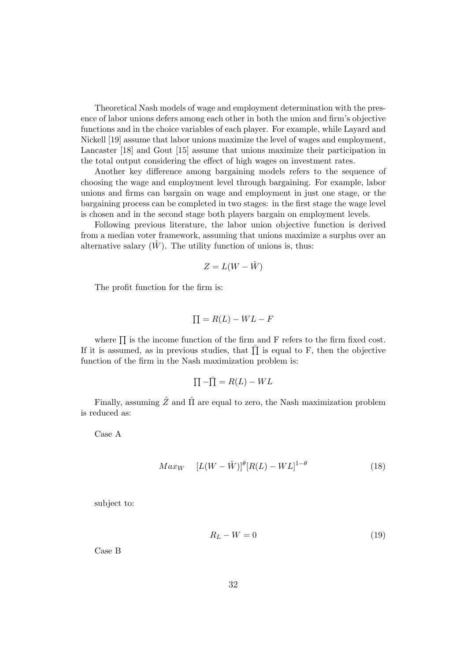Theoretical Nash models of wage and employment determination with the presence of labor unions defers among each other in both the union and firm's objective functions and in the choice variables of each player. For example, while Layard and Nickell [19] assume that labor unions maximize the level of wages and employment, Lancaster [18] and Gout [15] assume that unions maximize their participation in the total output considering the effect of high wages on investment rates.

Another key difference among bargaining models refers to the sequence of choosing the wage and employment level through bargaining. For example, labor unions and firms can bargain on wage and employment in just one stage, or the bargaining process can be completed in two stages: in the first stage the wage level is chosen and in the second stage both players bargain on employment levels.

Following previous literature, the labor union objective function is derived from a median voter framework, assuming that unions maximize a surplus over an alternative salary  $(W)$ . The utility function of unions is, thus:

$$
Z = L(W - \hat{W})
$$

The profit function for the firm is:

$$
\Pi = R(L) - WL - F
$$

where  $\prod$  is the income function of the firm and F refers to the firm fixed cost. If it is assumed, as in previous studies, that  $\overline{\Pi}$  is equal to F, then the objective function of the firm in the Nash maximization problem is:

$$
\Pi - \bar{\Pi} = R(L) - WL
$$

Finally, assuming  $\hat{Z}$  and  $\hat{\Pi}$  are equal to zero, the Nash maximization problem is reduced as:

Case A

$$
Max_W \quad [L(W - \hat{W})]^{\theta} [R(L) - WL]^{1-\theta} \tag{18}
$$

subject to:

$$
R_L - W = 0 \tag{19}
$$

Case B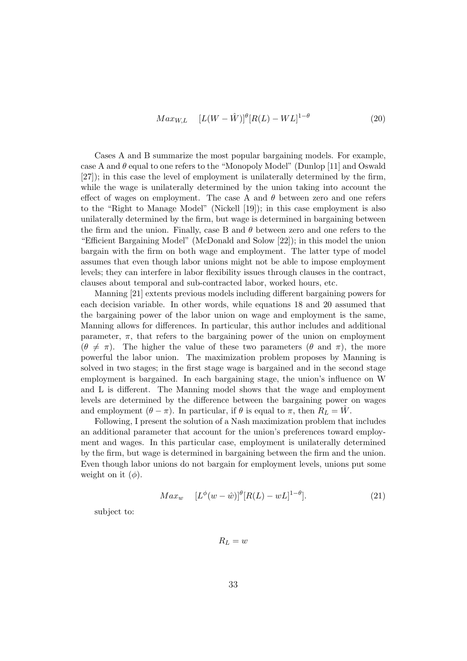$$
Max_{W,L} \quad [L(W - \hat{W})]^{\theta} [R(L) - WL]^{1-\theta} \tag{20}
$$

Cases A and B summarize the most popular bargaining models. For example, case A and  $\theta$  equal to one refers to the "Monopoly Model" (Dunlop [11] and Oswald [27]); in this case the level of employment is unilaterally determined by the firm, while the wage is unilaterally determined by the union taking into account the effect of wages on employment. The case A and  $\theta$  between zero and one refers to the "Right to Manage Model" (Nickell [19]); in this case employment is also unilaterally determined by the firm, but wage is determined in bargaining between the firm and the union. Finally, case B and  $\theta$  between zero and one refers to the "Efficient Bargaining Model" (McDonald and Solow [22]); in this model the union bargain with the firm on both wage and employment. The latter type of model assumes that even though labor unions might not be able to impose employment levels; they can interfere in labor flexibility issues through clauses in the contract, clauses about temporal and sub-contracted labor, worked hours, etc.

Manning [21] extents previous models including different bargaining powers for each decision variable. In other words, while equations 18 and 20 assumed that the bargaining power of the labor union on wage and employment is the same, Manning allows for differences. In particular, this author includes and additional parameter,  $\pi$ , that refers to the bargaining power of the union on employment  $(\theta \neq \pi)$ . The higher the value of these two parameters  $(\theta$  and  $\pi)$ , the more powerful the labor union. The maximization problem proposes by Manning is solved in two stages; in the first stage wage is bargained and in the second stage employment is bargained. In each bargaining stage, the union's influence on W and L is different. The Manning model shows that the wage and employment levels are determined by the difference between the bargaining power on wages and employment  $(\theta - \pi)$ . In particular, if  $\theta$  is equal to  $\pi$ , then  $R_L = \tilde{W}$ .

Following, I present the solution of a Nash maximization problem that includes an additional parameter that account for the union's preferences toward employment and wages. In this particular case, employment is unilaterally determined by the firm, but wage is determined in bargaining between the firm and the union. Even though labor unions do not bargain for employment levels, unions put some weight on it  $(\phi)$ .

$$
Max_w \t[L^{\phi}(w - \hat{w})]^{\theta}[R(L) - wL]^{1-\theta}]. \t(21)
$$

subject to:

 $R_L = w$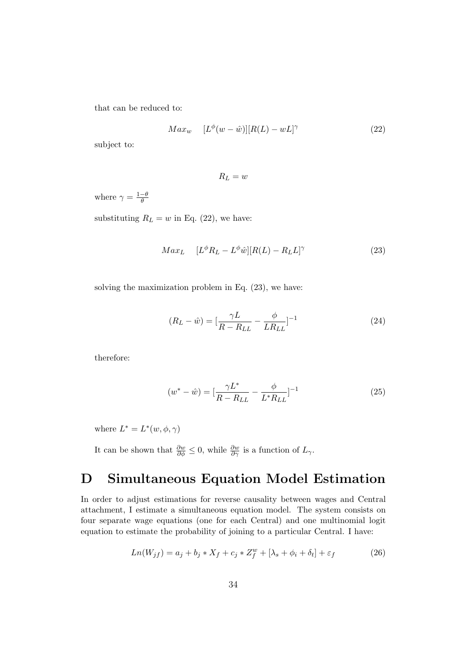that can be reduced to:

$$
Max_w \quad [L^{\phi}(w - \hat{w})][R(L) - wL]^{\gamma} \tag{22}
$$

subject to:

 $R_L = w$ 

where  $\gamma = \frac{1-\theta}{\theta}$ θ

substituting  $R_L = w$  in Eq. (22), we have:

$$
Max_{L} \quad [L^{\phi}R_{L} - L^{\phi}\hat{w}][R(L) - R_{L}L]^{\gamma} \tag{23}
$$

solving the maximization problem in Eq. (23), we have:

$$
(R_L - \hat{w}) = \left[\frac{\gamma L}{R - R_{LL}} - \frac{\phi}{LR_{LL}}\right]^{-1}
$$
\n(24)

therefore:

$$
(w^* - \hat{w}) = \left[\frac{\gamma L^*}{R - R_{LL}} - \frac{\phi}{L^* R_{LL}}\right]^{-1} \tag{25}
$$

where  $L^* = L^*(w, \phi, \gamma)$ 

It can be shown that  $\frac{\partial w}{\partial \phi} \leq 0$ , while  $\frac{\partial w}{\partial \gamma}$  is a function of  $L_{\gamma}$ .

# D Simultaneous Equation Model Estimation

In order to adjust estimations for reverse causality between wages and Central attachment, I estimate a simultaneous equation model. The system consists on four separate wage equations (one for each Central) and one multinomial logit equation to estimate the probability of joining to a particular Central. I have:

$$
Ln(W_{jf}) = a_j + b_j \cdot X_f + c_j \cdot Z_f^w + [\lambda_s + \phi_i + \delta_t] + \varepsilon_f \tag{26}
$$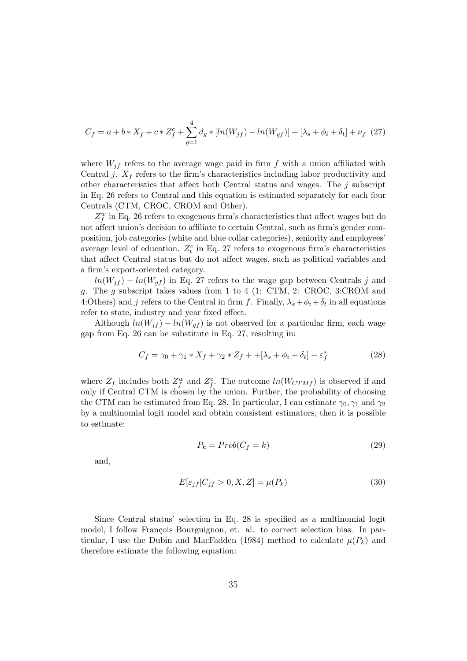$$
C_f = a + b \cdot X_f + c \cdot Z_f^c + \sum_{g=1}^4 d_g \cdot [ln(W_{jf}) - ln(W_{gf})] + [\lambda_s + \phi_i + \delta_t] + \nu_f \tag{27}
$$

where  $W_{jf}$  refers to the average wage paid in firm f with a union affiliated with Central j.  $X_f$  refers to the firm's characteristics including labor productivity and other characteristics that affect both Central status and wages. The  $j$  subscript in Eq. 26 refers to Central and this equation is estimated separately for each four Centrals (CTM, CROC, CROM and Other).

 $Z_f^w$  in Eq. 26 refers to exogenous firm's characteristics that affect wages but do not affect union's decision to affiliate to certain Central, such as firm's gender composition, job categories (white and blue collar categories), seniority and employees' average level of education.  $Z_t^c$  in Eq. 27 refers to exogenous firm's characteristics that affect Central status but do not affect wages, such as political variables and a firm's export-oriented category.

 $ln(W_{if}) - ln(W_{gf})$  in Eq. 27 refers to the wage gap between Centrals j and g. The g subscript takes values from 1 to 4 (1: CTM, 2: CROC, 3:CROM and 4:Others) and j refers to the Central in firm f. Finally,  $\lambda_s + \phi_i + \delta_t$  in all equations refer to state, industry and year fixed effect.

Although  $ln(W_{if}) - ln(W_{gf})$  is not observed for a particular firm, each wage gap from Eq. 26 can be substitute in Eq. 27, resulting in:

$$
C_f = \gamma_0 + \gamma_1 \ast X_f + \gamma_2 \ast Z_f + +[\lambda_s + \phi_i + \delta_t] - \varepsilon_f^* \tag{28}
$$

where  $Z_f$  includes both  $Z_f^w$  and  $Z_f^c$ . The outcome  $ln(W_{CTM}f)$  is observed if and only if Central CTM is chosen by the union. Further, the probability of choosing the CTM can be estimated from Eq. 28. In particular, I can estimate  $\gamma_0, \gamma_1$  and  $\gamma_2$ by a multinomial logit model and obtain consistent estimators, then it is possible to estimate:

$$
P_k = Prob(C_f = k)
$$
\n(29)

and,

$$
E[\varepsilon_{jf}|C_{jf} > 0, X, Z] = \mu(P_k)
$$
\n(30)

Since Central status' selection in Eq. 28 is specified as a multinomial logit model, I follow François Bourguignon, et. al. to correct selection bias. In particular, I use the Dubin and MacFadden (1984) method to calculate  $\mu(P_k)$  and therefore estimate the following equation: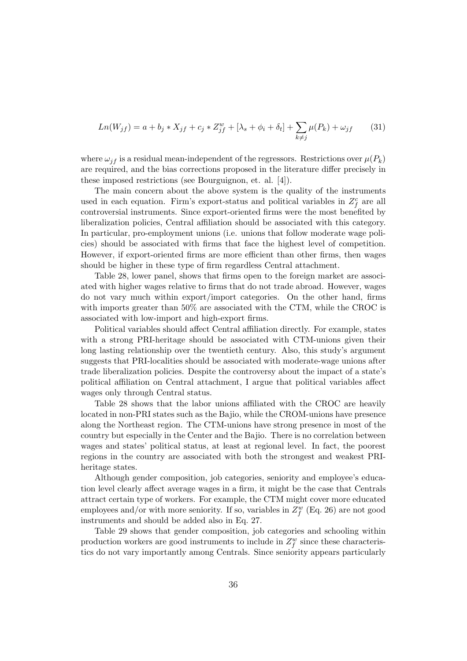$$
Ln(W_{jf}) = a + b_j * X_{jf} + c_j * Z_{jf}^w + [\lambda_s + \phi_i + \delta_t] + \sum_{k \neq j} \mu(P_k) + \omega_{jf}
$$
 (31)

where  $\omega_{if}$  is a residual mean-independent of the regressors. Restrictions over  $\mu(P_k)$ are required, and the bias corrections proposed in the literature differ precisely in these imposed restrictions (see Bourguignon, et. al. [4]).

The main concern about the above system is the quality of the instruments used in each equation. Firm's export-status and political variables in  $Z_f^c$  are all controversial instruments. Since export-oriented firms were the most benefited by liberalization policies, Central affiliation should be associated with this category. In particular, pro-employment unions (i.e. unions that follow moderate wage policies) should be associated with firms that face the highest level of competition. However, if export-oriented firms are more efficient than other firms, then wages should be higher in these type of firm regardless Central attachment.

Table 28, lower panel, shows that firms open to the foreign market are associated with higher wages relative to firms that do not trade abroad. However, wages do not vary much within export/import categories. On the other hand, firms with imports greater than 50% are associated with the CTM, while the CROC is associated with low-import and high-export firms.

Political variables should affect Central affiliation directly. For example, states with a strong PRI-heritage should be associated with CTM-unions given their long lasting relationship over the twentieth century. Also, this study's argument suggests that PRI-localities should be associated with moderate-wage unions after trade liberalization policies. Despite the controversy about the impact of a state's political affiliation on Central attachment, I argue that political variables affect wages only through Central status.

Table 28 shows that the labor unions affiliated with the CROC are heavily located in non-PRI states such as the Bajio, while the CROM-unions have presence along the Northeast region. The CTM-unions have strong presence in most of the country but especially in the Center and the Bajio. There is no correlation between wages and states' political status, at least at regional level. In fact, the poorest regions in the country are associated with both the strongest and weakest PRIheritage states.

Although gender composition, job categories, seniority and employee's education level clearly affect average wages in a firm, it might be the case that Centrals attract certain type of workers. For example, the CTM might cover more educated employees and/or with more seniority. If so, variables in  $Z_f^w$  (Eq. 26) are not good instruments and should be added also in Eq. 27.

Table 29 shows that gender composition, job categories and schooling within production workers are good instruments to include in  $Z_f^w$  since these characteristics do not vary importantly among Centrals. Since seniority appears particularly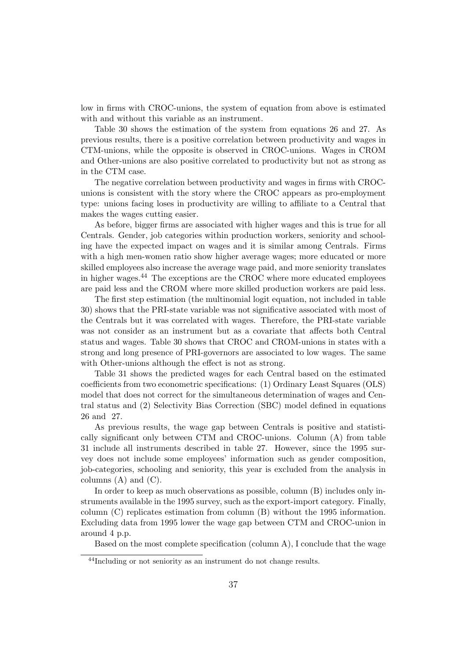low in firms with CROC-unions, the system of equation from above is estimated with and without this variable as an instrument.

Table 30 shows the estimation of the system from equations 26 and 27. As previous results, there is a positive correlation between productivity and wages in CTM-unions, while the opposite is observed in CROC-unions. Wages in CROM and Other-unions are also positive correlated to productivity but not as strong as in the CTM case.

The negative correlation between productivity and wages in firms with CROCunions is consistent with the story where the CROC appears as pro-employment type: unions facing loses in productivity are willing to affiliate to a Central that makes the wages cutting easier.

As before, bigger firms are associated with higher wages and this is true for all Centrals. Gender, job categories within production workers, seniority and schooling have the expected impact on wages and it is similar among Centrals. Firms with a high men-women ratio show higher average wages; more educated or more skilled employees also increase the average wage paid, and more seniority translates in higher wages.<sup>44</sup> The exceptions are the CROC where more educated employees are paid less and the CROM where more skilled production workers are paid less.

The first step estimation (the multinomial logit equation, not included in table 30) shows that the PRI-state variable was not significative associated with most of the Centrals but it was correlated with wages. Therefore, the PRI-state variable was not consider as an instrument but as a covariate that affects both Central status and wages. Table 30 shows that CROC and CROM-unions in states with a strong and long presence of PRI-governors are associated to low wages. The same with Other-unions although the effect is not as strong.

Table 31 shows the predicted wages for each Central based on the estimated coefficients from two econometric specifications: (1) Ordinary Least Squares (OLS) model that does not correct for the simultaneous determination of wages and Central status and (2) Selectivity Bias Correction (SBC) model defined in equations 26 and 27.

As previous results, the wage gap between Centrals is positive and statistically significant only between CTM and CROC-unions. Column (A) from table 31 include all instruments described in table 27. However, since the 1995 survey does not include some employees' information such as gender composition, job-categories, schooling and seniority, this year is excluded from the analysis in columns  $(A)$  and  $(C)$ .

In order to keep as much observations as possible, column (B) includes only instruments available in the 1995 survey, such as the export-import category. Finally, column (C) replicates estimation from column (B) without the 1995 information. Excluding data from 1995 lower the wage gap between CTM and CROC-union in around 4 p.p.

Based on the most complete specification (column A), I conclude that the wage

<sup>&</sup>lt;sup>44</sup>Including or not seniority as an instrument do not change results.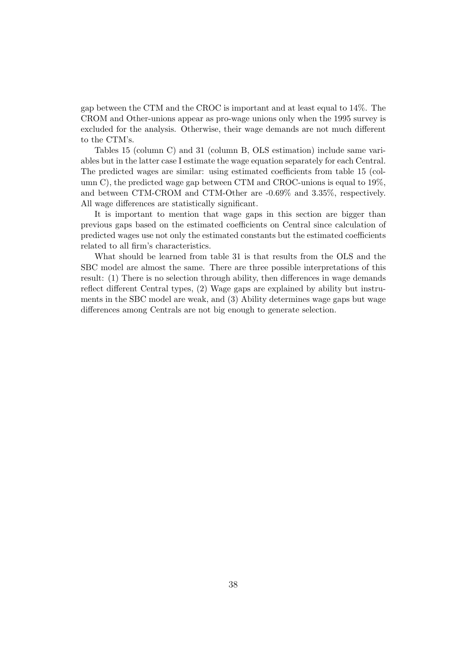gap between the CTM and the CROC is important and at least equal to 14%. The CROM and Other-unions appear as pro-wage unions only when the 1995 survey is excluded for the analysis. Otherwise, their wage demands are not much different to the CTM's.

Tables 15 (column C) and 31 (column B, OLS estimation) include same variables but in the latter case I estimate the wage equation separately for each Central. The predicted wages are similar: using estimated coefficients from table 15 (column C), the predicted wage gap between CTM and CROC-unions is equal to 19%, and between CTM-CROM and CTM-Other are -0.69% and 3.35%, respectively. All wage differences are statistically significant.

It is important to mention that wage gaps in this section are bigger than previous gaps based on the estimated coefficients on Central since calculation of predicted wages use not only the estimated constants but the estimated coefficients related to all firm's characteristics.

What should be learned from table 31 is that results from the OLS and the SBC model are almost the same. There are three possible interpretations of this result: (1) There is no selection through ability, then differences in wage demands reflect different Central types, (2) Wage gaps are explained by ability but instruments in the SBC model are weak, and (3) Ability determines wage gaps but wage differences among Centrals are not big enough to generate selection.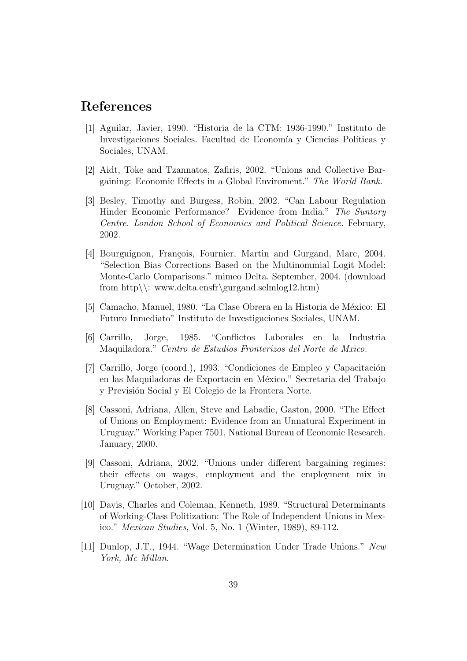# References

- [1] Aguilar, Javier, 1990. "Historia de la CTM: 1936-1990." Instituto de Investigaciones Sociales. Facultad de Economía y Ciencias Políticas y Sociales, UNAM.
- [2] Aidt, Toke and Tzannatos, Zafiris, 2002. "Unions and Collective Bargaining: Economic Effects in a Global Enviroment." The World Bank.
- [3] Besley, Timothy and Burgess, Robin, 2002. "Can Labour Regulation Hinder Economic Performance? Evidence from India." The Suntory Centre. London School of Economics and Political Science. February, 2002.
- [4] Bourguignon, François, Fournier, Martin and Gurgand, Marc, 2004. "Selection Bias Corrections Based on the Multinommial Logit Model: Monte-Carlo Comparisons." mimeo Delta. September, 2004. (download from http\\: www.delta.ensfr\gurgand.selmlog12.htm)
- [5] Camacho, Manuel, 1980. "La Clase Obrera en la Historia de México: El Futuro Inmediato" Instituto de Investigaciones Sociales, UNAM.
- [6] Carrillo, Jorge, 1985. "Conflictos Laborales en la Industria Maquiladora." Centro de Estudios Fronterizos del Norte de Mxico.
- [7] Carrillo, Jorge (coord.), 1993. "Condiciones de Empleo y Capacitación en las Maquiladoras de Exportacin en México." Secretaria del Trabajo y Previsión Social y El Colegio de la Frontera Norte.
- [8] Cassoni, Adriana, Allen, Steve and Labadie, Gaston, 2000. "The Effect of Unions on Employment: Evidence from an Unnatural Experiment in Uruguay." Working Paper 7501, National Bureau of Economic Research. January, 2000.
- [9] Cassoni, Adriana, 2002. "Unions under different bargaining regimes: their effects on wages, employment and the employment mix in Uruguay." October, 2002.
- [10] Davis, Charles and Coleman, Kenneth, 1989. "Structural Determinants of Working-Class Politization: The Role of Independent Unions in Mexico." Mexican Studies, Vol. 5, No. 1 (Winter, 1989), 89-112.
- [11] Dunlop, J.T., 1944. "Wage Determination Under Trade Unions." New York, Mc Millan.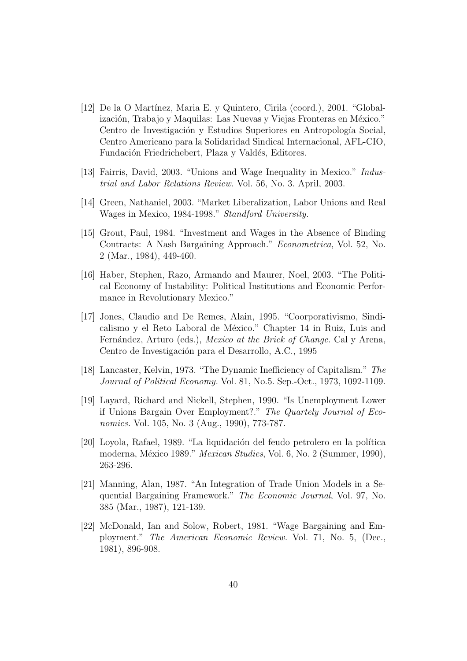- [12] De la O Mart´ınez, Maria E. y Quintero, Cirila (coord.), 2001. "Globalización, Trabajo y Maquilas: Las Nuevas y Viejas Fronteras en México." Centro de Investigación y Estudios Superiores en Antropología Social, Centro Americano para la Solidaridad Sindical Internacional, AFL-CIO, Fundación Friedrichebert, Plaza y Valdés, Editores.
- [13] Fairris, David, 2003. "Unions and Wage Inequality in Mexico." Industrial and Labor Relations Review. Vol. 56, No. 3. April, 2003.
- [14] Green, Nathaniel, 2003. "Market Liberalization, Labor Unions and Real Wages in Mexico, 1984-1998." Standford University.
- [15] Grout, Paul, 1984. "Investment and Wages in the Absence of Binding Contracts: A Nash Bargaining Approach." Econometrica, Vol. 52, No. 2 (Mar., 1984), 449-460.
- [16] Haber, Stephen, Razo, Armando and Maurer, Noel, 2003. "The Political Economy of Instability: Political Institutions and Economic Performance in Revolutionary Mexico."
- [17] Jones, Claudio and De Remes, Alain, 1995. "Coorporativismo, Sindicalismo y el Reto Laboral de México." Chapter 14 in Ruiz, Luis and Fernández, Arturo (eds.), *Mexico at the Brick of Change*. Cal y Arena, Centro de Investigación para el Desarrollo, A.C., 1995
- [18] Lancaster, Kelvin, 1973. "The Dynamic Inefficiency of Capitalism." The Journal of Political Economy. Vol. 81, No.5. Sep.-Oct., 1973, 1092-1109.
- [19] Layard, Richard and Nickell, Stephen, 1990. "Is Unemployment Lower if Unions Bargain Over Employment?." The Quartely Journal of Economics. Vol. 105, No. 3 (Aug., 1990), 773-787.
- [20] Loyola, Rafael, 1989. "La liquidación del feudo petrolero en la política moderna, México 1989." *Mexican Studies*, Vol. 6, No. 2 (Summer, 1990), 263-296.
- [21] Manning, Alan, 1987. "An Integration of Trade Union Models in a Sequential Bargaining Framework." The Economic Journal, Vol. 97, No. 385 (Mar., 1987), 121-139.
- [22] McDonald, Ian and Solow, Robert, 1981. "Wage Bargaining and Employment." The American Economic Review. Vol. 71, No. 5, (Dec., 1981), 896-908.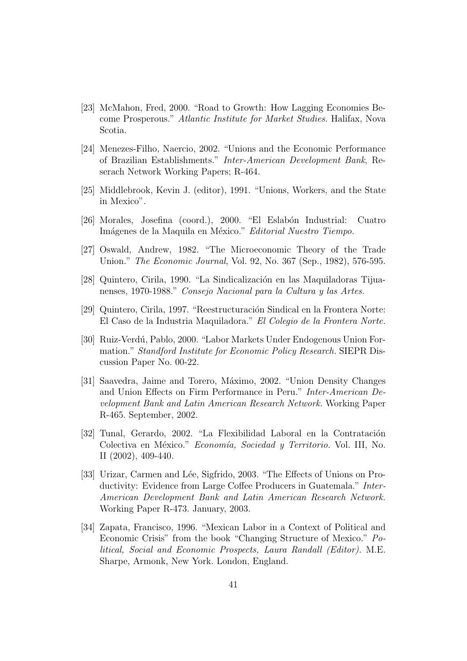- [23] McMahon, Fred, 2000. "Road to Growth: How Lagging Economies Become Prosperous." Atlantic Institute for Market Studies. Halifax, Nova Scotia.
- [24] Menezes-Filho, Naercio, 2002. "Unions and the Economic Performance of Brazilian Establishments." Inter-American Development Bank, Reserach Network Working Papers; R-464.
- [25] Middlebrook, Kevin J. (editor), 1991. "Unions, Workers, and the State in Mexico".
- [26] Morales, Josefina (coord.), 2000. "El Eslabón Industrial: Cuatro Imágenes de la Maquila en México." Editorial Nuestro Tiempo.
- [27] Oswald, Andrew, 1982. "The Microeconomic Theory of the Trade Union." The Economic Journal, Vol. 92, No. 367 (Sep., 1982), 576-595.
- [28] Quintero, Cirila, 1990. "La Sindicalización en las Maquiladoras Tijuanenses, 1970-1988." Consejo Nacional para la Cultura y las Artes.
- [29] Quintero, Cirila, 1997. "Reestructuración Sindical en la Frontera Norte: El Caso de la Industria Maquiladora." El Colegio de la Frontera Norte.
- [30] Ruiz-Verdú, Pablo, 2000. "Labor Markets Under Endogenous Union Formation." Standford Institute for Economic Policy Research. SIEPR Discussion Paper No. 00-22.
- [31] Saavedra, Jaime and Torero, Máximo, 2002. "Union Density Changes" and Union Effects on Firm Performance in Peru." Inter-American Development Bank and Latin American Research Network. Working Paper R-465. September, 2002.
- [32] Tunal, Gerardo, 2002. "La Flexibilidad Laboral en la Contratación Colectiva en México." Economía, Sociedad y Territorio. Vol. III, No. II (2002), 409-440.
- [33] Urizar, Carmen and Lée, Sigfrido, 2003. "The Effects of Unions on Productivity: Evidence from Large Coffee Producers in Guatemala." Inter-American Development Bank and Latin American Research Network. Working Paper R-473. January, 2003.
- [34] Zapata, Francisco, 1996. "Mexican Labor in a Context of Political and Economic Crisis" from the book "Changing Structure of Mexico." Political, Social and Economic Prospects, Laura Randall (Editor). M.E. Sharpe, Armonk, New York. London, England.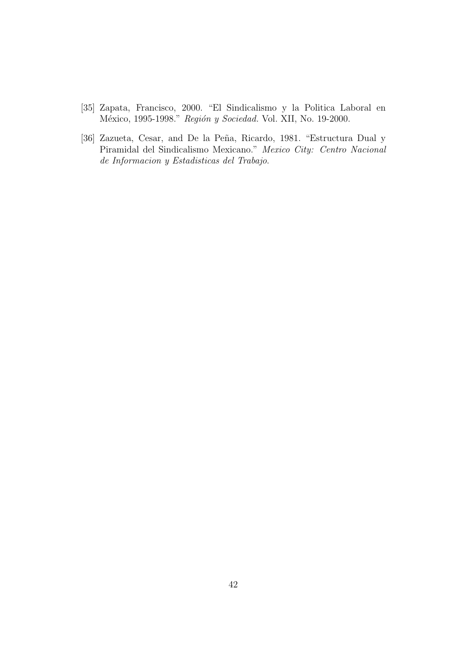- [35] Zapata, Francisco, 2000. "El Sindicalismo y la Politica Laboral en México, 1995-1998." Región y Sociedad. Vol. XII, No. 19-2000.
- [36] Zazueta, Cesar, and De la Peña, Ricardo, 1981. "Estructura Dual y Piramidal del Sindicalismo Mexicano." Mexico City: Centro Nacional de Informacion y Estadisticas del Trabajo.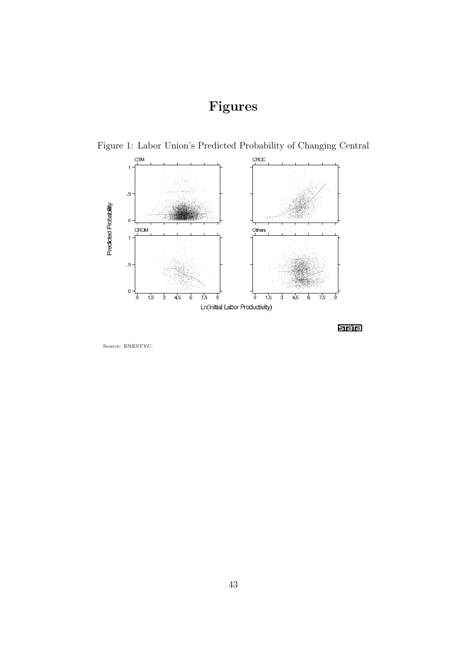# Figures



Figure 1: Labor Union's Predicted Probability of Changing Central

see

Source: ENESTYC.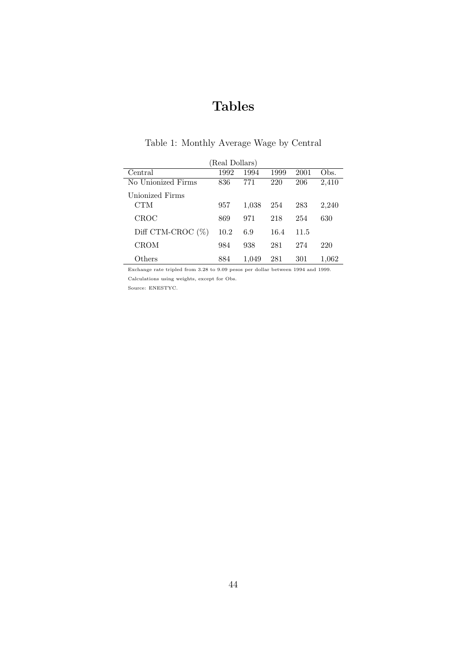# Tables

| (Real Dollars)       |      |       |      |      |       |  |  |  |  |  |
|----------------------|------|-------|------|------|-------|--|--|--|--|--|
| Central              | 1992 | 1994  | 1999 | 2001 | Obs.  |  |  |  |  |  |
| No Unionized Firms   | 836  | 771   | 220  | 206  | 2,410 |  |  |  |  |  |
| Unionized Firms      |      |       |      |      |       |  |  |  |  |  |
| CTM                  | 957  | 1,038 | 254  | 283  | 2,240 |  |  |  |  |  |
| CROC                 | 869  | 971   | 218  | 254  | 630   |  |  |  |  |  |
| Diff CTM-CROC $(\%)$ | 10.2 | 6.9   | 16.4 | 11.5 |       |  |  |  |  |  |
| <b>CROM</b>          | 984  | 938   | 281  | 274  | 220   |  |  |  |  |  |
| Others               | 884  | 1,049 | 281  | 301  | 1,062 |  |  |  |  |  |

## Table 1: Monthly Average Wage by Central

Exchange rate tripled from 3.28 to 9.09 pesos per dollar between 1994 and 1999. Calculations using weights, except for Obs.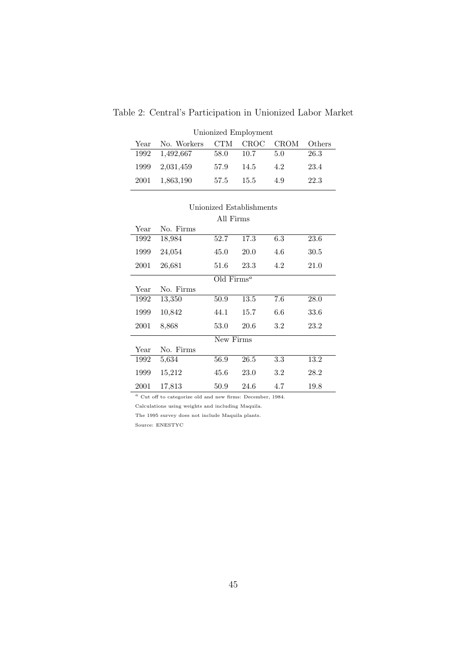| Unionized Employment |             |      |      |             |        |  |  |  |  |  |  |
|----------------------|-------------|------|------|-------------|--------|--|--|--|--|--|--|
| Year                 | No. Workers | CTM. | CROC | <b>CROM</b> | Others |  |  |  |  |  |  |
| 1992                 | 1,492,667   | 58.0 | 10.7 | 5.0         | 26.3   |  |  |  |  |  |  |
| 1999                 | 2,031,459   | 57.9 | 14.5 | 4.2         | 23.4   |  |  |  |  |  |  |
| 2001                 | 1,863,190   | 57.5 | 15.5 | 4.9         | 22.3   |  |  |  |  |  |  |

Table 2: Central's Participation in Unionized Labor Market

|      | All Firms |               |      |         |      |  |  |  |  |
|------|-----------|---------------|------|---------|------|--|--|--|--|
| Year | No. Firms |               |      |         |      |  |  |  |  |
| 1992 | 18,984    | 52.7          | 17.3 | 6.3     | 23.6 |  |  |  |  |
| 1999 | 24,054    | 45.0          | 20.0 | 4.6     | 30.5 |  |  |  |  |
| 2001 | 26,681    | 51.6          | 23.3 | 4.2     | 21.0 |  |  |  |  |
|      |           | Old $Firms^a$ |      |         |      |  |  |  |  |
| Year | No. Firms |               |      |         |      |  |  |  |  |
| 1992 | 13,350    | 50.9          | 13.5 | 7.6     | 28.0 |  |  |  |  |
| 1999 | 10,842    | 44.1          | 15.7 | 6.6     | 33.6 |  |  |  |  |
| 2001 | 8,868     | 53.0          | 20.6 | $3.2\,$ | 23.2 |  |  |  |  |
|      |           | New Firms     |      |         |      |  |  |  |  |
| Year | No. Firms |               |      |         |      |  |  |  |  |
| 1992 | 5,634     | 56.9          | 26.5 | 3.3     | 13.2 |  |  |  |  |
| 1999 | 15,212    | 45.6          | 23.0 | $3.2\,$ | 28.2 |  |  |  |  |
| 2001 | 17,813    | 50.9          | 24.6 | 4.7     | 19.8 |  |  |  |  |

# Unionized Establishments

 $^a$  Cut off to categorize old and new firms: December, 1984.

Calculations using weights and including Maquila.

The 1995 survey does not include Maquila plants.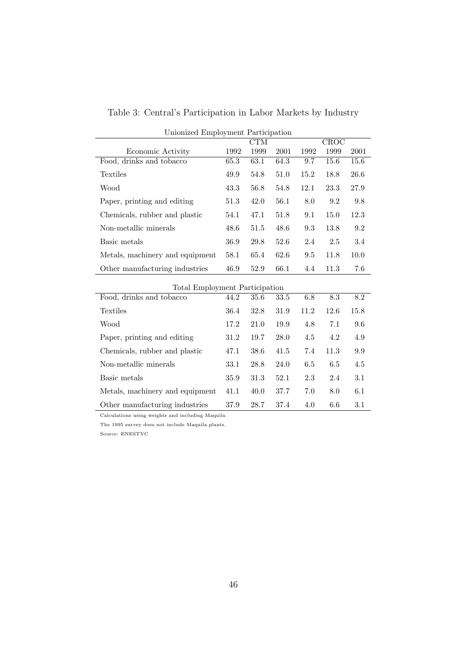|  | Table 3: Central's Participation in Labor Markets by Industry |  |  |  |
|--|---------------------------------------------------------------|--|--|--|
|  |                                                               |  |  |  |

| Unionized Employment Participation |            |      |      |                 |      |      |  |  |  |
|------------------------------------|------------|------|------|-----------------|------|------|--|--|--|
|                                    | <b>CTM</b> |      |      |                 | CROC |      |  |  |  |
| Economic Activity                  | 1992       | 1999 | 2001 | 1992            | 1999 | 2001 |  |  |  |
| Food, drinks and tobacco           | 65.3       | 63.1 | 64.3 | 9.7             | 15.6 | 15.6 |  |  |  |
| Textiles                           | 49.9       | 54.8 | 51.0 | 15.2            | 18.8 | 26.6 |  |  |  |
| Wood                               | 43.3       | 56.8 | 54.8 | 12.1            | 23.3 | 27.9 |  |  |  |
| Paper, printing and editing        | 51.3       | 42.0 | 56.1 | 8.0             | 9.2  | 9.8  |  |  |  |
| Chemicals, rubber and plastic      | 54.1       | 47.1 | 51.8 | 9.1             | 15.0 | 12.3 |  |  |  |
| Non-metallic minerals              | 48.6       | 51.5 | 48.6 | 9.3             | 13.8 | 9.2  |  |  |  |
| Basic metals                       | 36.9       | 29.8 | 52.6 | 2.4             | 2.5  | 3.4  |  |  |  |
| Metals, machinery and equipment    | 58.1       | 65.4 | 62.6 | 9.5             | 11.8 | 10.0 |  |  |  |
| Other manufacturing industries     | 46.9       | 52.9 | 66.1 | 4.4             | 11.3 | 7.6  |  |  |  |
| Total Employment Participation     |            |      |      |                 |      |      |  |  |  |
| Food, drinks and tobacco           | 44.2       | 35.6 | 33.5 | 6.8             | 8.3  | 8.2  |  |  |  |
| Textiles                           | 36.4       | 32.8 | 31.9 | 11.2            | 12.6 | 15.8 |  |  |  |
| Wood.                              | 179        | 210  | 10 Q | $\overline{AB}$ | 71   | 0 G  |  |  |  |

| fotal Employment Participation  |      |      |      |      |      |      |  |  |  |  |
|---------------------------------|------|------|------|------|------|------|--|--|--|--|
| Food, drinks and tobacco        | 44.2 | 35.6 | 33.5 | 6.8  | 8.3  | 8.2  |  |  |  |  |
| <b>Textiles</b>                 | 36.4 | 32.8 | 31.9 | 11.2 | 12.6 | 15.8 |  |  |  |  |
| Wood                            | 17.2 | 21.0 | 19.9 | 4.8  | 7.1  | 9.6  |  |  |  |  |
| Paper, printing and editing     | 31.2 | 19.7 | 28.0 | 4.5  | 4.2  | 4.9  |  |  |  |  |
| Chemicals, rubber and plastic   | 47.1 | 38.6 | 41.5 | 7.4  | 11.3 | 9.9  |  |  |  |  |
| Non-metallic minerals           | 33.1 | 28.8 | 24.0 | 6.5  | 6.5  | 4.5  |  |  |  |  |
| Basic metals                    | 35.9 | 31.3 | 52.1 | 2.3  | 2.4  | 3.1  |  |  |  |  |
| Metals, machinery and equipment | 41.1 | 40.0 | 37.7 | 7.0  | 8.0  | 6.1  |  |  |  |  |
| Other manufacturing industries  | 37.9 | 28.7 | 37.4 | 4.0  | 6.6  | 3.1  |  |  |  |  |

Calculations using weights and including Maquila

The 1995 survey does not include Maquila plants.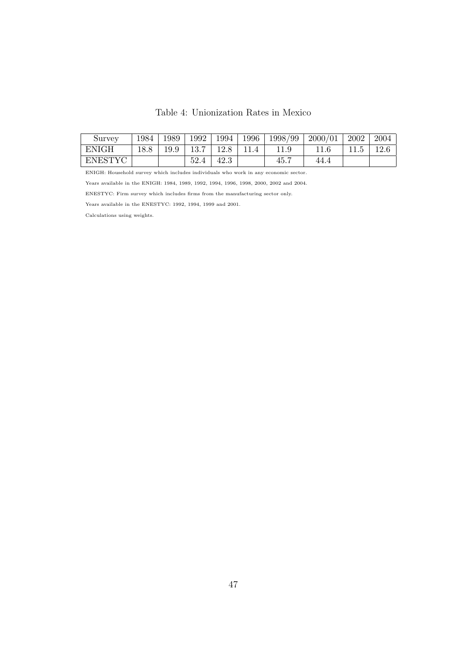| Survey       | 1984 | 1989 | 1992 | 1994 | 1996 | 1998/99 | 2000/01 | 2002 | 2004 |
|--------------|------|------|------|------|------|---------|---------|------|------|
| <b>ENIGH</b> | 18.8 | 19.9 | 13.7 | 12.8 |      |         |         | 6.11 | 12.6 |
| ENESTYC      |      |      | 52.4 | 42.3 |      | 45.7    | 44.4    |      |      |

ENIGH: Household survey which includes individuals who work in any economic sector.

Years available in the ENIGH: 1984, 1989, 1992, 1994, 1996, 1998, 2000, 2002 and 2004.

ENESTYC: Firm survey which includes firms from the manufacturing sector only.

Years available in the ENESTYC: 1992, 1994, 1999 and 2001.

Calculations using weights.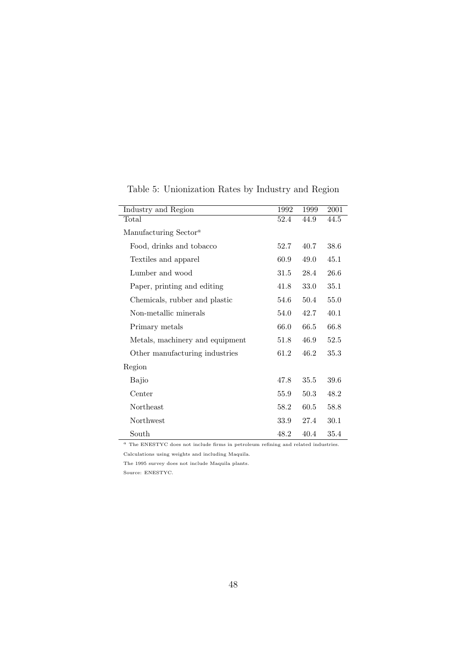| Industry and Region               | 1992 | 1999 | 2001 |
|-----------------------------------|------|------|------|
| Total                             | 52.4 | 44.9 | 44.5 |
| Manufacturing Sector <sup>a</sup> |      |      |      |
| Food, drinks and tobacco          | 52.7 | 40.7 | 38.6 |
| Textiles and apparel              | 60.9 | 49.0 | 45.1 |
| Lumber and wood                   | 31.5 | 28.4 | 26.6 |
| Paper, printing and editing       | 41.8 | 33.0 | 35.1 |
| Chemicals, rubber and plastic     | 54.6 | 50.4 | 55.0 |
| Non-metallic minerals             | 54.0 | 42.7 | 40.1 |
| Primary metals                    | 66.0 | 66.5 | 66.8 |
| Metals, machinery and equipment   | 51.8 | 46.9 | 52.5 |
| Other manufacturing industries    | 61.2 | 46.2 | 35.3 |
| Region                            |      |      |      |
| Bajio                             | 47.8 | 35.5 | 39.6 |
| Center                            | 55.9 | 50.3 | 48.2 |
| Northeast                         | 58.2 | 60.5 | 58.8 |
| Northwest                         | 33.9 | 27.4 | 30.1 |
| South                             | 48.2 | 40.4 | 35.4 |

Table 5: Unionization Rates by Industry and Region

<sup>a</sup> The ENESTYC does not include firms in petroleum refining and related industries.

Calculations using weights and including Maquila.

The 1995 survey does not include Maquila plants.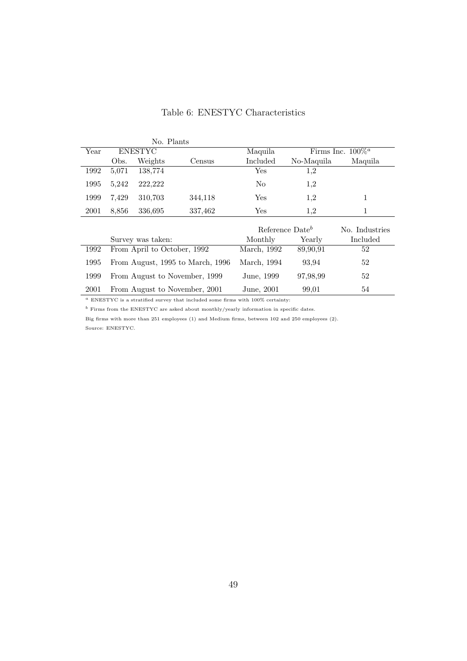## Table 6: ENESTYC Characteristics

|      |                | No. Plants                  |                                  |                             |                      |                |
|------|----------------|-----------------------------|----------------------------------|-----------------------------|----------------------|----------------|
| Year | <b>ENESTYC</b> |                             | Maquila                          |                             | Firms Inc. $100\%^a$ |                |
|      | Obs.           | Weights                     | Census                           | Included                    | No-Maquila           | Maquila        |
| 1992 | 5,071          | 138,774                     |                                  | Yes                         | 1,2                  |                |
| 1995 | 5,242          | 222,222                     |                                  | N <sub>o</sub>              | 1,2                  |                |
| 1999 | 7,429          | 310,703                     | 344,118                          | <b>Yes</b>                  | 1,2                  | 1              |
| 2001 | 8,856          | 336,695                     | 337,462                          | Yes.                        | 1,2                  | 1              |
|      |                |                             |                                  |                             |                      |                |
|      |                |                             |                                  | Reference Date <sup>b</sup> |                      | No. Industries |
|      |                | Survey was taken:           |                                  | Monthly                     | Yearly               | Included       |
| 1992 |                | From April to October, 1992 |                                  | March, 1992                 | 89,90,91             | 52             |
| 1995 |                |                             | From August, 1995 to March, 1996 | March, 1994                 | 93.94                | 52             |
| 1999 |                |                             | From August to November, 1999    | June, 1999                  | 97,98,99             | 52             |
| 2001 |                |                             | From August to November, 2001    | June, 2001                  | 99,01                | 54             |

 $\footnotesize^{a}$  ENESTYC is a stratified survey that included some firms with 100% certainty:

 $^{\rm b}$  Firms from the ENESTYC are asked about monthly/yearly information in specific dates.

Big firms with more than 251 employees (1) and Medium firms, between 102 and 250 employees (2). Source: ENESTYC.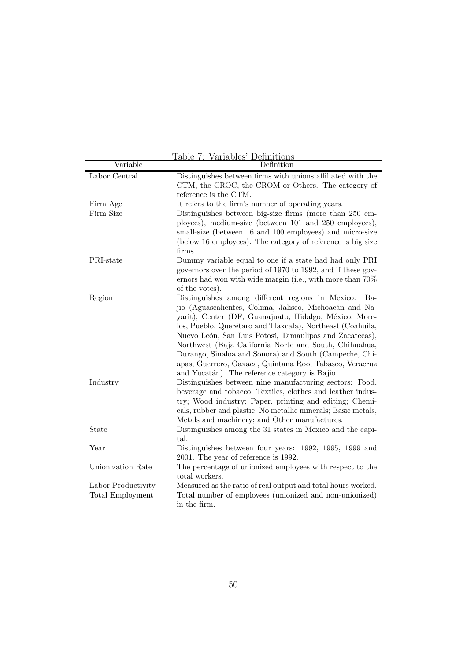|                         | <u> Iable 7: Variables' Definitions</u>                                                                                                                                                                                                                                                                                                                                                                                                                                                                                                |
|-------------------------|----------------------------------------------------------------------------------------------------------------------------------------------------------------------------------------------------------------------------------------------------------------------------------------------------------------------------------------------------------------------------------------------------------------------------------------------------------------------------------------------------------------------------------------|
| Variable                | Definition                                                                                                                                                                                                                                                                                                                                                                                                                                                                                                                             |
| Labor Central           | Distinguishes between firms with unions affiliated with the<br>CTM, the CROC, the CROM or Others. The category of<br>reference is the CTM.                                                                                                                                                                                                                                                                                                                                                                                             |
| Firm Age                | It refers to the firm's number of operating years.                                                                                                                                                                                                                                                                                                                                                                                                                                                                                     |
| Firm Size               | Distinguishes between big-size firms (more than 250 em-<br>ployees), medium-size (between 101 and 250 employees),<br>small-size (between 16 and 100 employees) and micro-size<br>(below 16 employees). The category of reference is big size<br>firms.                                                                                                                                                                                                                                                                                 |
| PRI-state               | Dummy variable equal to one if a state had had only PRI<br>governors over the period of 1970 to 1992, and if these gov-<br>ernors had won with wide margin (i.e., with more than $70\%$<br>of the votes).                                                                                                                                                                                                                                                                                                                              |
| Region                  | Distinguishes among different regions in Mexico:<br>Ba-<br>jio (Aguascalientes, Colima, Jalisco, Michoacán and Na-<br>yarit), Center (DF, Guanajuato, Hidalgo, México, More-<br>los, Pueblo, Querétaro and Tlaxcala), Northeast (Coahuila,<br>Nuevo León, San Luis Potosí, Tamaulipas and Zacatecas),<br>Northwest (Baja California Norte and South, Chihuahua,<br>Durango, Sinaloa and Sonora) and South (Campeche, Chi-<br>apas, Guerrero, Oaxaca, Quintana Roo, Tabasco, Veracruz<br>and Yucatán). The reference category is Bajio. |
| Industry                | Distinguishes between nine manufacturing sectors: Food,<br>beverage and tobacco; Textiles, clothes and leather indus-<br>try; Wood industry; Paper, printing and editing; Chemi-<br>cals, rubber and plastic; No metallic minerals; Basic metals,<br>Metals and machinery; and Other manufactures.                                                                                                                                                                                                                                     |
| State                   | Distinguishes among the 31 states in Mexico and the capi-<br>tal.                                                                                                                                                                                                                                                                                                                                                                                                                                                                      |
| Year                    | Distinguishes between four years: 1992, 1995, 1999 and<br>2001. The year of reference is 1992.                                                                                                                                                                                                                                                                                                                                                                                                                                         |
| Unionization Rate       | The percentage of unionized employees with respect to the<br>total workers.                                                                                                                                                                                                                                                                                                                                                                                                                                                            |
| Labor Productivity      | Measured as the ratio of real output and total hours worked.                                                                                                                                                                                                                                                                                                                                                                                                                                                                           |
| <b>Total Employment</b> | Total number of employees (unionized and non-unionized)<br>in the firm.                                                                                                                                                                                                                                                                                                                                                                                                                                                                |

Table 7: Variables' Definitions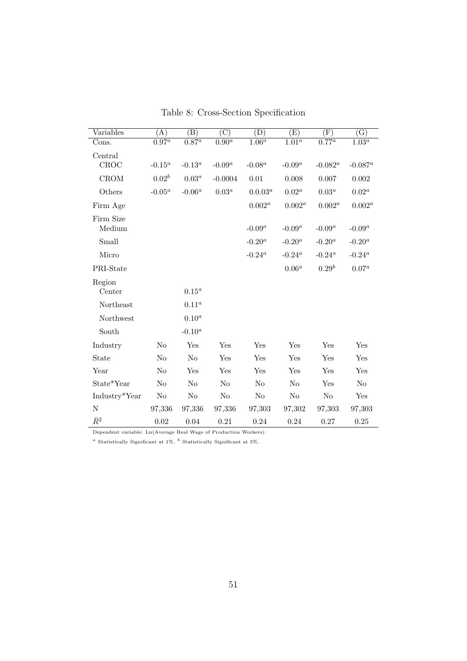| Variables     | (A)                 | (B)                 | $\overline{C}$      | (D)        | $\rm(E)$            | $(\mathrm{F})$ | $\overline{\mathrm{(G)}}$ |
|---------------|---------------------|---------------------|---------------------|------------|---------------------|----------------|---------------------------|
| Cons.         | $\overline{0.97^a}$ | $\overline{0.87^a}$ | $\overline{0.90^a}$ | $1.06^a$   | $\overline{1.01^a}$ | $0.77^a$       | $\overline{1.03^a}$       |
| Central       |                     |                     |                     |            |                     |                |                           |
| CROC          | $-0.15^a$           | $-0.13^a$           | $-0.09^a$           | $-0.08^a$  | $-0.09^a$           | $-0.082^a$     | $-0.087^a$                |
| <b>CROM</b>   | $0.02^b$            | $0.03^a$            | $-0.0004$           | 0.01       | 0.008               | 0.007          | $0.002\,$                 |
| Others        | $-0.05^a$           | $-0.06^a$           | $0.03^a$            | $0.0.03^a$ | $0.02^a$            | $0.03^a$       | $0.02^a$                  |
| Firm Age      |                     |                     |                     | $0.002^a$  | $0.002^a$           | $0.002^a$      | $0.002^a$                 |
| Firm Size     |                     |                     |                     |            |                     |                |                           |
| Medium        |                     |                     |                     | $-0.09^a$  | $-0.09^a$           | $-0.09^a$      | $-0.09^a$                 |
| Small         |                     |                     |                     | $-0.20^a$  | $-0.20^a$           | $-0.20^{a}$    | $\text{-}0.20^a$          |
| Micro         |                     |                     |                     | $-0.24^a$  | $-0.24^a$           | $-0.24^a$      | $-0.24^a$                 |
| PRI-State     |                     |                     |                     |            | $0.06^a$            | $0.29^{b}$     | $0.07^a$                  |
| Region        |                     |                     |                     |            |                     |                |                           |
| Center        |                     | $0.15^a$            |                     |            |                     |                |                           |
| Northeast     |                     | $0.11^a$            |                     |            |                     |                |                           |
| Northwest     |                     | $0.10^a$            |                     |            |                     |                |                           |
| South         |                     | $-0.10^a$           |                     |            |                     |                |                           |
| Industry      | No                  | Yes                 | Yes                 | Yes        | Yes                 | Yes            | Yes                       |
| State         | $\rm No$            | No                  | Yes                 | Yes        | Yes                 | Yes            | Yes                       |
| Year          | No                  | Yes                 | Yes                 | Yes        | Yes                 | Yes            | Yes                       |
| State*Year    | No                  | No                  | No                  | No         | No                  | Yes            | $\rm No$                  |
| Industry*Year | $\rm No$            | No                  | $\rm No$            | $\rm No$   | $\rm No$            | $\rm No$       | Yes                       |
| $\mathbf N$   | 97,336              | 97,336              | 97,336              | 97,303     | 97,302              | 97,303         | 97,303                    |
| $\bar{R}^2$   | 0.02                | 0.04                | 0.21                | 0.24       | 0.24                | 0.27           | 0.25                      |

Table 8: Cross-Section Specification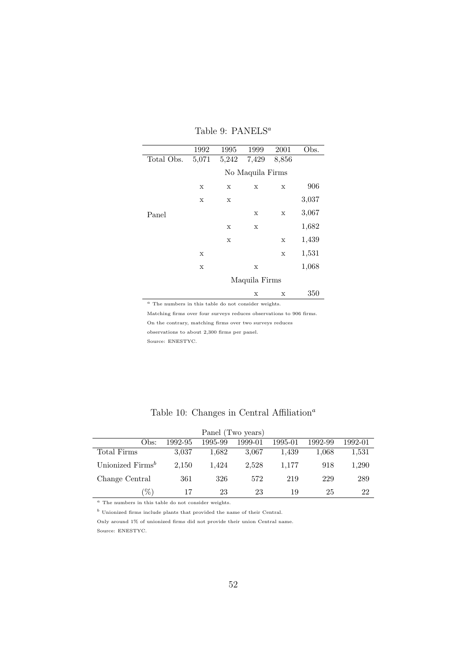|            | 1992  | 1995  | 1999             | 2001        | Obs.  |
|------------|-------|-------|------------------|-------------|-------|
| Total Obs. | 5,071 | 5,242 | 7,429            | 8,856       |       |
|            |       |       | No Maquila Firms |             |       |
|            | X     | X     | X                | X           | 906   |
|            | X     | X     |                  |             | 3,037 |
| Panel      |       |       | X                | $\mathbf X$ | 3,067 |
|            |       | X     | X                |             | 1,682 |
|            |       | X     |                  | X           | 1,439 |
|            | X     |       |                  | $\mathbf X$ | 1,531 |
|            | X     |       | $\mathbf X$      |             | 1,068 |
|            |       |       | Maquila Firms    |             |       |
|            |       |       | X                | X           | 350   |

#### Table 9: PANELS<sup>a</sup>

 $\alpha$  The numbers in this table do not consider weights.

Matching firms over four surveys reduces observations to 906 firms.

On the contrary, matching firms over two surveys reduces

observations to about 2,300 firms per panel.

Source: ENESTYC.

| Panel (Two years)                                                                                                                                                                                                                                                                                                                                                                                                                                                              |         |         |         |         |         |         |  |  |  |
|--------------------------------------------------------------------------------------------------------------------------------------------------------------------------------------------------------------------------------------------------------------------------------------------------------------------------------------------------------------------------------------------------------------------------------------------------------------------------------|---------|---------|---------|---------|---------|---------|--|--|--|
| Obs:                                                                                                                                                                                                                                                                                                                                                                                                                                                                           | 1992-95 | 1995-99 | 1999-01 | 1995-01 | 1992-99 | 1992-01 |  |  |  |
| Total Firms                                                                                                                                                                                                                                                                                                                                                                                                                                                                    | 3,037   | 1.682   | 3.067   | 1,439   | 1,068   | 1,531   |  |  |  |
| Unionized Firms <sup>b</sup>                                                                                                                                                                                                                                                                                                                                                                                                                                                   | 2,150   | 1.424   | 2.528   | 1.177   | 918     | 1,290   |  |  |  |
| Change Central                                                                                                                                                                                                                                                                                                                                                                                                                                                                 | 361     | 326     | 572     | 219     | 229     | 289     |  |  |  |
| $% \mathcal{A}^{\prime }= \mathcal{A}^{\prime }= \mathcal{A}^{\prime }= \mathcal{A}^{\prime }= \mathcal{A}^{\prime }= \mathcal{A}^{\prime }= \mathcal{A}^{\prime }= \mathcal{A}^{\prime }= \mathcal{A}^{\prime }= \mathcal{A}^{\prime }= \mathcal{A}^{\prime }= \mathcal{A}^{\prime }= \mathcal{A}^{\prime }= \mathcal{A}^{\prime }= \mathcal{A}^{\prime }= \mathcal{A}^{\prime }= \mathcal{A}^{\prime }= \mathcal{A}^{\prime }= \mathcal{A}^{\prime }= \mathcal{A}^{\prime }$ | 17      | 23      | 23      | 19      | 25      | 22      |  |  |  |

### Table 10: Changes in Central Affiliation<sup>a</sup>

 $a$  The numbers in this table do not consider weights.

 $\sp{b}$ Unionized firms include plants that provided the name of their Central.

Only around 1% of unionized firms did not provide their union Central name. Source: ENESTYC.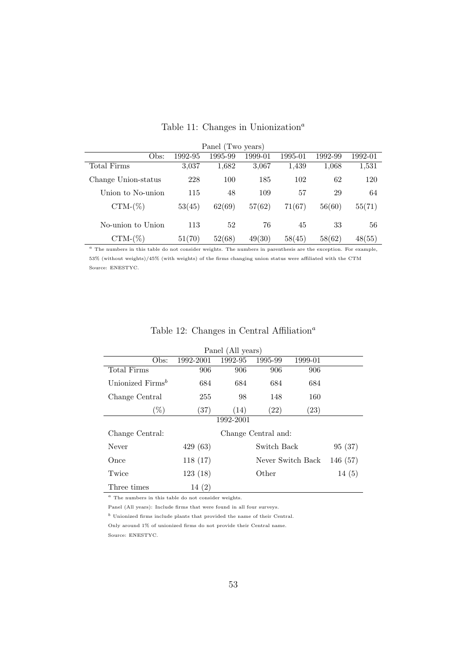| Panel (Two years)                                                                                                 |         |         |         |         |         |         |  |  |  |
|-------------------------------------------------------------------------------------------------------------------|---------|---------|---------|---------|---------|---------|--|--|--|
| Obs:                                                                                                              | 1992-95 | 1995-99 | 1999-01 | 1995-01 | 1992-99 | 1992-01 |  |  |  |
| Total Firms                                                                                                       | 3,037   | 1,682   | 3,067   | 1,439   | 1,068   | 1,531   |  |  |  |
| Change Union-status                                                                                               | 228     | 100     | 185     | 102     | 62      | 120     |  |  |  |
| Union to No-union                                                                                                 | 115     | 48      | 109     | 57      | 29      | 64      |  |  |  |
| $CTM-(\%)$                                                                                                        | 53(45)  | 62(69)  | 57(62)  | 71(67)  | 56(60)  | 55(71)  |  |  |  |
| No-union to Union                                                                                                 | 113     | 52      | 76      | 45      | 33      | 56      |  |  |  |
| $CTM-(\%)$                                                                                                        | 51(70)  | 52(68)  | 49(30)  | 58(45)  | 58(62)  | 48(55)  |  |  |  |
| $a$ The numbers in this table do not consider weights. The numbers in parenthesis are the exception. For example, |         |         |         |         |         |         |  |  |  |

## Table 11: Changes in Unionization<sup>a</sup>

53% (without weights)/45% (with weights) of the firms changing union status were affiliated with the CTM Source: ENESTYC.

| Panel (All years)            |                    |           |                     |                    |         |  |  |  |  |
|------------------------------|--------------------|-----------|---------------------|--------------------|---------|--|--|--|--|
| Obs:                         | 1992-2001          | 1992-95   | 1995-99             | 1999-01            |         |  |  |  |  |
| <b>Total Firms</b>           | 906                | 906       | 906                 | 906                |         |  |  |  |  |
| Unionized Firms <sup>b</sup> | 684                | 684       | 684                 | 684                |         |  |  |  |  |
| Change Central               | 255                | 98        | 148                 | 160                |         |  |  |  |  |
| $(\%)$                       | $\left( 37\right)$ | (14)      | $\left( 22\right)$  | $\left( 23\right)$ |         |  |  |  |  |
|                              |                    | 1992-2001 |                     |                    |         |  |  |  |  |
| Change Central:              |                    |           | Change Central and: |                    |         |  |  |  |  |
| Never                        | 429(63)            |           | Switch Back         |                    | 95(37)  |  |  |  |  |
| Once                         | 118(17)            |           | Never Switch Back   |                    | 146(57) |  |  |  |  |
| Twice                        | 123(18)            |           | Other               |                    | 14(5)   |  |  |  |  |
| Three times                  | 14(2)              |           |                     |                    |         |  |  |  |  |

#### Table 12: Changes in Central Affiliation<sup> $a$ </sup>

 $a$  The numbers in this table do not consider weights.

Panel (All years): Include firms that were found in all four surveys.

 $<sup>b</sup>$  Unionized firms include plants that provided the name of their Central.</sup>

Only around 1% of unionized firms do not provide their Central name. Source: ENESTYC.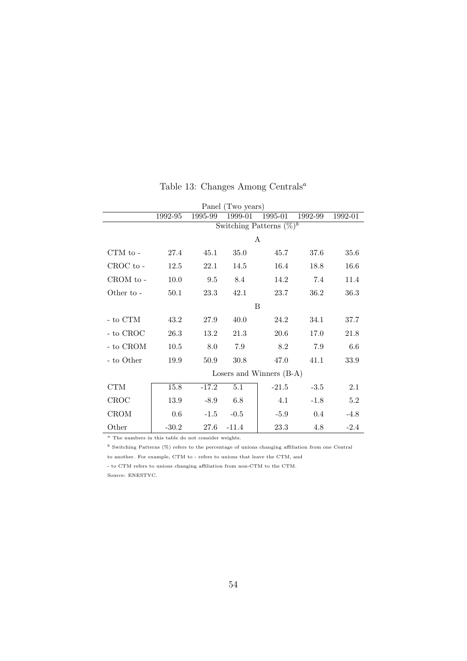| Panel (Two years)  |          |          |         |                             |         |         |  |  |  |
|--------------------|----------|----------|---------|-----------------------------|---------|---------|--|--|--|
|                    | 1992-95  | 1995-99  | 1999-01 | 1995-01                     | 1992-99 | 1992-01 |  |  |  |
|                    |          |          |         | Switching Patterns $(\%)^b$ |         |         |  |  |  |
|                    |          |          |         | A                           |         |         |  |  |  |
| CTM to -           | 27.4     | 45.1     | 35.0    | 45.7                        | 37.6    | 35.6    |  |  |  |
| CROC to -          | 12.5     | 22.1     | 14.5    | 16.4                        | 18.8    | 16.6    |  |  |  |
| CROM to -          | $10.0\,$ | $\,9.5$  | 8.4     | 14.2                        | 7.4     | 11.4    |  |  |  |
| Other to -         | 50.1     | 23.3     | 42.1    | 23.7                        | 36.2    | 36.3    |  |  |  |
|                    |          |          |         | B                           |         |         |  |  |  |
| $\mbox{-}$ to CTM  | 43.2     | 27.9     | 40.0    | 24.2                        | 34.1    | 37.7    |  |  |  |
| $\mbox{-}$ to CROC | 26.3     | 13.2     | 21.3    | 20.6                        | 17.0    | 21.8    |  |  |  |
| $\mbox{-}$ to CROM | $10.5\,$ | 8.0      | 7.9     | 8.2                         | 7.9     | 6.6     |  |  |  |
| - to Other         | 19.9     | $50.9\,$ | 30.8    | 47.0                        | 41.1    | 33.9    |  |  |  |
|                    |          |          |         | Losers and Winners $(B-A)$  |         |         |  |  |  |
| CTM                | 15.8     | $-17.2$  | 5.1     | $-21.5$                     | $-3.5$  | 2.1     |  |  |  |
| CROC               | 13.9     | $-8.9$   | 6.8     | 4.1                         | $-1.8$  | 5.2     |  |  |  |
| CROM               | 0.6      | $-1.5$   | $-0.5$  | $-5.9$                      | 0.4     | $-4.8$  |  |  |  |
| Other              | $-30.2$  | 27.6     | $-11.4$ | 23.3                        | 4.8     | $-2.4$  |  |  |  |

## Table 13: Changes Among Centrals<sup>a</sup>

 $a$  The numbers in this table do not consider weights.

 $^b$  Switching Patterns (%) refers to the percentage of unions changing affiliation from one Central

to another. For example, CTM to - refers to unions that leave the CTM, and

- to CTM refers to unions changing affiliation from non-CTM to the CTM. Source: ENESTYC.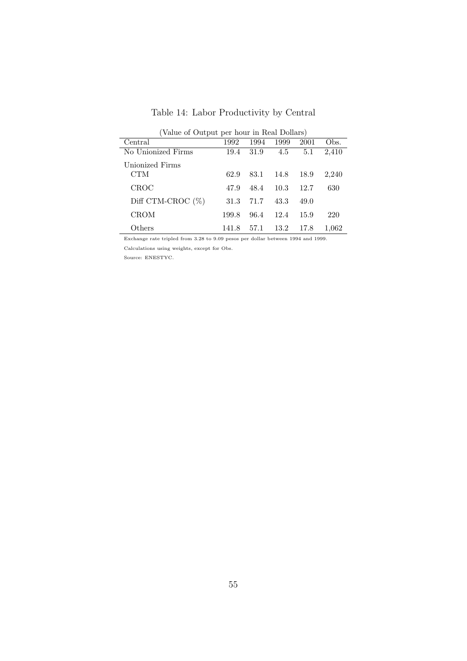| (Value of Output per hour in Real Dollars) |       |      |      |      |       |  |  |  |  |
|--------------------------------------------|-------|------|------|------|-------|--|--|--|--|
| Central                                    | 1992  | 1994 | 1999 | 2001 | Obs.  |  |  |  |  |
| No Unionized Firms                         | 19.4  | 31.9 | 4.5  | 5.1  | 2,410 |  |  |  |  |
| Unionized Firms                            |       |      |      |      |       |  |  |  |  |
| CTM                                        | 62.9  | 83.1 | 14.8 | 18.9 | 2,240 |  |  |  |  |
| CROC                                       | 47.9  | 48.4 | 10.3 | 12.7 | 630   |  |  |  |  |
| Diff CTM-CROC $(\%)$                       | 31.3  | 71.7 | 43.3 | 49.0 |       |  |  |  |  |
| CROM                                       | 199.8 | 96.4 | 12.4 | 15.9 | 220   |  |  |  |  |
| Others                                     | 141.8 | 57.1 | 13.2 | 17.8 | 1.062 |  |  |  |  |

Table 14: Labor Productivity by Central

Exchange rate tripled from 3.28 to 9.09 pesos per dollar between 1994 and 1999.

Calculations using weights, except for Obs.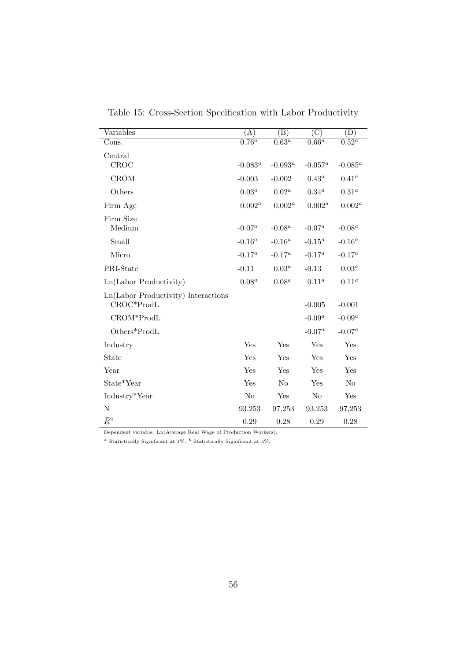| Variables                           | (A)            | $\left( \mathrm{B}\right)$ | $\rm ^{\prime} C)$  | $\left( \mathrm{D}\right)$ |
|-------------------------------------|----------------|----------------------------|---------------------|----------------------------|
| Cons.                               | $0.76^a$       | $\overline{0.63^a}$        | $0.\overline{66}^a$ | $\overline{0.52^a}$        |
| Central                             |                |                            |                     |                            |
| CROC                                | $-0.083^a$     | $-0.093^a$                 | $-0.057^a$          | $-0.085^a$                 |
| CROM                                | $-0.003$       | $-0.002$                   | $0.43^a$            | $0.41^a$                   |
| Others                              | $0.03^a$       | $0.02^a$                   | $0.34^a$            | $0.31^a$                   |
| Firm Age                            | $0.002^a$      | $0.002^a$                  | $0.002^a$           | $0.002^a$                  |
| Firm Size                           |                |                            |                     |                            |
| Medium                              | $-0.07^a$      | $-0.08^a$                  | $-0.07^a$           | $-0.08^a$                  |
| Small                               | $-0.16^a$      | $\text{-}0.16^a$           | $-0.15^a$           | $-0.16^a$                  |
| Micro                               | $-0.17^a$      | $-0.17^a$                  | $-0.17^a$           | $-0.17^a$                  |
| PRI-State                           | $-0.11$        | $0.03^a$                   | $-0.13$             | $0.03^a$                   |
| Ln(Labor Productivity)              | $0.08^a$       | $0.08^a$                   | $0.11^a$            | $0.11^a$                   |
| Ln(Labor Productivity) Interactions |                |                            |                     |                            |
| CROC*ProdL                          |                |                            | $-0.005$            | $-0.001$                   |
| CROM*ProdL                          |                |                            | $-0.09^a$           | $-0.09^a$                  |
| Others*ProdL                        |                |                            | $-0.07^a$           | $-0.07^a$                  |
| Industry                            | Yes            | Yes                        | Yes                 | Yes                        |
| State                               | Yes            | Yes                        | Yes                 | Yes                        |
| Year                                | Yes            | Yes                        | Yes                 | Yes                        |
| State*Year                          | Yes            | N <sub>o</sub>             | Yes                 | N <sub>o</sub>             |
| Industry*Year                       | N <sub>o</sub> | Yes                        | N <sub>o</sub>      | Yes                        |
| $\mathbf N$                         | 93,253         | 97,253                     | 93,253              | 97,253                     |
| $\bar{R}^2$                         | 0.29           | 0.28                       | 0.29                | 0.28                       |

Table 15: Cross-Section Specification with Labor Productivity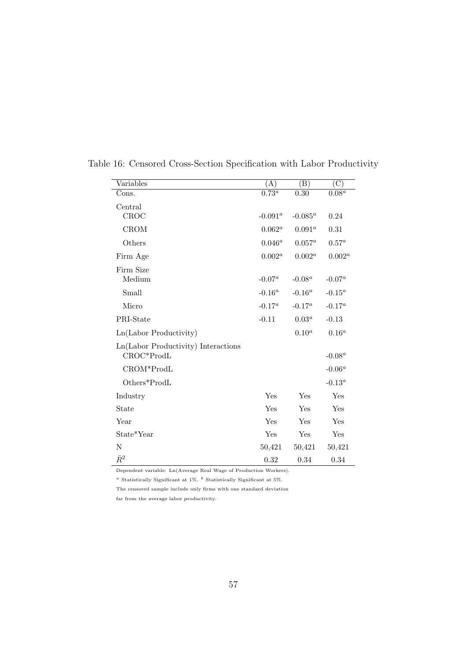| Variables                                         | (A)                 | (B)         | $\overline{\rm (C)}$  |
|---------------------------------------------------|---------------------|-------------|-----------------------|
| Cons.                                             | $\overline{0.73^a}$ | 0.30        | $0.08^{\overline{a}}$ |
| Central                                           |                     |             |                       |
| CROC                                              | $-0.091^a$          | -0.085 $^a$ | 0.24                  |
| <b>CROM</b>                                       | $0.062^a$           | $0.091^a$   | 0.31                  |
| Others                                            | $0.046^a$           | $0.057^a$   | $0.57^a$              |
| Firm Age                                          | $0.002^a$           | $0.002^a$   | $0.002^a$             |
| Firm Size                                         |                     |             |                       |
| Medium                                            | $-0.07^a$           | $-0.08^a$   | $-0.07^a$             |
| Small                                             | $-0.16^a$           | $-0.16^a$   | $-0.15^a$             |
| Micro                                             | $-0.17^a$           | $-0.17^a$   | $-0.17^a$             |
| PRI-State                                         | $-0.11$             | $0.03^a$    | $-0.13$               |
| Ln(Labor Productivity)                            |                     | $0.10^{a}$  | $0.16^a$              |
| Ln(Labor Productivity) Interactions<br>CROC*ProdL |                     |             | $-0.08^a$             |
| CROM*ProdL                                        |                     |             | $-0.06^a$             |
| Others*ProdL                                      |                     |             | $-0.13^a$             |
| Industry                                          | Yes                 | Yes         | Yes                   |
| State                                             | Yes                 | Yes         | Yes                   |
| Year                                              | Yes                 | Yes         | Yes                   |
| State*Year                                        | Yes                 | Yes         | Yes                   |
| N                                                 | 50,421              | 50,421      | 50,421                |
| $\bar{R}^2$                                       | 0.32                | 0.34        | 0.34                  |

Table 16: Censored Cross-Section Specification with Labor Productivity

 $^a$  Statistically Significant at 1%.  $^b$  Statistically Significant at 5%.

The censored sample include only firms with one standard deviation

far from the average labor productivity.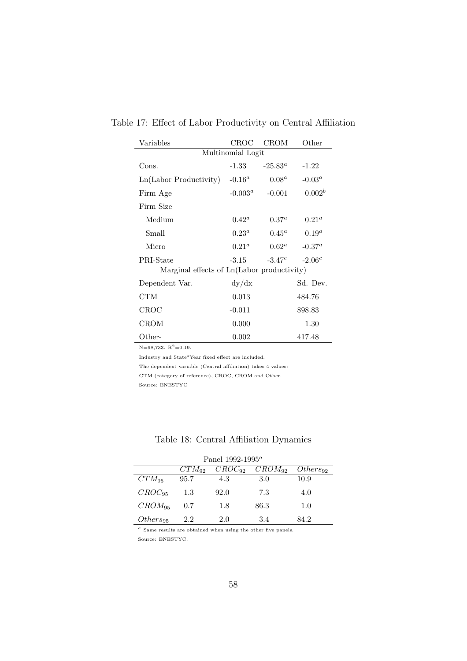| Variables                                  | CROC           | <b>CROM</b> | Other          |  |  |  |  |  |  |
|--------------------------------------------|----------------|-------------|----------------|--|--|--|--|--|--|
| Multinomial Logit                          |                |             |                |  |  |  |  |  |  |
| Cons.                                      | $-1.33$        | $-25.83^a$  | $-1.22$        |  |  |  |  |  |  |
| Ln(Labor Productivity)                     | $-0.16^a$      | $0.08^a$    | $-0.03^a$      |  |  |  |  |  |  |
| Firm Age                                   | $-0.003^a$     | $-0.001$    | $0.002^b$      |  |  |  |  |  |  |
| Firm Size                                  |                |             |                |  |  |  |  |  |  |
| Medium                                     | $0.42^a$       | $0.37^a$    | $0.21^{\circ}$ |  |  |  |  |  |  |
| Small                                      | $0.23^a$       | $0.45^a$    | $0.19^a$       |  |  |  |  |  |  |
| Micro                                      | $0.21^{\rm a}$ | $0.62^a$    | $-0.37^a$      |  |  |  |  |  |  |
| PRI-State                                  | $-3.15$        | $-3.47c$    | $-2.06c$       |  |  |  |  |  |  |
| Marginal effects of Ln(Labor productivity) |                |             |                |  |  |  |  |  |  |
| Dependent Var.                             | dy/dx          |             | Sd. Dev.       |  |  |  |  |  |  |
| CTM                                        | 0.013          |             | 484.76         |  |  |  |  |  |  |
| CROC                                       | $-0.011$       |             | 898.83         |  |  |  |  |  |  |
| <b>CROM</b>                                | 0.000          |             | 1.30           |  |  |  |  |  |  |
| $\rm Other$                                | 0.002          |             | 417.48         |  |  |  |  |  |  |

Table 17: Effect of Labor Productivity on Central Affiliation

 $N=98,733. R^2=0.19.$ 

Industry and State\*Year fixed effect are included.

The dependent variable (Central affiliation) takes 4 values:

CTM (category of reference), CROC, CROM and Other.

Source: ENESTYC

## Table 18: Central Affiliation Dynamics

| Panel 1992-1995 <sup><i>a</i></sup> |            |             |             |               |  |  |  |  |  |
|-------------------------------------|------------|-------------|-------------|---------------|--|--|--|--|--|
|                                     | $CTM_{92}$ | $CROC_{92}$ | $CROM_{92}$ | $Others_{92}$ |  |  |  |  |  |
| $CTM_{95}$                          | 95.7       | 4.3         | 3.0         | 10.9          |  |  |  |  |  |
| $CROC_{95}$                         | 1.3        | 92.0        | 7.3         | 4.0           |  |  |  |  |  |
| $CROM_{95}$                         | 0.7        | 1.8         | 86.3        | 1.0           |  |  |  |  |  |
| $Others_{95}$                       | 2.2        | 2.0         | 3.4         | 84.2          |  |  |  |  |  |

 $a$  Same results are obtained when using the other five panels. Source: ENESTYC.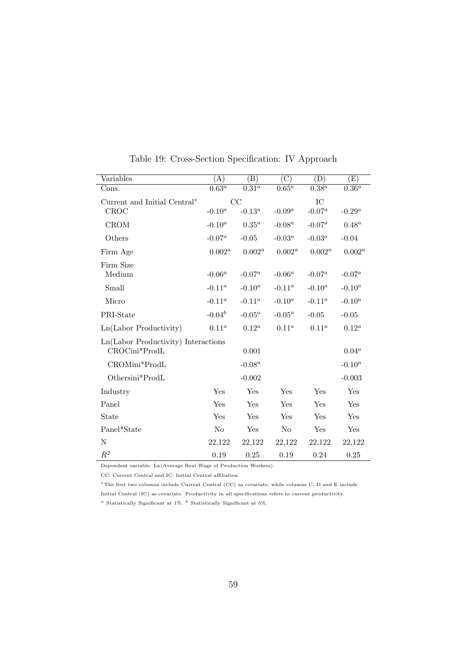| Variables                           | (A)                 | (B)                 | $\overline{C}$      | (D)                 | (E)                 |
|-------------------------------------|---------------------|---------------------|---------------------|---------------------|---------------------|
| Cons.                               | $\overline{0.63^a}$ | $\overline{0.31^a}$ | $\overline{0.65^a}$ | $\overline{0.38^a}$ | $\overline{0.36^a}$ |
| Current and Initial Central*        |                     | CC                  |                     | ${\rm IC}$          |                     |
| CROC                                | $\text{-}0.10^a$    | $-0.13^a$           | $-0.09^a$           | $-0.07^a$           | $-0.29^a$           |
| <b>CROM</b>                         | $-0.10^a$           | $0.35^a$            | $-0.08^a$           | $-0.07^a$           | $0.48^a$            |
| Others                              | $-0.07^a$           | $-0.05$             | $-0.03^a$           | $-0.03^a$           | $-0.04$             |
| Firm Age                            | $0.002^a$           | $0.002^a$           | $0.002^a$           | $0.002^a$           | $0.002^a$           |
| Firm Size                           |                     |                     |                     |                     |                     |
| Medium                              | $-0.06^a$           | $-0.07^a$           | $-0.06^a$           | $-0.07^a$           | $-0.07^a$           |
| Small                               | $\text{-}0.11^a$    | $-0.10^a$           | $-0.11^a$           | $-0.10^a$           | $-0.10^a$           |
| Micro                               | $-0.11^a$           | $-0.11^a$           | $-0.10^a$           | $-0.11^a$           | $-0.10^a$           |
| PRI-State                           | $-0.04^b$           | $-0.05^a$           | $-0.05^a$           | $-0.05$             | $-0.05$             |
| Ln(Labor Productivity)              | $0.11^a$            | $0.12^a$            | $0.11^a$            | $0.11^a$            | $0.12^a$            |
| Ln(Labor Productivity) Interactions |                     |                     |                     |                     |                     |
| CROCini*ProdL                       |                     | 0.001               |                     |                     | $0.04^a$            |
| CROMini*ProdL                       |                     | $-0.08^a$           |                     |                     | $-0.10^a$           |
| Othersini*ProdL                     |                     | $-0.002$            |                     |                     | $-0.003$            |
| Industry                            | Yes                 | Yes                 | Yes                 | Yes                 | Yes                 |
| Panel                               | Yes                 | Yes                 | Yes                 | Yes                 | Yes                 |
| State                               | Yes                 | Yes                 | Yes                 | Yes                 | Yes                 |
| Panel*State                         | N <sub>o</sub>      | Yes                 | $\rm No$            | Yes                 | Yes                 |
| N                                   | 22,122              | 22,122              | 22,122              | 22,122              | 22,122              |
| $\bar{R}^2$                         | 0.19                | 0.25                | 0.19                | 0.24                | 0.25                |

Table 19: Cross-Section Specification: IV Approach

CC: Current Central and IC: Initial Central affiliation.

<sup>∗</sup>The first two columns include Current Central (CC) as covariate, while columns C, D and E include Initial Central (IC) as covariate. Productivity in all specifications refers to current productivity.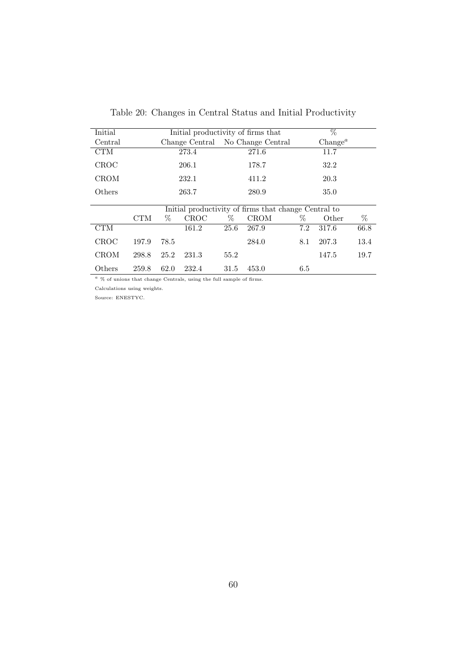| Initial     | Initial productivity of firms that |      |             |      |                                                      |      | $\%$                |      |
|-------------|------------------------------------|------|-------------|------|------------------------------------------------------|------|---------------------|------|
| Central     |                                    |      |             |      | Change Central No Change Central                     |      | Change <sup>a</sup> |      |
| <b>CTM</b>  |                                    |      | 273.4       |      | 271.6                                                |      | 11.7                |      |
| <b>CROC</b> |                                    |      | 206.1       |      | 178.7                                                |      | 32.2                |      |
| <b>CROM</b> |                                    |      | 232.1       |      | 411.2                                                |      | 20.3                |      |
| Others      |                                    |      | 263.7       |      | 280.9                                                |      | 35.0                |      |
|             |                                    |      |             |      | Initial productivity of firms that change Central to |      |                     |      |
|             | <b>CTM</b>                         | $\%$ | <b>CROC</b> | $\%$ | <b>CROM</b>                                          | $\%$ | Other               | %    |
| <b>CTM</b>  |                                    |      | 161.2       | 25.6 | 267.9                                                | 7.2  | 317.6               | 66.8 |
| <b>CROC</b> | 197.9                              | 78.5 |             |      | 284.0                                                | 8.1  | 207.3               | 13.4 |
| <b>CROM</b> | 298.8                              | 25.2 | 231.3       | 55.2 |                                                      |      | 147.5               | 19.7 |
| Others      | 259.8                              | 62.0 | 232.4       | 31.5 | 453.0                                                | 6.5  |                     |      |

Table 20: Changes in Central Status and Initial Productivity

 $^a$  % of unions that change Centrals, using the full sample of firms.

Calculations using weights.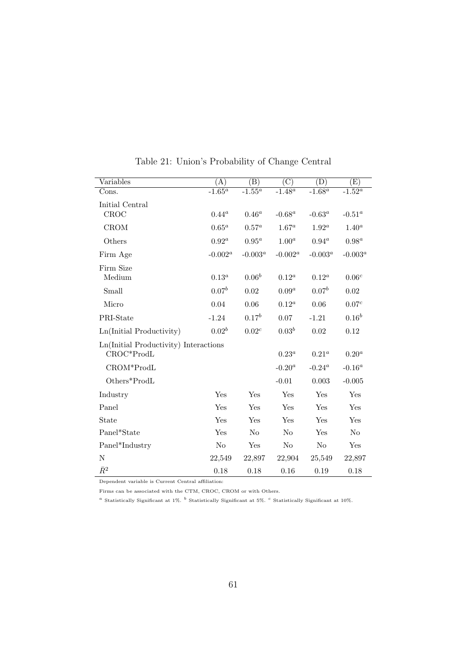| Variables                             | (A)        | (B)            | $\overline{\rm (C)}$ | (D)            | $\rm(E)$          |
|---------------------------------------|------------|----------------|----------------------|----------------|-------------------|
| Cons.                                 | $-1.65^a$  | $-1.55^a$      | $-1.48^a$            | $-1.68^a$      | $-1.52^a$         |
| Initial Central                       |            |                |                      |                |                   |
| CROC                                  | $0.44^a$   | $0.46^a$       | $-0.68^a$            | $-0.63^a$      | $-0.51^a$         |
| CROM                                  | $0.65^a$   | $0.57^a$       | $1.67^a$             | $1.92^a$       | $1.40^a$          |
| Others                                | $0.92^a$   | $0.95^a$       | $1.00^a$             | $0.94^a$       | $0.98^a$          |
| Firm Age                              | $-0.002^a$ | $-0.003^a$     | $-0.002^a$           | $-0.003^a$     | $-0.003^a$        |
| Firm Size                             |            |                |                      |                |                   |
| Medium                                | $0.13^a$   | $0.06^{b}$     | $0.12^a$             | $0.12^a$       | 0.06 <sup>c</sup> |
| Small                                 | $0.07^{b}$ | 0.02           | $0.09^a$             | $0.07^{b}$     | 0.02              |
| Micro                                 | 0.04       | 0.06           | $0.12^a$             | 0.06           | 0.07 <sup>c</sup> |
| PRI-State                             | $-1.24$    | $0.17^{b}$     | 0.07                 | $-1.21$        | $0.16^{b}$        |
| Ln(Initial Productivity)              | $0.02^b$   | $0.02^c$       | $0.03^{b}$           | 0.02           | 0.12              |
| Ln(Initial Productivity) Interactions |            |                |                      |                |                   |
| CROC*ProdL                            |            |                | $0.23^a$             | $0.21^a$       | $0.20^a$          |
| CROM*ProdL                            |            |                | $-0.20^a$            | $-0.24^a$      | $-0.16^a$         |
| Others*ProdL                          |            |                | $-0.01$              | 0.003          | $-0.005$          |
| Industry                              | Yes        | Yes            | Yes                  | Yes            | Yes               |
| Panel                                 | Yes        | Yes            | Yes                  | Yes            | Yes               |
| State                                 | Yes        | Yes            | Yes                  | Yes            | Yes               |
| Panel*State                           | Yes        | N <sub>o</sub> | N <sub>o</sub>       | Yes            | N <sub>o</sub>    |
| Panel*Industry                        | No         | Yes            | N <sub>o</sub>       | N <sub>o</sub> | Yes               |
| N                                     | 22,549     | 22,897         | 22,904               | 25,549         | 22,897            |
| $\bar{R}^2$                           | 0.18       | 0.18           | 0.16                 | 0.19           | 0.18              |

Table 21: Union's Probability of Change Central

Dependent variable is Current Central affiliation:

Firms can be associated with the CTM, CROC, CROM or with Others.

 $^a$  Statistically Significant at 1%.  $^b$  Statistically Significant at 10%.  $^c$  Statistically Significant at 10%.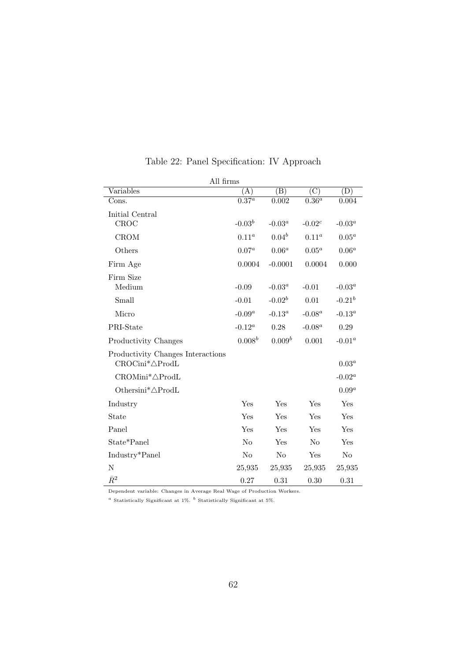| All firms                                                        |                     |                    |                |             |
|------------------------------------------------------------------|---------------------|--------------------|----------------|-------------|
| Variables                                                        | (A)                 | (B)                | (C)            | (D)         |
| Cons.                                                            | $\overline{0.37^a}$ | $0.\overline{002}$ | $0.36^a$       | 0.004       |
| Initial Central                                                  |                     |                    |                |             |
| CROC                                                             | $-0.03b$            | -0.03 $^a$         | $-0.02^c$      | $-0.03^a$   |
| <b>CROM</b>                                                      | $0.11^a$            | $0.04^{b}$         | $0.11^a$       | $0.05^a$    |
| Others                                                           | $0.07^a$            | $0.06^a$           | $0.05^a$       | $0.06^a$    |
| Firm Age                                                         | 0.0004              | $-0.0001$          | 0.0004         | 0.000       |
| Firm Size                                                        |                     |                    |                |             |
| Medium                                                           | $-0.09$             | $-0.03^a$          | $-0.01$        | $-0.03^a$   |
| Small                                                            | $-0.01$             | $-0.02^b$          | 0.01           | $-0.21^{b}$ |
| Micro                                                            | $-0.09^a$           | $-0.13^a$          | $-0.08^a$      | $-0.13^a$   |
| PRI-State                                                        | $-0.12^a$           | 0.28               | $-0.08^a$      | 0.29        |
| Productivity Changes                                             | $0.008^b$           | $0.009^b$          | 0.001          | $-0.01^a$   |
| Productivity Changes Interactions<br>$CROCini^* \triangle ProdL$ |                     |                    |                | $0.03^a$    |
| CROMini <sup>*</sup> ∆ProdL                                      |                     |                    |                | $-0.02^a$   |
| Othersini <sup>*</sup> ∆ProdL                                    |                     |                    |                | $0.09^a$    |
| Industry                                                         | Yes                 | Yes                | Yes            | Yes         |
| State                                                            | Yes                 | Yes                | Yes            | Yes         |
| Panel                                                            | Yes                 | Yes                | Yes            | Yes         |
| State*Panel                                                      | N <sub>o</sub>      | Yes                | N <sub>o</sub> | Yes         |
| Industry*Panel                                                   | N <sub>o</sub>      | No                 | Yes            | No          |
| N                                                                | 25,935              | 25,935             | 25,935         | 25,935      |
| $\bar{R}^2$                                                      | 0.27                | 0.31               | 0.30           | 0.31        |

Table 22: Panel Specification: IV Approach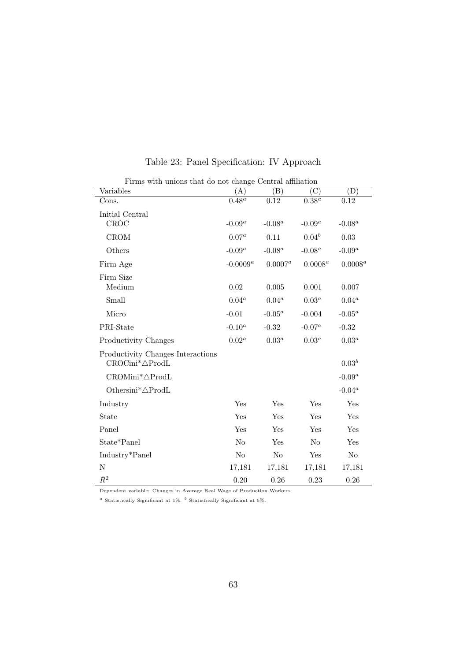| Firms with unions that do not change Central affiliation         |                |                |                     |            |  |  |  |
|------------------------------------------------------------------|----------------|----------------|---------------------|------------|--|--|--|
| Variables                                                        | (A)            | (B)            | C)                  | (D)        |  |  |  |
| Cons.                                                            | $0.48^a$       | 0.12           | $\overline{0.38^a}$ | 0.12       |  |  |  |
| Initial Central                                                  |                |                |                     |            |  |  |  |
| CROC                                                             | $-0.09^a$      | $-0.08^a$      | $-0.09^a$           | $-0.08^a$  |  |  |  |
| <b>CROM</b>                                                      | $0.07^{a}$     | 0.11           | $0.04^{b}$          | 0.03       |  |  |  |
| Others                                                           | $-0.09^a$      | $-0.08^a$      | $-0.08^a$           | $-0.09^a$  |  |  |  |
| Firm Age                                                         | -0.0009 $^a$   | $0.0007^a$     | $0.0008^a$          | $0.0008^a$ |  |  |  |
| Firm Size                                                        |                |                |                     |            |  |  |  |
| Medium                                                           | 0.02           | 0.005          | 0.001               | 0.007      |  |  |  |
| Small                                                            | $0.04^a$       | $0.04^a$       | $0.03^a$            | $0.04^a$   |  |  |  |
| Micro                                                            | $-0.01$        | $-0.05^a$      | $-0.004$            | $-0.05^a$  |  |  |  |
| PRI-State                                                        | $-0.10^a$      | $-0.32$        | $-0.07^a$           | $-0.32$    |  |  |  |
| Productivity Changes                                             | $0.02^a$       | $0.03^a$       | $0.03^a$            | $0.03^a$   |  |  |  |
| Productivity Changes Interactions<br>$CROCini^* \triangle ProdL$ |                |                |                     | $0.03^{b}$ |  |  |  |
| $CROMini^* \triangle \text{Prod}$ L                              |                |                |                     | $-0.09^a$  |  |  |  |
| Othersini* $\triangle$ ProdL                                     |                |                |                     | $-0.04^a$  |  |  |  |
| Industry                                                         | Yes            | Yes            | Yes                 | Yes        |  |  |  |
| State                                                            | Yes            | Yes            | Yes                 | Yes        |  |  |  |
| Panel                                                            | Yes            | Yes            | Yes                 | Yes        |  |  |  |
| State*Panel                                                      | N <sub>o</sub> | Yes            | N <sub>o</sub>      | Yes        |  |  |  |
| Industry*Panel                                                   | No             | N <sub>o</sub> | Yes                 | No         |  |  |  |
| ${\rm N}$                                                        | 17,181         | 17,181         | 17,181              | 17,181     |  |  |  |
| $\bar{R}^2$                                                      | 0.20           | 0.26           | 0.23                | 0.26       |  |  |  |

Table 23: Panel Specification: IV Approach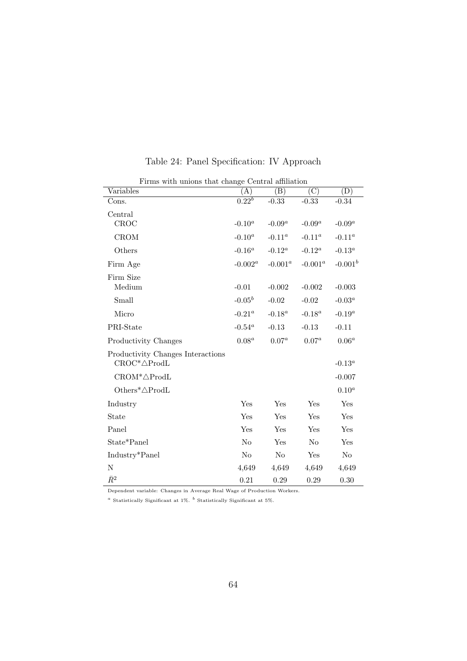|                                                               | Firms with unions that change Central affiliation |                            |                |                            |  |  |  |  |
|---------------------------------------------------------------|---------------------------------------------------|----------------------------|----------------|----------------------------|--|--|--|--|
| Variables                                                     | (A)                                               | $\left( \mathrm{B}\right)$ | $\rm (C)$      | $\left( \mathrm{D}\right)$ |  |  |  |  |
| Cons.                                                         | $0.22^{b}$                                        | $-0.33$                    | $-0.33$        | $-0.34$                    |  |  |  |  |
| Central<br>CROC                                               | $-0.10^a$                                         | $-0.09^a$                  | $-0.09^a$      | $-0.09^a$                  |  |  |  |  |
| <b>CROM</b>                                                   | $-0.10^a$                                         | $-0.11^a$                  | $-0.11^a$      | $-0.11^a$                  |  |  |  |  |
| Others                                                        | $-0.16^a$                                         | $-0.12^a$                  | $-0.12^a$      | $-0.13^a$                  |  |  |  |  |
| Firm Age                                                      | $-0.002^a$                                        | $-0.001^a$                 | $-0.001^a$     | $-0.001^b$                 |  |  |  |  |
| Firm Size<br>Medium                                           | $-0.01$                                           | $-0.002$                   | $-0.002$       | $-0.003$                   |  |  |  |  |
| Small                                                         | $-0.05^b$                                         | $-0.02$                    | $-0.02$        | $-0.03^a$                  |  |  |  |  |
| Micro                                                         | $-0.21^a$                                         | $-0.18^a$                  | $-0.18^a$      | $-0.19^a$                  |  |  |  |  |
| PRI-State                                                     | $-0.54^a$                                         | $-0.13$                    | $-0.13$        | $-0.11$                    |  |  |  |  |
| Productivity Changes                                          | $0.08^a$                                          | $0.07^a$                   | $0.07^{a}$     | $0.06^a$                   |  |  |  |  |
| Productivity Changes Interactions<br>$CROC^* \triangle ProdL$ |                                                   |                            |                | $-0.13^a$                  |  |  |  |  |
| $\text{CROM*}\triangle \text{Prod}$ L                         |                                                   |                            |                | $-0.007$                   |  |  |  |  |
| Others* $\triangle$ ProdL                                     |                                                   |                            |                | $0.10^a$                   |  |  |  |  |
| Industry                                                      | Yes                                               | Yes                        | Yes            | Yes                        |  |  |  |  |
| State                                                         | Yes                                               | Yes                        | Yes            | Yes                        |  |  |  |  |
| Panel                                                         | Yes                                               | Yes                        | Yes            | Yes                        |  |  |  |  |
| State*Panel                                                   | No                                                | Yes                        | N <sub>o</sub> | Yes                        |  |  |  |  |
| Industry*Panel                                                | N <sub>o</sub>                                    | No                         | Yes            | No                         |  |  |  |  |
| N                                                             | 4,649                                             | 4,649                      | 4,649          | 4,649                      |  |  |  |  |
| $\bar{R}^2$                                                   | 0.21                                              | 0.29                       | 0.29           | 0.30                       |  |  |  |  |

Table 24: Panel Specification: IV Approach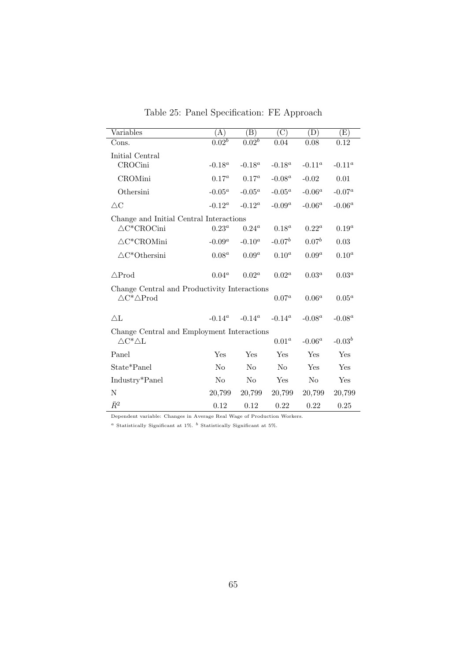| Variables                                    | (A)               | $\left( \mathrm{B}\right)$ | $\left( \mathrm{C}\right)$ | (D)        | $\left( \mathrm{E}\right)$ |
|----------------------------------------------|-------------------|----------------------------|----------------------------|------------|----------------------------|
| Cons.                                        | 0.02 <sup>b</sup> | $0.\overline{02^b}$        | 0.04                       | 0.08       | 0.12                       |
| Initial Central                              |                   |                            |                            |            |                            |
| CROCini                                      | $-0.18^a$         | $-0.18^a$                  | $-0.18^a$                  | $-0.11^a$  | $-0.11^a$                  |
| CROMini                                      | $0.17^a$          | $0.17^a$                   | $-0.08^a$                  | $-0.02$    | 0.01                       |
| Othersini                                    | $-0.05^a$         | $-0.05^a$                  | $-0.05^a$                  | $-0.06^a$  | $-0.07^a$                  |
| $\triangle C$                                | $-0.12^a$         | $-0.12^a$                  | $-0.09^a$                  | $-0.06^a$  | $-0.06^a$                  |
| Change and Initial Central Interactions      |                   |                            |                            |            |                            |
| $\triangle C^*CROCini$                       | $0.23^a$          | $0.24^a$                   | $0.18^a$                   | $0.22^a$   | $0.19^a$                   |
| $\triangle C^*CROMini$                       | $-0.09^a$         | $-0.10^a$                  | $-0.07b$                   | $0.07^{b}$ | 0.03                       |
| $\triangle C^*$ Othersini                    | $0.08^a$          | $0.09^a$                   | $0.10^{a}$                 | $0.09^a$   | $0.10^{a}$                 |
| $\triangle Prod$                             | $0.04^a$          | $0.02^a$                   | $0.02^a$                   | $0.03^a$   | $0.03^a$                   |
| Change Central and Productivity Interactions |                   |                            |                            |            |                            |
| $\triangle C^* \triangle Prod$               |                   |                            | $0.07^{a}$                 | $0.06^a$   | $0.05^a$                   |
| $\Delta L$                                   | $-0.14^a$         | $-0.14^a$                  | $-0.14^a$                  | $-0.08^a$  | $-0.08^a$                  |
| Change Central and Employment Interactions   |                   |                            |                            |            |                            |
| $\triangle C^*\triangle L$                   |                   |                            | 0.01 <sup>a</sup>          | $-0.06^a$  | $-0.03b$                   |
| Panel                                        | Yes               | Yes                        | Yes                        | Yes        | Yes                        |
| State*Panel                                  | N <sub>o</sub>    | N <sub>0</sub>             | $\rm No$                   | Yes        | Yes                        |
| Industry*Panel                               | N <sub>o</sub>    | N <sub>0</sub>             | Yes                        | No         | Yes                        |
| N                                            | 20,799            | 20,799                     | 20,799                     | 20,799     | 20,799                     |
| $\bar{R}^2$                                  | 0.12              | 0.12                       | 0.22                       | 0.22       | 0.25                       |

Table 25: Panel Specification: FE Approach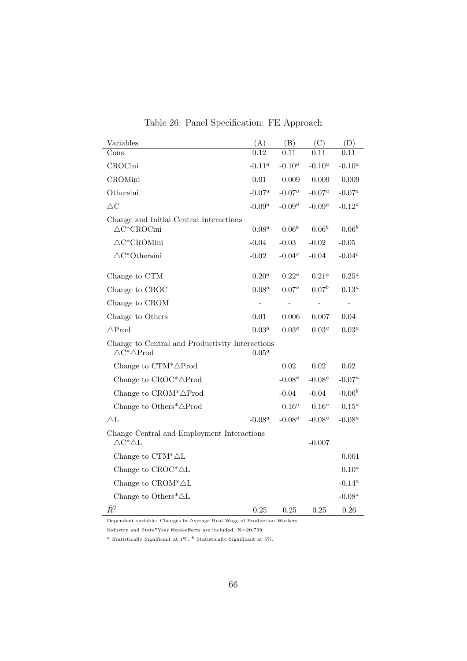| Variables                                                                         | (A)       | (B)         | $\overline{\text{(C)}}$ | (D)        |
|-----------------------------------------------------------------------------------|-----------|-------------|-------------------------|------------|
| Cons.                                                                             | 0.12      | 0.11        | 0.11                    | 0.11       |
| CROCini                                                                           | $-0.11^a$ | $-0.10^{a}$ | $-0.10^a$               | $-0.10^a$  |
| <b>CROMini</b>                                                                    | 0.01      | 0.009       | 0.009                   | 0.009      |
| Othersini                                                                         | $-0.07^a$ | $-0.07^a$   | $-0.07^a$               | $-0.07^a$  |
| $\triangle \text{C}$                                                              | $-0.09^a$ | $-0.09^a$   | $\text{-}0.09^a$        | $-0.12^a$  |
| Change and Initial Central Interactions<br>$\triangle C^*CROCini$                 | $0.08^a$  | $0.06^{b}$  | $0.06^{b}$              | $0.06^{b}$ |
| $\triangle C^*CROMini$                                                            | $-0.04$   | $-0.03$     | $-0.02$                 | $-0.05$    |
| $\triangle C^*$ Othersini                                                         | $-0.02$   | $-0.04c$    | $-0.04$                 | $-0.04c$   |
| Change to CTM                                                                     | $0.20^a$  | $0.22^a$    | $0.21^a$                | $0.25^a$   |
| Change to CROC                                                                    | $0.08^a$  | $0.07^a$    | $0.07^{b}$              | $0.13^a$   |
| Change to CROM                                                                    |           |             |                         |            |
| Change to Others                                                                  | 0.01      | 0.006       | 0.007                   | 0.04       |
| $\triangle Prod$                                                                  | $0.03^a$  | $0.03^a$    | $0.03^a$                | $0.03^a$   |
| Change to Central and Productivity Interactions<br>$\triangle C^* \triangle Prod$ | $0.05^a$  |             |                         |            |
| Change to $CTM^*\triangle Prod$                                                   |           | 0.02        | 0.02                    | 0.02       |
| Change to $CROC^* \triangle Prod$                                                 |           | $-0.08^a$   | $-0.08^a$               | $-0.07^a$  |
| Change to $CROM^* \triangle Prod$                                                 |           | $-0.04$     | $-0.04$                 | $-0.06^b$  |
| Change to Others <sup>*</sup> $\triangle$ Prod                                    |           | $0.16^a$    | $0.16^a$                | $0.15^a$   |
| $\triangle$ L                                                                     | $-0.08^a$ | $-0.08^a$   | $-0.08^a$               | $-0.08^a$  |
| Change Central and Employment Interactions<br>$\triangle C^*\triangle L$          |           |             | $-0.007$                |            |
| Change to $CTM^*\triangle L$                                                      |           |             |                         | 0.001      |
| Change to $CROC^* \triangle L$                                                    |           |             |                         | $0.10^a$   |
| Change to $\mathbf{CROM^*}\triangle\mathbf{L}$                                    |           |             |                         | -0.14 $^a$ |
| Change to Others <sup>*</sup> $\triangle$ L                                       |           |             |                         | $-0.08^a$  |
| $\bar{R}^2$                                                                       | 0.25      | 0.25        | 0.25                    | 0.26       |

Table 26: Panel Specification: FE Approach

Industry and State\*Year fixed-effects are included.  $N=20,799$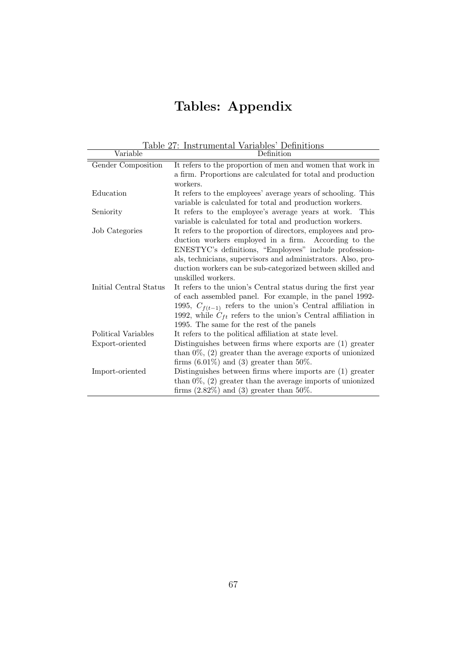# Tables: Appendix

| Table 27: Instrumental Variables' Definitions |                                                                   |  |  |  |
|-----------------------------------------------|-------------------------------------------------------------------|--|--|--|
| Variable                                      | Definition                                                        |  |  |  |
| Gender Composition                            | It refers to the proportion of men and women that work in         |  |  |  |
|                                               | a firm. Proportions are calculated for total and production       |  |  |  |
|                                               | workers.                                                          |  |  |  |
| Education                                     | It refers to the employees' average years of schooling. This      |  |  |  |
|                                               | variable is calculated for total and production workers.          |  |  |  |
| Seniority                                     | It refers to the employee's average years at work. This           |  |  |  |
|                                               | variable is calculated for total and production workers.          |  |  |  |
| Job Categories                                | It refers to the proportion of directors, employees and pro-      |  |  |  |
|                                               | duction workers employed in a firm. According to the              |  |  |  |
|                                               | ENESTYC's definitions, "Employees" include profession-            |  |  |  |
|                                               | als, technicians, supervisors and administrators. Also, pro-      |  |  |  |
|                                               | duction workers can be sub-categorized between skilled and        |  |  |  |
|                                               | unskilled workers.                                                |  |  |  |
| Initial Central Status                        | It refers to the union's Central status during the first year     |  |  |  |
|                                               | of each assembled panel. For example, in the panel 1992-          |  |  |  |
|                                               | 1995, $C_{f(t-1)}$ refers to the union's Central affiliation in   |  |  |  |
|                                               | 1992, while $C_{ft}$ refers to the union's Central affiliation in |  |  |  |
|                                               | 1995. The same for the rest of the panels                         |  |  |  |
| Political Variables                           | It refers to the political affiliation at state level.            |  |  |  |
| Export-oriented                               | Distinguishes between firms where exports are (1) greater         |  |  |  |
|                                               | than $0\%$ , $(2)$ greater than the average exports of unionized  |  |  |  |
|                                               | firms $(6.01\%)$ and $(3)$ greater than 50%.                      |  |  |  |
| Import-oriented                               | Distinguishes between firms where imports are $(1)$ greater       |  |  |  |
|                                               | than $0\%$ , $(2)$ greater than the average imports of unionized  |  |  |  |
|                                               | firms $(2.82\%)$ and $(3)$ greater than 50%.                      |  |  |  |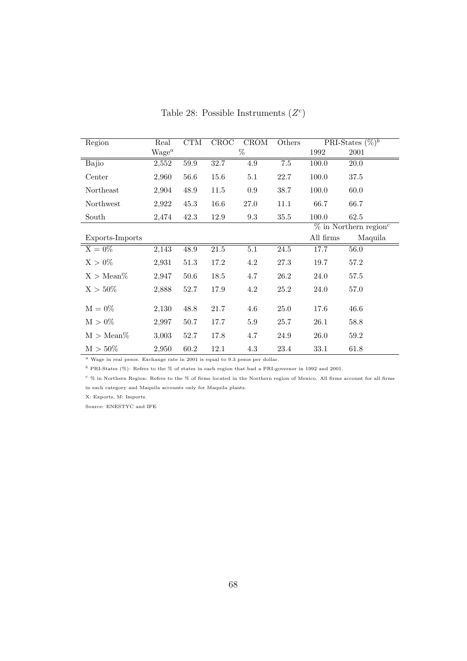| Region              | Real     | CTM  | CROC | <b>CROM</b>      | Others  |                                      | PRI-States $(\%)^b$ |
|---------------------|----------|------|------|------------------|---------|--------------------------------------|---------------------|
|                     | $Wage^a$ |      |      | %                |         | 1992                                 | 2001                |
| Bajio               | 2,552    | 59.9 | 32.7 | 4.9              | $7.5\,$ | 100.0                                | $20.0\,$            |
| Center              | 2,960    | 56.6 | 15.6 | 5.1              | 22.7    | 100.0                                | 37.5                |
| Northeast           | 2,904    | 48.9 | 11.5 | 0.9              | 38.7    | 100.0                                | 60.0                |
| Northwest           | 2,922    | 45.3 | 16.6 | 27.0             | 11.1    | 66.7                                 | 66.7                |
| South               | 2,474    | 42.3 | 12.9 | 9.3              | 35.5    | 100.0                                | 62.5                |
|                     |          |      |      |                  |         | $\%$ in Northern region <sup>c</sup> |                     |
| Exports-Imports     |          |      |      |                  |         | All firms                            | Maquila             |
| $X = 0\%$           | 2,143    | 48.9 | 21.5 | $\overline{5.1}$ | 24.5    | 17.7                                 | 56.0                |
| $X > 0\%$           | 2,931    | 51.3 | 17.2 | 4.2              | 27.3    | 19.7                                 | 57.2                |
| $X > \text{Mean}\%$ | 2,947    | 50.6 | 18.5 | 4.7              | 26.2    | 24.0                                 | 57.5                |
| $X > 50\%$          | 2,888    | 52.7 | 17.9 | 4.2              | 25.2    | 24.0                                 | 57.0                |
| $M = 0\%$           | 2,130    | 48.8 | 21.7 | 4.6              | 25.0    | 17.6                                 | 46.6                |
| $M > 0\%$           | 2,997    | 50.7 | 17.7 | 5.9              | 25.7    | 26.1                                 | 58.8                |
| $M > Mean\%$        | 3,003    | 52.7 | 17.8 | 4.7              | 24.9    | 26.0                                 | 59.2                |
| $M > 50\%$          | 2,950    | 60.2 | 12.1 | 4.3              | 23.4    | 33.1                                 | 61.8                |

Table 28: Possible Instruments  $(Z<sup>c</sup>)$ 

 $a$  Wage in real pesos. Exchange rate in 2001 is equal to 9.3 pesos per dollar.

 $^b$  PRI-States (%): Refers to the % of states in each region that had a PRI-governor in 1992 and 2001.

 $c$  % in Northern Region: Refers to the % of firms located in the Northern region of Mexico. All firms account for all firms in each category and Maquila accounts only for Maquila plants.

X: Exports, M: Imports.

Source: ENESTYC and IFE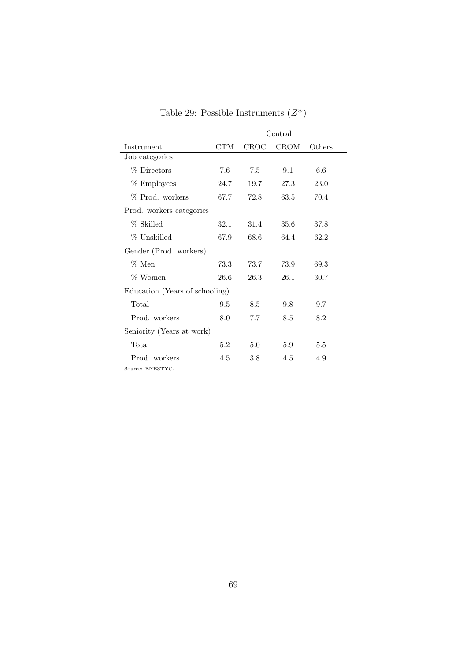|                                | Central |      |             |        |  |  |
|--------------------------------|---------|------|-------------|--------|--|--|
| Instrument                     | CTM     | CROC | <b>CROM</b> | Others |  |  |
| Job categories                 |         |      |             |        |  |  |
| % Directors                    | 7.6     | 7.5  | 9.1         | 6.6    |  |  |
| % Employees                    | 24.7    | 19.7 | 27.3        | 23.0   |  |  |
| % Prod. workers                | 67.7    | 72.8 | 63.5        | 70.4   |  |  |
| Prod. workers categories       |         |      |             |        |  |  |
| % Skilled                      | 32.1    | 31.4 | 35.6        | 37.8   |  |  |
| % Unskilled                    | 67.9    | 68.6 | 64.4        | 62.2   |  |  |
| Gender (Prod. workers)         |         |      |             |        |  |  |
| $\%$ Men                       | 73.3    | 73.7 | 73.9        | 69.3   |  |  |
| % Women                        | 26.6    | 26.3 | 26.1        | 30.7   |  |  |
| Education (Years of schooling) |         |      |             |        |  |  |
| Total                          | 9.5     | 8.5  | 9.8         | 9.7    |  |  |
| Prod. workers                  | 8.0     | 7.7  | 8.5         | 8.2    |  |  |
| Seniority (Years at work)      |         |      |             |        |  |  |
| Total                          | 5.2     | 5.0  | 5.9         | 5.5    |  |  |
| Prod. workers                  | 4.5     | 3.8  | 4.5         | 4.9    |  |  |

Table 29: Possible Instruments  $(Z^w)$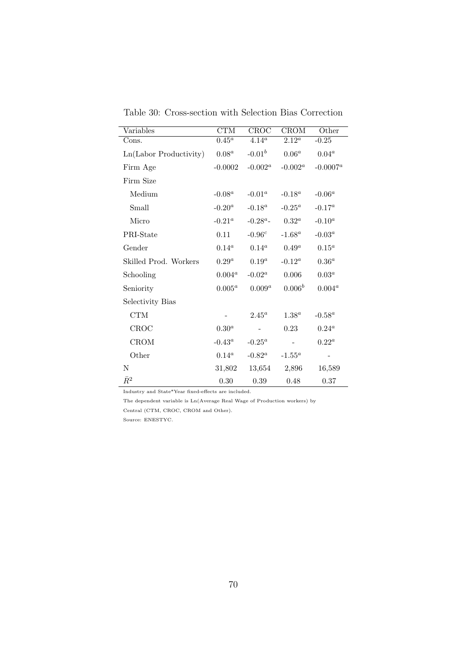| Variables              | CTM       | CROC        | CROM       | Other            |
|------------------------|-----------|-------------|------------|------------------|
| Cons.                  | $0.45^a$  | $4.14^a$    | $2.12^a$   | $-0.25$          |
| Ln(Labor Productivity) | $0.08^a$  | $-0.01^{b}$ | $0.06^a$   | $0.04^a$         |
| Firm Age               | $-0.0002$ | $-0.002^a$  | $-0.002^a$ | $-0.0007^a$      |
| Firm Size              |           |             |            |                  |
| Medium                 | $-0.08^a$ | $-0.01^a$   | $-0.18^a$  | $-0.06^a$        |
| Small                  | $-0.20^a$ | $-0.18^a$   | $-0.25^a$  | $-0.17^a$        |
| Micro                  | $-0.21^a$ | $-0.28^a$   | $0.32^a$   | $\text{-}0.10^a$ |
| PRI-State              | 0.11      | $-0.96c$    | $-1.68^a$  | $-0.03^a$        |
| Gender                 | $0.14^a$  | $0.14^a$    | $0.49^a$   | $0.15^a$         |
| Skilled Prod. Workers  | $0.29^a$  | $0.19^a$    | $-0.12^a$  | $0.36^a$         |
| Schooling              | $0.004^a$ | $-0.02^a$   | 0.006      | $0.03^a$         |
| Seniority              | $0.005^a$ | $0.009^a$   | $0.006^b$  | $0.004^a$        |
| Selectivity Bias       |           |             |            |                  |
| <b>CTM</b>             |           | $2.45^a$    | $1.38^a$   | $-0.58^a$        |
| CROC                   | $0.30^a$  |             | 0.23       | $0.24^a$         |
| CROM                   | $-0.43^a$ | $-0.25^a$   |            | $0.22^a$         |
| Other                  | $0.14^a$  | $-0.82^a$   | $-1.55^a$  |                  |
| N                      | 31,802    | 13,654      | 2,896      | 16,589           |
| $\bar{R}^2$            | $0.30\,$  | 0.39        | 0.48       | 0.37             |

Table 30: Cross-section with Selection Bias Correction

Industry and State\*Year fixed-effects are included.

The dependent variable is Ln(Average Real Wage of Production workers) by Central (CTM, CROC, CROM and Other).